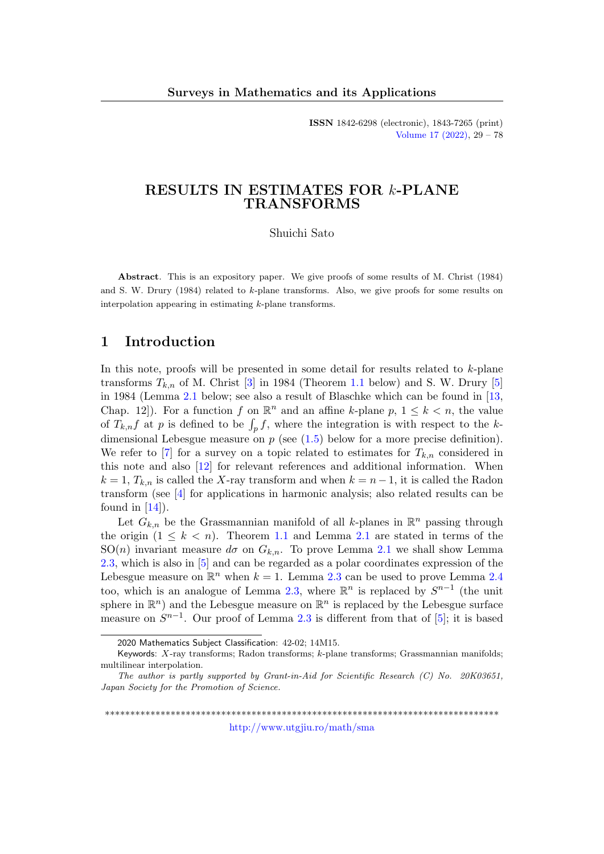ISSN 1842-6298 (electronic), 1843-7265 (print) [Volume 17 \(2022\),](http://www.utgjiu.ro/math/sma/v17/v17.html) 29 – 78

## RESULTS IN ESTIMATES FOR k-PLANE TRANSFORMS

Shuichi Sato

Abstract. This is an expository paper. We give proofs of some results of M. Christ (1984) and S. W. Drury (1984) related to k-plane transforms. Also, we give proofs for some results on interpolation appearing in estimating k-plane transforms.

### 1 Introduction

In this note, proofs will be presented in some detail for results related to k-plane transforms  $T_{k,n}$  of M. Christ [\[3\]](#page-47-0) in 1984 (Theorem [1.1](#page-2-0) below) and S. W. Drury [\[5\]](#page-48-0) in 1984 (Lemma [2.1](#page-6-0) below; see also a result of Blaschke which can be found in [\[13,](#page-48-1) Chap. 12.]. For a function f on  $\mathbb{R}^n$  and an affine k-plane p,  $1 \leq k \leq n$ , the value of  $T_{k,n}f$  at p is defined to be  $\int_p f$ , where the integration is with respect to the kdimensional Lebesgue measure on  $p$  (see  $(1.5)$  below for a more precise definition). We refer to [\[7\]](#page-48-2) for a survey on a topic related to estimates for  $T_{k,n}$  considered in this note and also [\[12\]](#page-48-3) for relevant references and additional information. When  $k = 1, T_{k,n}$  is called the X-ray transform and when  $k = n-1$ , it is called the Radon transform (see [\[4\]](#page-47-1) for applications in harmonic analysis; also related results can be found in  $[14]$ .

Let  $G_{k,n}$  be the Grassmannian manifold of all k-planes in  $\mathbb{R}^n$  passing through the origin  $(1 \leq k < n)$ . Theorem [1.1](#page-2-0) and Lemma [2.1](#page-6-0) are stated in terms of the SO(n) invariant measure  $d\sigma$  on  $G_{k,n}$ . To prove Lemma [2.1](#page-6-0) we shall show Lemma [2.3,](#page-8-0) which is also in [\[5\]](#page-48-0) and can be regarded as a polar coordinates expression of the Lebesgue measure on  $\mathbb{R}^n$  when  $k = 1$ . Lemma [2.3](#page-8-0) can be used to prove Lemma [2.4](#page-16-0) too, which is an analogue of Lemma [2.3,](#page-8-0) where  $\mathbb{R}^n$  is replaced by  $S^{n-1}$  (the unit sphere in  $\mathbb{R}^n$ ) and the Lebesgue measure on  $\mathbb{R}^n$  is replaced by the Lebesgue surface measure on  $S^{n-1}$ . Our proof of Lemma [2.3](#page-8-0) is different from that of [\[5\]](#page-48-0); it is based

\*\*\*\*\*\*\*\*\*\*\*\*\*\*\*\*\*\*\*\*\*\*\*\*\*\*\*\*\*\*\*\*\*\*\*\*\*\*\*\*\*\*\*\*\*\*\*\*\*\*\*\*\*\*\*\*\*\*\*\*\*\*\*\*\*\*\*\*\*\*\*\*\*\*\*\*\*\*

<http://www.utgjiu.ro/math/sma>

<sup>2020</sup> Mathematics Subject Classification: 42-02; 14M15.

Keywords: X-ray transforms; Radon transforms; k-plane transforms; Grassmannian manifolds; multilinear interpolation.

The author is partly supported by Grant-in-Aid for Scientific Research (C) No. 20K03651, Japan Society for the Promotion of Science.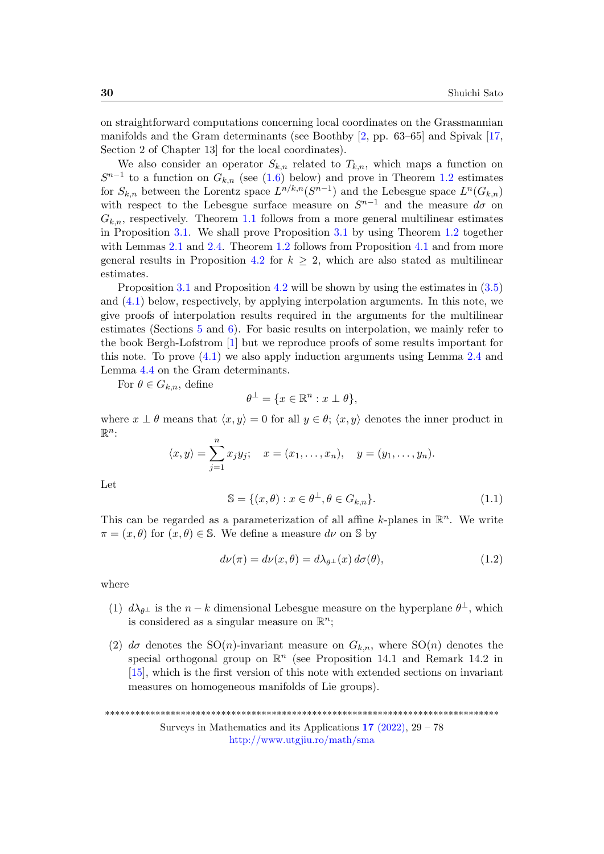on straightforward computations concerning local coordinates on the Grassmannian manifolds and the Gram determinants (see Boothby  $[2, pp. 63-65]$  $[2, pp. 63-65]$  and Spivak  $[17,$ Section 2 of Chapter 13] for the local coordinates).

We also consider an operator  $S_{k,n}$  related to  $T_{k,n}$ , which maps a function on  $S^{n-1}$  to a function on  $G_{k,n}$  (see [\(1.6\)](#page-2-2) below) and prove in Theorem [1.2](#page-3-0) estimates for  $S_{k,n}$  between the Lorentz space  $L^{n/k,n}(S^{n-1})$  and the Lebesgue space  $L^n(G_{k,n})$ with respect to the Lebesgue surface measure on  $S^{n-1}$  and the measure  $d\sigma$  on  $G_{k,n}$ , respectively. Theorem [1.1](#page-2-0) follows from a more general multilinear estimates in Proposition [3.1.](#page-17-0) We shall prove Proposition [3.1](#page-17-0) by using Theorem [1.2](#page-3-0) together with Lemmas [2.1](#page-6-0) and [2.4.](#page-16-0) Theorem [1.2](#page-3-0) follows from Proposition [4.1](#page-22-0) and from more general results in Proposition [4.2](#page-23-0) for  $k \geq 2$ , which are also stated as multilinear estimates.

Proposition [3.1](#page-17-0) and Proposition [4.2](#page-23-0) will be shown by using the estimates in [\(3.5\)](#page-21-0) and [\(4.1\)](#page-23-1) below, respectively, by applying interpolation arguments. In this note, we give proofs of interpolation results required in the arguments for the multilinear estimates (Sections [5](#page-28-0) and [6\)](#page-34-0). For basic results on interpolation, we mainly refer to the book Bergh-Lofstrom [\[1\]](#page-47-3) but we reproduce proofs of some results important for this note. To prove  $(4.1)$  we also apply induction arguments using Lemma [2.4](#page-16-0) and Lemma [4.4](#page-26-0) on the Gram determinants.

For  $\theta \in G_{k,n}$ , define

$$
\theta^{\perp} = \{ x \in \mathbb{R}^n : x \perp \theta \},\
$$

where  $x \perp \theta$  means that  $\langle x, y \rangle = 0$  for all  $y \in \theta$ ;  $\langle x, y \rangle$  denotes the inner product in  $\mathbb{R}^n$ :

$$
\langle x, y \rangle = \sum_{j=1}^{n} x_j y_j;
$$
  $x = (x_1, ..., x_n),$   $y = (y_1, ..., y_n).$ 

Let

$$
\mathbb{S} = \{ (x, \theta) : x \in \theta^{\perp}, \theta \in G_{k,n} \}. \tag{1.1}
$$

This can be regarded as a parameterization of all affine k-planes in  $\mathbb{R}^n$ . We write  $\pi = (x, \theta)$  for  $(x, \theta) \in \mathbb{S}$ . We define a measure dv on  $\mathbb{S}$  by

$$
d\nu(\pi) = d\nu(x, \theta) = d\lambda_{\theta^{\perp}}(x) d\sigma(\theta), \qquad (1.2)
$$

where

- (1)  $d\lambda_{\theta^{\perp}}$  is the  $n-k$  dimensional Lebesgue measure on the hyperplane  $\theta^{\perp}$ , which is considered as a singular measure on  $\mathbb{R}^n$ ;
- (2)  $d\sigma$  denotes the SO(n)-invariant measure on  $G_{k,n}$ , where SO(n) denotes the special orthogonal group on  $\mathbb{R}^n$  (see Proposition 14.1 and Remark 14.2 in [\[15\]](#page-48-6), which is the first version of this note with extended sections on invariant measures on homogeneous manifolds of Lie groups).

\*\*\*\*\*\*\*\*\*\*\*\*\*\*\*\*\*\*\*\*\*\*\*\*\*\*\*\*\*\*\*\*\*\*\*\*\*\*\*\*\*\*\*\*\*\*\*\*\*\*\*\*\*\*\*\*\*\*\*\*\*\*\*\*\*\*\*\*\*\*\*\*\*\*\*\*\*\* Surveys in Mathematics and its Applications  $17$  [\(2022\),](http://www.utgjiu.ro/math/sma/v17/v17.html) 29 – 78

<http://www.utgjiu.ro/math/sma>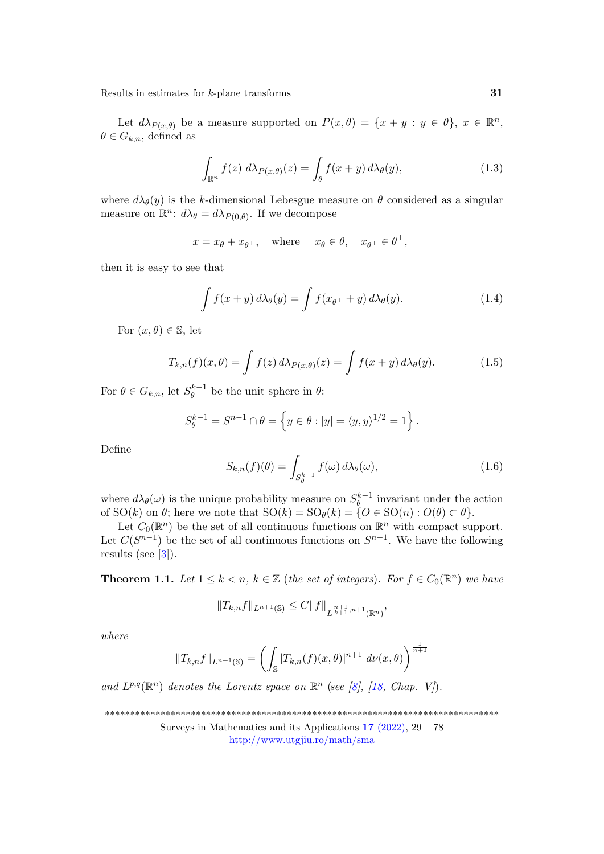Let  $d\lambda_{P(x,\theta)}$  be a measure supported on  $P(x,\theta) = \{x + y : y \in \theta\}$ ,  $x \in \mathbb{R}^n$ ,  $\theta \in G_{k,n}$ , defined as

$$
\int_{\mathbb{R}^n} f(z) \, d\lambda_{P(x,\theta)}(z) = \int_{\theta} f(x+y) \, d\lambda_{\theta}(y),\tag{1.3}
$$

where  $d\lambda_{\theta}(y)$  is the k-dimensional Lebesgue measure on  $\theta$  considered as a singular measure on  $\mathbb{R}^n$ :  $d\lambda_{\theta} = d\lambda_{P(0,\theta)}$ . If we decompose

$$
x = x_{\theta} + x_{\theta^{\perp}}, \text{ where } x_{\theta} \in \theta, x_{\theta^{\perp}} \in \theta^{\perp},
$$

then it is easy to see that

<span id="page-2-3"></span>
$$
\int f(x+y) d\lambda_{\theta}(y) = \int f(x_{\theta^{\perp}} + y) d\lambda_{\theta}(y).
$$
 (1.4)

For  $(x, \theta) \in \mathbb{S}$ , let

<span id="page-2-1"></span>
$$
T_{k,n}(f)(x,\theta) = \int f(z) d\lambda_{P(x,\theta)}(z) = \int f(x+y) d\lambda_{\theta}(y).
$$
 (1.5)

For  $\theta \in G_{k,n}$ , let  $S_{\theta}^{k-1}$  $\theta_{\theta}^{k-1}$  be the unit sphere in  $\theta$ :

$$
S_{\theta}^{k-1} = S^{n-1} \cap \theta = \left\{ y \in \theta : |y| = \langle y, y \rangle^{1/2} = 1 \right\}.
$$

Define

<span id="page-2-2"></span>
$$
S_{k,n}(f)(\theta) = \int_{S_{\theta}^{k-1}} f(\omega) d\lambda_{\theta}(\omega), \qquad (1.6)
$$

where  $d\lambda_{\theta}(\omega)$  is the unique probability measure on  $S_{\theta}^{k-1}$  $\frac{a}{\theta}$  invariant under the action of  $SO(k)$  on  $\theta$ ; here we note that  $SO(k) = SO_{\theta}(k) = \{O \in SO(n) : O(\theta) \subset \theta\}.$ 

Let  $C_0(\mathbb{R}^n)$  be the set of all continuous functions on  $\mathbb{R}^n$  with compact support. Let  $C(S^{n-1})$  be the set of all continuous functions on  $S^{n-1}$ . We have the following results (see  $[3]$ ).

<span id="page-2-0"></span>**Theorem 1.1.** Let  $1 \leq k < n$ ,  $k \in \mathbb{Z}$  (the set of integers). For  $f \in C_0(\mathbb{R}^n)$  we have

$$
||T_{k,n}f||_{L^{n+1}(\mathbb{S})} \leq C||f||_{L^{\frac{n+1}{k+1},n+1}(\mathbb{R}^n)},
$$

where

$$
||T_{k,n}f||_{L^{n+1}(\mathbb{S})} = \left(\int_{\mathbb{S}} |T_{k,n}(f)(x,\theta)|^{n+1} d\nu(x,\theta)\right)^{\frac{1}{n+1}}
$$

and  $L^{p,q}(\mathbb{R}^n)$  denotes the Lorentz space on  $\mathbb{R}^n$  (see [\[8\]](#page-48-7), [\[18,](#page-48-8) Chap. V]).

\*\*\*\*\*\*\*\*\*\*\*\*\*\*\*\*\*\*\*\*\*\*\*\*\*\*\*\*\*\*\*\*\*\*\*\*\*\*\*\*\*\*\*\*\*\*\*\*\*\*\*\*\*\*\*\*\*\*\*\*\*\*\*\*\*\*\*\*\*\*\*\*\*\*\*\*\*\*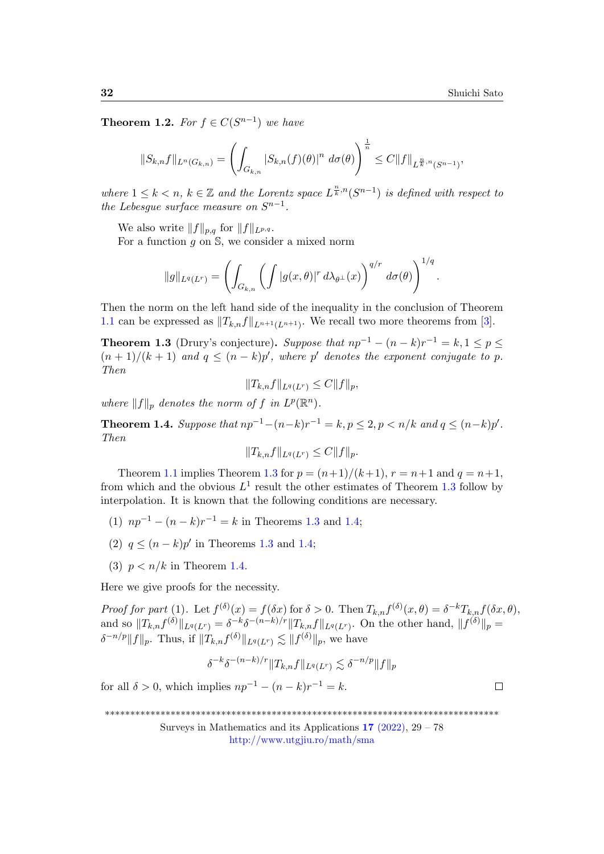$\Box$ 

<span id="page-3-0"></span>**Theorem 1.2.** For  $f \in C(S^{n-1})$  we have

$$
||S_{k,n}f||_{L^n(G_{k,n})} = \left(\int_{G_{k,n}} |S_{k,n}(f)(\theta)|^n \ d\sigma(\theta)\right)^{\frac{1}{n}} \leq C||f||_{L^{\frac{n}{k},n}(S^{n-1})},
$$

where  $1 \leq k < n$ ,  $k \in \mathbb{Z}$  and the Lorentz space  $L^{\frac{n}{k},n}(S^{n-1})$  is defined with respect to the Lebesgue surface measure on  $S^{n-1}$ .

We also write  $||f||_{p,q}$  for  $||f||_{L^{p,q}}$ .

For a function  $q$  on  $\mathbb{S}$ , we consider a mixed norm

$$
||g||_{L^q(L^r)} = \left(\int_{G_{k,n}} \left(\int |g(x,\theta)|^r d\lambda_{\theta^\perp}(x)\right)^{q/r} d\sigma(\theta)\right)^{1/q}.
$$

Then the norm on the left hand side of the inequality in the conclusion of Theorem [1.1](#page-2-0) can be expressed as  $||T_{k,n}f||_{L^{n+1}(L^{n+1})}$ . We recall two more theorems from [\[3\]](#page-47-0).

<span id="page-3-1"></span>**Theorem 1.3** (Drury's conjecture). Suppose that  $np^{-1} - (n - k)r^{-1} = k, 1 \le p \le$  $(n+1)/(k+1)$  and  $q \leq (n-k)p'$ , where p' denotes the exponent conjugate to p. Then

$$
||T_{k,n}f||_{L^{q}(L^{r})} \leq C||f||_{p},
$$

where  $||f||_p$  denotes the norm of f in  $L^p(\mathbb{R}^n)$ .

<span id="page-3-2"></span>**Theorem 1.4.** Suppose that  $np^{-1} - (n-k)r^{-1} = k$ ,  $p \le 2$ ,  $p < n/k$  and  $q \le (n-k)p'$ . Then

$$
||T_{k,n}f||_{L^{q}(L^{r})} \leq C||f||_{p}.
$$

Theorem [1.1](#page-2-0) implies Theorem [1.3](#page-3-1) for  $p = (n+1)/(k+1)$ ,  $r = n+1$  and  $q = n+1$ , from which and the obvious  $L^1$  result the other estimates of Theorem [1.3](#page-3-1) follow by interpolation. It is known that the following conditions are necessary.

- (1)  $np^{-1} (n k)r^{-1} = k$  in Theorems [1.3](#page-3-1) and [1.4;](#page-3-2)
- (2)  $q \leq (n-k)p'$  in Theorems [1.3](#page-3-1) and [1.4;](#page-3-2)
- (3)  $p < n/k$  in Theorem [1.4.](#page-3-2)

Here we give proofs for the necessity.

Proof for part (1). Let  $f^{(\delta)}(x) = f(\delta x)$  for  $\delta > 0$ . Then  $T_{k,n} f^{(\delta)}(x,\theta) = \delta^{-k} T_{k,n} f(\delta x,\theta)$ , and so  $||T_{k,n}f^{(\delta)}||_{L^q(L^r)} = \delta^{-k}\delta^{-(n-k)/r}||T_{k,n}f||_{L^q(L^r)}$ . On the other hand,  $||f^{(\delta)}||_p =$  $\delta^{-n/p} ||f||_p$ . Thus, if  $||T_{k,n}f^{(\delta)}||_{L^q(L^r)} \lesssim ||f^{(\delta)}||_p$ , we have

$$
\delta^{-k}\delta^{-(n-k)/r} \|T_{k,n}f\|_{L^q(L^r)} \lesssim \delta^{-n/p} \|f\|_p
$$

for all  $\delta > 0$ , which implies  $np^{-1} - (n - k)r^{-1} = k$ .

<sup>\*\*\*\*\*\*\*\*\*\*\*\*\*\*\*\*\*\*\*\*\*\*\*\*\*\*\*\*\*\*\*\*\*\*\*\*\*\*\*\*\*\*\*\*\*\*\*\*\*\*\*\*\*\*\*\*\*\*\*\*\*\*\*\*\*\*\*\*\*\*\*\*\*\*\*\*\*\*</sup>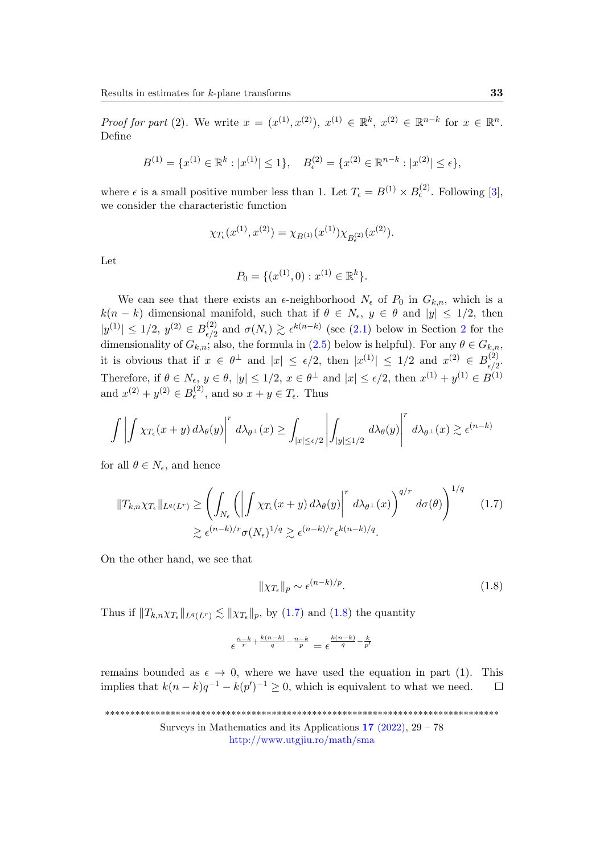*Proof for part* (2). We write  $x = (x^{(1)}, x^{(2)}), x^{(1)} \in \mathbb{R}^k, x^{(2)} \in \mathbb{R}^{n-k}$  for  $x \in \mathbb{R}^n$ . Define

$$
B^{(1)} = \{x^{(1)} \in \mathbb{R}^k : |x^{(1)}| \le 1\}, \quad B_{\epsilon}^{(2)} = \{x^{(2)} \in \mathbb{R}^{n-k} : |x^{(2)}| \le \epsilon\},
$$

where  $\epsilon$  is a small positive number less than 1. Let  $T_{\epsilon} = B^{(1)} \times B_{\epsilon}^{(2)}$ . Following [\[3\]](#page-47-0), we consider the characteristic function

$$
\chi_{T_{\epsilon}}(x^{(1)}, x^{(2)}) = \chi_{B^{(1)}}(x^{(1)}) \chi_{B_{\epsilon}^{(2)}}(x^{(2)}).
$$

Let

$$
P_0 = \{ (x^{(1)}, 0) : x^{(1)} \in \mathbb{R}^k \}.
$$

We can see that there exists an  $\epsilon$ -neighborhood  $N_{\epsilon}$  of  $P_0$  in  $G_{k,n}$ , which is a  $k(n - k)$  dimensional manifold, such that if  $\theta \in N_{\epsilon}$ ,  $y \in \theta$  and  $|y| \leq 1/2$ , then  $|y^{(1)}| \le 1/2, y^{(2)} \in B^{(2)}_{\epsilon/2}$ <sup>([2](#page-5-0))</sup> and  $\sigma(N_{\epsilon}) \gtrsim \epsilon^{k(n-k)}$  (see [\(2.1\)](#page-9-0) below in Section 2 for the dimensionality of  $G_{k,n}$ ; also, the formula in [\(2.5\)](#page-13-0) below is helpful). For any  $\theta \in G_{k,n}$ , it is obvious that if  $x \in \theta^{\perp}$  and  $|x| \leq \epsilon/2$ , then  $|x^{(1)}| \leq 1/2$  and  $x^{(2)} \in B^{(2)}_{\epsilon/2}$  $\frac{(\frac{2}{\epsilon})}{\epsilon/2}$ Therefore, if  $\theta \in N_{\epsilon}$ ,  $y \in \theta$ ,  $|y| \leq 1/2$ ,  $x \in \theta^{\perp}$  and  $|x| \leq \epsilon/2$ , then  $x^{(1)} + y^{(1)} \in B^{(1)}$ and  $x^{(2)} + y^{(2)} \in B_{\epsilon}^{(2)}$ , and so  $x + y \in T_{\epsilon}$ . Thus

$$
\int \left| \int \chi_{T_{\epsilon}}(x+y) d\lambda_{\theta}(y) \right|^{r} d\lambda_{\theta^{\perp}}(x) \geq \int_{|x| \leq \epsilon/2} \left| \int_{|y| \leq 1/2} d\lambda_{\theta}(y) \right|^{r} d\lambda_{\theta^{\perp}}(x) \gtrsim \epsilon^{(n-k)}
$$

for all  $\theta \in N_{\epsilon}$ , and hence

$$
||T_{k,n}\chi_{T_{\epsilon}}||_{L^{q}(L^{r})} \geq \left(\int_{N_{\epsilon}} \left(\left|\int \chi_{T_{\epsilon}}(x+y) d\lambda_{\theta}(y)\right|^{r} d\lambda_{\theta^{\perp}}(x)\right)^{q/r} d\sigma(\theta)\right)^{1/q} \lesssim \epsilon^{(n-k)/r} \sigma(N_{\epsilon})^{1/q} \gtrsim \epsilon^{(n-k)/r} \epsilon^{k(n-k)/q}.
$$
 (1.7)

On the other hand, we see that

<span id="page-4-1"></span><span id="page-4-0"></span>
$$
\|\chi_{T_{\epsilon}}\|_{p} \sim \epsilon^{(n-k)/p}.\tag{1.8}
$$

Thus if  $||T_{k,n}\chi_{T_{\epsilon}}||_{L^q(L^r)} \lesssim ||\chi_{T_{\epsilon}}||_p$ , by [\(1.7\)](#page-4-0) and [\(1.8\)](#page-4-1) the quantity

$$
\epsilon^{\frac{n-k}{r}+\frac{k(n-k)}{q}-\frac{n-k}{p}}=\epsilon^{\frac{k(n-k)}{q}-\frac{k}{p'}}
$$

remains bounded as  $\epsilon \to 0$ , where we have used the equation in part (1). This implies that  $k(n-k)q^{-1} - k(p')^{-1} \geq 0$ , which is equivalent to what we need.  $\Box$ 

\*\*\*\*\*\*\*\*\*\*\*\*\*\*\*\*\*\*\*\*\*\*\*\*\*\*\*\*\*\*\*\*\*\*\*\*\*\*\*\*\*\*\*\*\*\*\*\*\*\*\*\*\*\*\*\*\*\*\*\*\*\*\*\*\*\*\*\*\*\*\*\*\*\*\*\*\*\*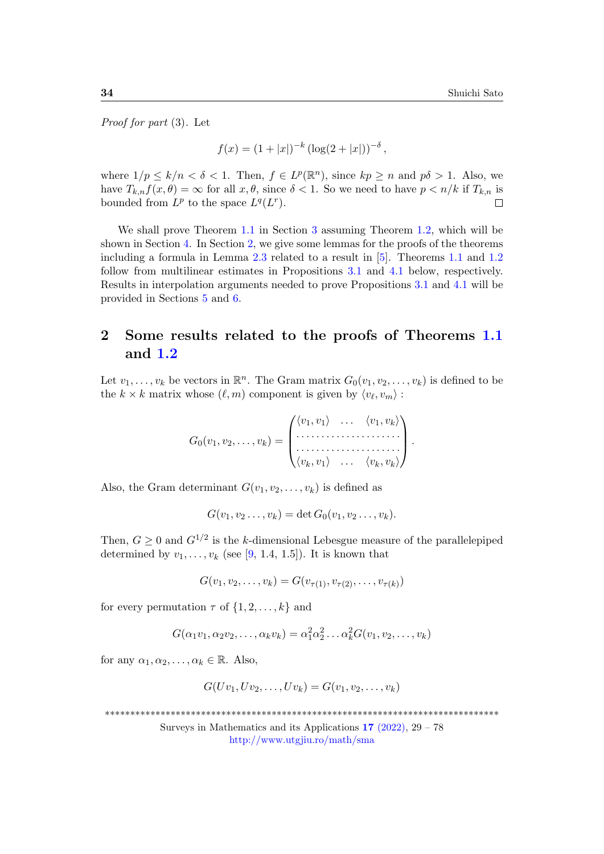Proof for part (3). Let

$$
f(x) = (1+|x|)^{-k} (\log(2+|x|))^{-\delta},
$$

where  $1/p \leq k/n < \delta < 1$ . Then,  $f \in L^p(\mathbb{R}^n)$ , since  $kp \geq n$  and  $p\delta > 1$ . Also, we have  $T_{k,n}f(x,\theta) = \infty$  for all  $x,\theta$ , since  $\delta < 1$ . So we need to have  $p < n/k$  if  $T_{k,n}$  is bounded from  $L^p$  to the space  $L^q(L^r)$ .  $\Box$ 

We shall prove Theorem [1.1](#page-2-0) in Section [3](#page-16-1) assuming Theorem [1.2,](#page-3-0) which will be shown in Section [4.](#page-22-1) In Section [2,](#page-5-0) we give some lemmas for the proofs of the theorems including a formula in Lemma [2.3](#page-8-0) related to a result in [\[5\]](#page-48-0). Theorems [1.1](#page-2-0) and [1.2](#page-3-0) follow from multilinear estimates in Propositions [3.1](#page-17-0) and [4.1](#page-22-0) below, respectively. Results in interpolation arguments needed to prove Propositions [3.1](#page-17-0) and [4.1](#page-22-0) will be provided in Sections [5](#page-28-0) and [6.](#page-34-0)

# <span id="page-5-0"></span>2 Some results related to the proofs of Theorems [1.1](#page-2-0) and [1.2](#page-3-0)

Let  $v_1, \ldots, v_k$  be vectors in  $\mathbb{R}^n$ . The Gram matrix  $G_0(v_1, v_2, \ldots, v_k)$  is defined to be the  $k \times k$  matrix whose  $(\ell, m)$  component is given by  $\langle v_{\ell}, v_m \rangle$ :

$$
G_0(v_1, v_2, \ldots, v_k) = \begin{pmatrix} \langle v_1, v_1 \rangle & \ldots & \langle v_1, v_k \rangle \\ \vdots & \vdots & \ddots & \vdots \\ \langle v_k, v_1 \rangle & \ldots & \langle v_k, v_k \rangle \end{pmatrix}.
$$

Also, the Gram determinant  $G(v_1, v_2, \ldots, v_k)$  is defined as

$$
G(v_1, v_2 \ldots, v_k) = \det G_0(v_1, v_2 \ldots, v_k).
$$

Then,  $G \geq 0$  and  $G^{1/2}$  is the k-dimensional Lebesgue measure of the parallelepiped determined by  $v_1, \ldots, v_k$  (see [\[9,](#page-48-9) 1.4, 1.5]). It is known that

 $G(v_1, v_2, \ldots, v_k) = G(v_{\tau(1)}, v_{\tau(2)}, \ldots, v_{\tau(k)})$ 

for every permutation  $\tau$  of  $\{1, 2, \ldots, k\}$  and

$$
G(\alpha_1v_1, \alpha_2v_2, \dots, \alpha_kv_k) = \alpha_1^2\alpha_2^2 \dots \alpha_k^2 G(v_1, v_2, \dots, v_k)
$$

for any  $\alpha_1, \alpha_2, \ldots, \alpha_k \in \mathbb{R}$ . Also,

$$
G(Uv_1, Uv_2, \dots, Uv_k) = G(v_1, v_2, \dots, v_k)
$$

\*\*\*\*\*\*\*\*\*\*\*\*\*\*\*\*\*\*\*\*\*\*\*\*\*\*\*\*\*\*\*\*\*\*\*\*\*\*\*\*\*\*\*\*\*\*\*\*\*\*\*\*\*\*\*\*\*\*\*\*\*\*\*\*\*\*\*\*\*\*\*\*\*\*\*\*\*\*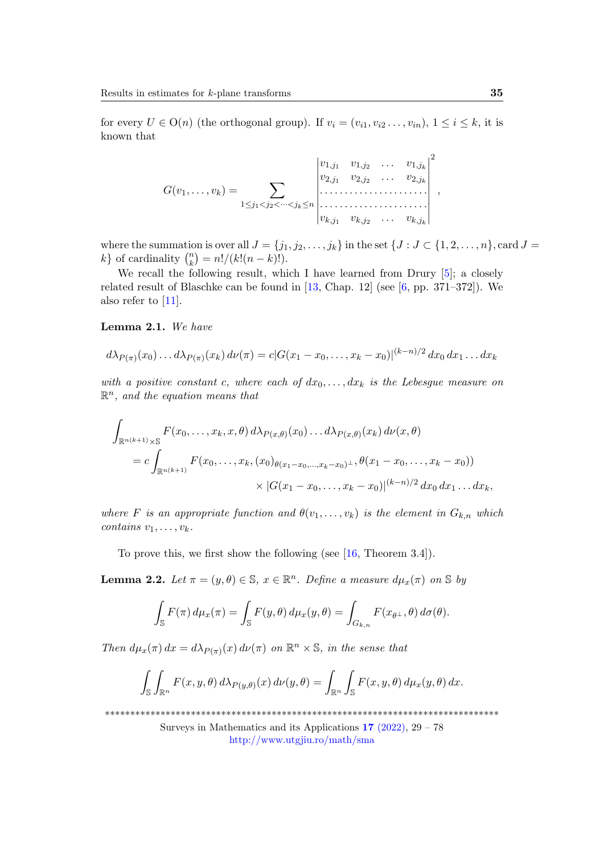for every  $U \in O(n)$  (the orthogonal group). If  $v_i = (v_{i1}, v_{i2}, \ldots, v_{in}), 1 \le i \le k$ , it is known that

$$
G(v_1,\ldots,v_k) = \sum_{1 \leq j_1 < j_2 < \cdots < j_k \leq n} \begin{vmatrix} v_{1,j_1} & v_{1,j_2} & \ldots & v_{1,j_k} \\ v_{2,j_1} & v_{2,j_2} & \ldots & v_{2,j_k} \\ \vdots & \vdots & \ddots & \vdots \\ v_{k,j_1} & v_{k,j_2} & \ldots & v_{k,j_k} \end{vmatrix}^2,
$$

where the summation is over all  $J = \{j_1, j_2, \ldots, j_k\}$  in the set  $\{J : J \subset \{1, 2, \ldots, n\}, \text{card } J =$  $k$  of cardinality  $\binom{n}{k}$  ${k \choose k} = n!/(k!(n-k)!).$ 

We recall the following result, which I have learned from Drury  $[5]$ ; a closely related result of Blaschke can be found in  $[13,$  Chap. 12 (see  $[6,$  pp. 371–372). We also refer to [\[11\]](#page-48-11).

<span id="page-6-0"></span>Lemma 2.1. We have

$$
d\lambda_{P(\pi)}(x_0)\dots d\lambda_{P(\pi)}(x_k) d\nu(\pi) = c|G(x_1-x_0,\dots,x_k-x_0)|^{(k-n)/2} dx_0 dx_1\dots dx_k
$$

with a positive constant c, where each of  $dx_0, \ldots, dx_k$  is the Lebesgue measure on  $\mathbb{R}^n$ , and the equation means that

$$
\int_{\mathbb{R}^{n(k+1)}\times\mathbb{S}} F(x_0,\ldots,x_k,x,\theta) d\lambda_{P(x,\theta)}(x_0)\ldots d\lambda_{P(x,\theta)}(x_k) d\nu(x,\theta)
$$
\n
$$
= c \int_{\mathbb{R}^{n(k+1)}} F(x_0,\ldots,x_k,(x_0)_{\theta(x_1-x_0,\ldots,x_k-x_0)^{\perp}},\theta(x_1-x_0,\ldots,x_k-x_0))
$$
\n
$$
\times |G(x_1-x_0,\ldots,x_k-x_0)|^{(k-n)/2} dx_0 dx_1\ldots dx_k,
$$

where F is an appropriate function and  $\theta(v_1,\ldots,v_k)$  is the element in  $G_{k,n}$  which contains  $v_1, \ldots, v_k$ .

To prove this, we first show the following (see [\[16,](#page-48-12) Theorem 3.4]).

<span id="page-6-1"></span>**Lemma 2.2.** Let  $\pi = (y, \theta) \in \mathbb{S}$ ,  $x \in \mathbb{R}^n$ . Define a measure  $d\mu_x(\pi)$  on  $\mathbb{S}$  by

$$
\int_{\mathbb{S}} F(\pi) d\mu_x(\pi) = \int_{\mathbb{S}} F(y, \theta) d\mu_x(y, \theta) = \int_{G_{k,n}} F(x_{\theta^{\perp}}, \theta) d\sigma(\theta).
$$

Then  $d\mu_x(\pi) dx = d\lambda_{P(\pi)}(x) d\nu(\pi)$  on  $\mathbb{R}^n \times \mathbb{S}$ , in the sense that

$$
\int_{\mathbb{S}} \int_{\mathbb{R}^n} F(x, y, \theta) d\lambda_{P(y, \theta)}(x) d\nu(y, \theta) = \int_{\mathbb{R}^n} \int_{\mathbb{S}} F(x, y, \theta) d\mu_x(y, \theta) dx.
$$

\*\*\*\*\*\*\*\*\*\*\*\*\*\*\*\*\*\*\*\*\*\*\*\*\*\*\*\*\*\*\*\*\*\*\*\*\*\*\*\*\*\*\*\*\*\*\*\*\*\*\*\*\*\*\*\*\*\*\*\*\*\*\*\*\*\*\*\*\*\*\*\*\*\*\*\*\*\*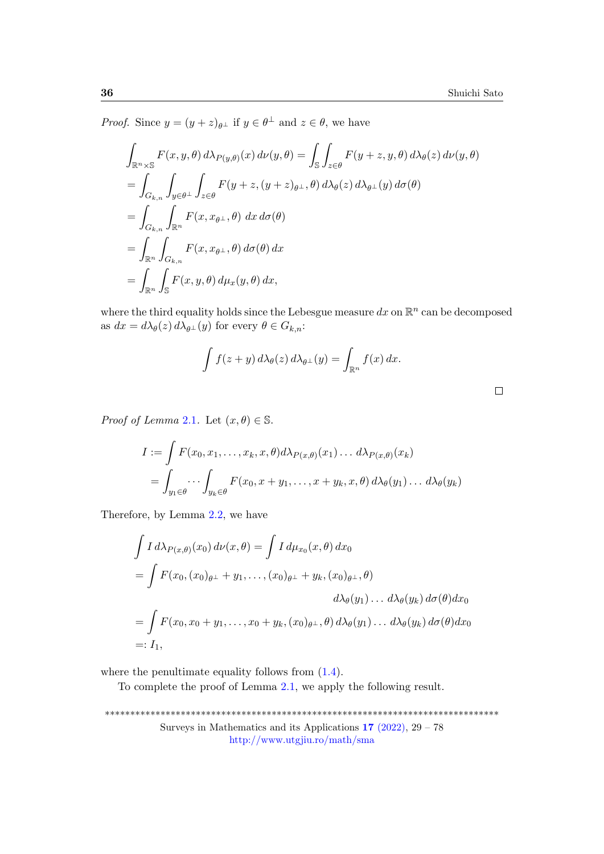$\Box$ 

*Proof.* Since  $y = (y + z)_{\theta^{\perp}}$  if  $y \in \theta^{\perp}$  and  $z \in \theta$ , we have

$$
\int_{\mathbb{R}^n \times \mathbb{S}} F(x, y, \theta) d\lambda_{P(y, \theta)}(x) d\nu(y, \theta) = \int_{\mathbb{S}} \int_{z \in \theta} F(y + z, y, \theta) d\lambda_{\theta}(z) d\nu(y, \theta)
$$
\n
$$
= \int_{G_{k,n}} \int_{y \in \theta^{\perp}} \int_{z \in \theta} F(y + z, (y + z)_{\theta^{\perp}}, \theta) d\lambda_{\theta}(z) d\lambda_{\theta^{\perp}}(y) d\sigma(\theta)
$$
\n
$$
= \int_{G_{k,n}} \int_{\mathbb{R}^n} F(x, x_{\theta^{\perp}}, \theta) dx d\sigma(\theta)
$$
\n
$$
= \int_{\mathbb{R}^n} \int_{G_{k,n}} F(x, x_{\theta^{\perp}}, \theta) d\sigma(\theta) dx
$$
\n
$$
= \int_{\mathbb{R}^n} \int_{\mathbb{S}} F(x, y, \theta) d\mu_x(y, \theta) dx,
$$

where the third equality holds since the Lebesgue measure  $dx$  on  $\mathbb{R}^n$  can be decomposed as  $dx = d\lambda_{\theta}(z) d\lambda_{\theta^{\perp}}(y)$  for every  $\theta \in G_{k,n}$ :

$$
\int f(z+y) d\lambda_{\theta}(z) d\lambda_{\theta^{\perp}}(y) = \int_{\mathbb{R}^n} f(x) dx.
$$

*Proof of Lemma [2](#page-6-0).1.* Let  $(x, \theta) \in \mathbb{S}$ .

$$
I := \int F(x_0, x_1, \dots, x_k, x, \theta) d\lambda_{P(x, \theta)}(x_1) \dots d\lambda_{P(x, \theta)}(x_k)
$$
  
= 
$$
\int_{y_1 \in \theta} \dots \int_{y_k \in \theta} F(x_0, x + y_1, \dots, x + y_k, x, \theta) d\lambda_{\theta}(y_1) \dots d\lambda_{\theta}(y_k)
$$

Therefore, by Lemma [2.2,](#page-6-1) we have

$$
\int I d\lambda_{P(x,\theta)}(x_0) d\nu(x,\theta) = \int I d\mu_{x_0}(x,\theta) dx_0
$$
  
= 
$$
\int F(x_0, (x_0)_{\theta} + y_1, \dots, (x_0)_{\theta} + y_k, (x_0)_{\theta} + \theta)
$$
  

$$
d\lambda_{\theta}(y_1) \dots d\lambda_{\theta}(y_k) d\sigma(\theta) dx_0
$$
  
= 
$$
\int F(x_0, x_0 + y_1, \dots, x_0 + y_k, (x_0)_{\theta} + \theta) d\lambda_{\theta}(y_1) \dots d\lambda_{\theta}(y_k) d\sigma(\theta) dx_0
$$
  
=:  $I_1$ ,

where the penultimate equality follows from  $(1.4)$ .

To complete the proof of Lemma [2.1,](#page-6-0) we apply the following result.

\*\*\*\*\*\*\*\*\*\*\*\*\*\*\*\*\*\*\*\*\*\*\*\*\*\*\*\*\*\*\*\*\*\*\*\*\*\*\*\*\*\*\*\*\*\*\*\*\*\*\*\*\*\*\*\*\*\*\*\*\*\*\*\*\*\*\*\*\*\*\*\*\*\*\*\*\*\* Surveys in Mathematics and its Applications  $17$  [\(2022\),](http://www.utgjiu.ro/math/sma/v17/v17.html)  $29 - 78$ <http://www.utgjiu.ro/math/sma>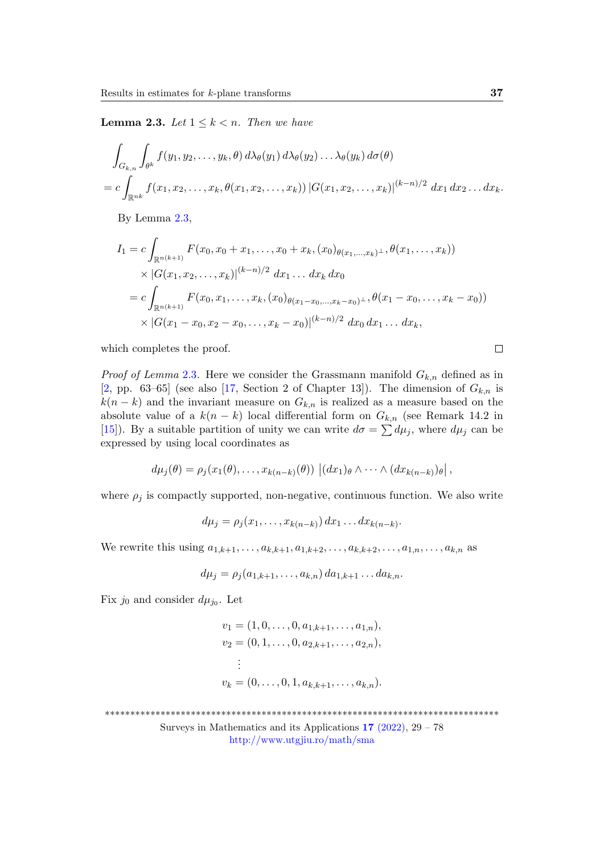<span id="page-8-0"></span>**Lemma 2.3.** Let  $1 \leq k < n$ . Then we have

$$
\int_{G_{k,n}} \int_{\theta^k} f(y_1, y_2, \dots, y_k, \theta) d\lambda_{\theta}(y_1) d\lambda_{\theta}(y_2) \dots \lambda_{\theta}(y_k) d\sigma(\theta)
$$
  
= 
$$
c \int_{\mathbb{R}^{nk}} f(x_1, x_2, \dots, x_k, \theta(x_1, x_2, \dots, x_k)) |G(x_1, x_2, \dots, x_k)|^{(k-n)/2} dx_1 dx_2 \dots dx_k.
$$

By Lemma [2.3,](#page-8-0)

$$
I_1 = c \int_{\mathbb{R}^{n(k+1)}} F(x_0, x_0 + x_1, \dots, x_0 + x_k, (x_0)_{\theta(x_1, \dots, x_k)^\perp}, \theta(x_1, \dots, x_k))
$$
  
 
$$
\times |G(x_1, x_2, \dots, x_k)|^{(k-n)/2} dx_1 \dots dx_k dx_0
$$
  
= 
$$
c \int_{\mathbb{R}^{n(k+1)}} F(x_0, x_1, \dots, x_k, (x_0)_{\theta(x_1 - x_0, \dots, x_k - x_0)^\perp}, \theta(x_1 - x_0, \dots, x_k - x_0))
$$
  

$$
\times |G(x_1 - x_0, x_2 - x_0, \dots, x_k - x_0)|^{(k-n)/2} dx_0 dx_1 \dots dx_k,
$$

which completes the proof.

*Proof of Lemma* [2](#page-8-0).3. Here we consider the Grassmann manifold  $G_{k,n}$  defined as in [\[2,](#page-47-2) pp. 63–65] (see also [\[17,](#page-48-5) Section 2 of Chapter 13]). The dimension of  $G_{k,n}$  is  $k(n - k)$  and the invariant measure on  $G_{k,n}$  is realized as a measure based on the absolute value of a  $k(n - k)$  local differential form on  $G_{k,n}$  (see Remark 14.2 in [\[15\]](#page-48-6)). By a suitable partition of unity we can write  $d\sigma = \sum d\mu_j$ , where  $d\mu_j$  can be expressed by using local coordinates as

$$
d\mu_j(\theta) = \rho_j(x_1(\theta), \ldots, x_{k(n-k)}(\theta)) \left| (dx_1)_{\theta} \wedge \cdots \wedge (dx_{k(n-k)})_{\theta} \right|,
$$

where  $\rho_j$  is compactly supported, non-negative, continuous function. We also write

$$
d\mu_j = \rho_j(x_1,\ldots,x_{k(n-k)}) dx_1\ldots dx_{k(n-k)}.
$$

We rewrite this using  $a_{1,k+1}, \ldots, a_{k,k+1}, a_{1,k+2}, \ldots, a_{k,k+2}, \ldots, a_{1,n}, \ldots, a_{k,n}$  as

$$
d\mu_j = \rho_j(a_{1,k+1}, \dots, a_{k,n}) \, da_{1,k+1} \dots da_{k,n}.
$$

Fix  $j_0$  and consider  $d\mu_{j_0}$ . Let

$$
v_1 = (1, 0, \dots, 0, a_{1,k+1}, \dots, a_{1,n}),
$$
  
\n
$$
v_2 = (0, 1, \dots, 0, a_{2,k+1}, \dots, a_{2,n}),
$$
  
\n
$$
\vdots
$$
  
\n
$$
v_k = (0, \dots, 0, 1, a_{k,k+1}, \dots, a_{k,n}).
$$

\*\*\*\*\*\*\*\*\*\*\*\*\*\*\*\*\*\*\*\*\*\*\*\*\*\*\*\*\*\*\*\*\*\*\*\*\*\*\*\*\*\*\*\*\*\*\*\*\*\*\*\*\*\*\*\*\*\*\*\*\*\*\*\*\*\*\*\*\*\*\*\*\*\*\*\*\*\*

Surveys in Mathematics and its Applications  $17$  [\(2022\),](http://www.utgjiu.ro/math/sma/v17/v17.html)  $29 - 78$ <http://www.utgjiu.ro/math/sma>

 $\Box$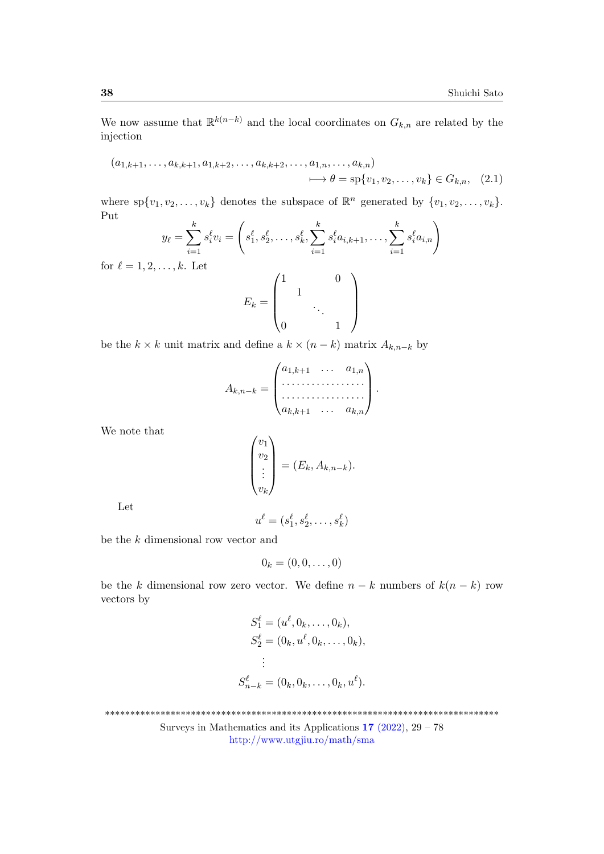We now assume that  $\mathbb{R}^{k(n-k)}$  and the local coordinates on  $G_{k,n}$  are related by the injection

$$
(a_{1,k+1},...,a_{k,k+1},a_{1,k+2},...,a_{k,k+2},...,a_{1,n},...,a_{k,n})
$$
  

$$
\longrightarrow \theta = \text{sp}\{v_1, v_2,...,v_k\} \in G_{k,n}, \quad (2.1)
$$

where  $sp{v_1, v_2, \ldots, v_k}$  denotes the subspace of  $\mathbb{R}^n$  generated by  $\{v_1, v_2, \ldots, v_k\}$ . Put k k<sub>k</sub> iai,n)

$$
y_{\ell} = \sum_{i=1}^{k} s_{i}^{\ell} v_{i} = \begin{pmatrix} s_{1}^{\ell}, s_{2}^{\ell}, \dots, s_{k}^{\ell}, \sum_{i=1}^{k} s_{i}^{\ell} a_{i,k+1}, \dots, \sum_{i=1}^{k} s_{i}^{\ell} a_{i,n} \end{pmatrix}
$$
 for  $\ell = 1, 2, \dots, k$ . Let  

$$
E_{k} = \begin{pmatrix} 1 & 0 \\ & 1 \\ & & \ddots \\ 0 & & 1 \end{pmatrix}
$$

be the  $k \times k$  unit matrix and define a  $k \times (n - k)$  matrix  $A_{k,n-k}$  by

<span id="page-9-0"></span>
$$
A_{k,n-k} = \begin{pmatrix} a_{1,k+1} & \dots & a_{1,n} \\ \dots & \dots & \dots \\ \dots & \dots & \dots \\ a_{k,k+1} & \dots & a_{k,n} \end{pmatrix}.
$$

We note that

$$
\begin{pmatrix} v_1 \\ v_2 \\ \vdots \\ v_k \end{pmatrix} = (E_k, A_{k,n-k}).
$$

Let

$$
u^{\ell} = (s_1^{\ell}, s_2^{\ell}, \dots, s_k^{\ell})
$$

be the k dimensional row vector and

$$
0_k=(0,0,\ldots,0)
$$

be the k dimensional row zero vector. We define  $n - k$  numbers of  $k(n - k)$  row vectors by

$$
S_1^{\ell} = (u^{\ell}, 0_k, \dots, 0_k),
$$
  
\n
$$
S_2^{\ell} = (0_k, u^{\ell}, 0_k, \dots, 0_k),
$$
  
\n
$$
\vdots
$$
  
\n
$$
S_{n-k}^{\ell} = (0_k, 0_k, \dots, 0_k, u^{\ell}).
$$

\*\*\*\*\*\*\*\*\*\*\*\*\*\*\*\*\*\*\*\*\*\*\*\*\*\*\*\*\*\*\*\*\*\*\*\*\*\*\*\*\*\*\*\*\*\*\*\*\*\*\*\*\*\*\*\*\*\*\*\*\*\*\*\*\*\*\*\*\*\*\*\*\*\*\*\*\*\*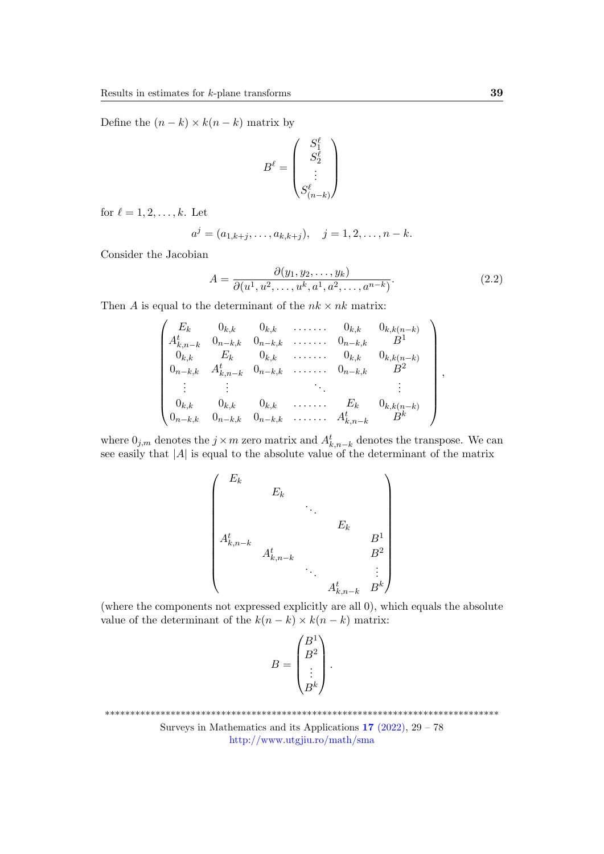Define the  $(n - k) \times k(n - k)$  matrix by

$$
B^{\ell} = \begin{pmatrix} S_1^{\ell} \\ S_2^{\ell} \\ \vdots \\ S_{(n-k)}^{\ell} \end{pmatrix}
$$

for  $\ell = 1, 2, \ldots, k$ . Let

$$
a^{j} = (a_{1,k+j}, \ldots, a_{k,k+j}), \quad j = 1, 2, \ldots, n-k.
$$

Consider the Jacobian

 $\overline{a}$ 

$$
A = \frac{\partial(y_1, y_2, \dots, y_k)}{\partial(u^1, u^2, \dots, u^k, a^1, a^2, \dots, a^{n-k})}.
$$
\n(2.2)

,

Then A is equal to the determinant of the  $nk \times nk$  matrix:

$$
\begin{pmatrix}\nE_k & 0_{k,k} & 0_{k,k} & \dots & 0_{k,k} & 0_{k,k(n-k)} \\
A_{k,n-k}^t & 0_{n-k,k} & 0_{n-k,k} & \dots & 0_{n-k,k} & B^1 \\
0_{k,k} & E_k & 0_{k,k} & \dots & 0_{k,k} & 0_{k,k(n-k)} \\
0_{n-k,k} & A_{k,n-k}^t & 0_{n-k,k} & \dots & 0_{n-k,k} & B^2 \\
\vdots & \vdots & \ddots & \vdots & \vdots \\
0_{k,k} & 0_{k,k} & 0_{k,k} & \dots & E_k & 0_{k,k(n-k)} \\
0_{n-k,k} & 0_{n-k,k} & 0_{n-k,k} & \dots & A_{k,n-k}^t & B^k\n\end{pmatrix}
$$

where  $0_{j,m}$  denotes the  $j \times m$  zero matrix and  $A_{k,n-k}^t$  denotes the transpose. We can see easily that  $|A|$  is equal to the absolute value of the determinant of the matrix

$$
\begin{pmatrix}\nE_k & & & & & \\
& E_k & & & & \\
& & \ddots & & & \\
A_{k,n-k}^t & & & & \\
& & & A_{k,n-k}^t & & \\
& & & & \ddots & \\
& & & & A_{k,n-k}^t & B^k\n\end{pmatrix}
$$

(where the components not expressed explicitly are all 0), which equals the absolute value of the determinant of the  $k(n - k) \times k(n - k)$  matrix:

$$
B = \begin{pmatrix} B^1 \\ B^2 \\ \vdots \\ B^k \end{pmatrix}.
$$

\*\*\*\*\*\*\*\*\*\*\*\*\*\*\*\*\*\*\*\*\*\*\*\*\*\*\*\*\*\*\*\*\*\*\*\*\*\*\*\*\*\*\*\*\*\*\*\*\*\*\*\*\*\*\*\*\*\*\*\*\*\*\*\*\*\*\*\*\*\*\*\*\*\*\*\*\*\*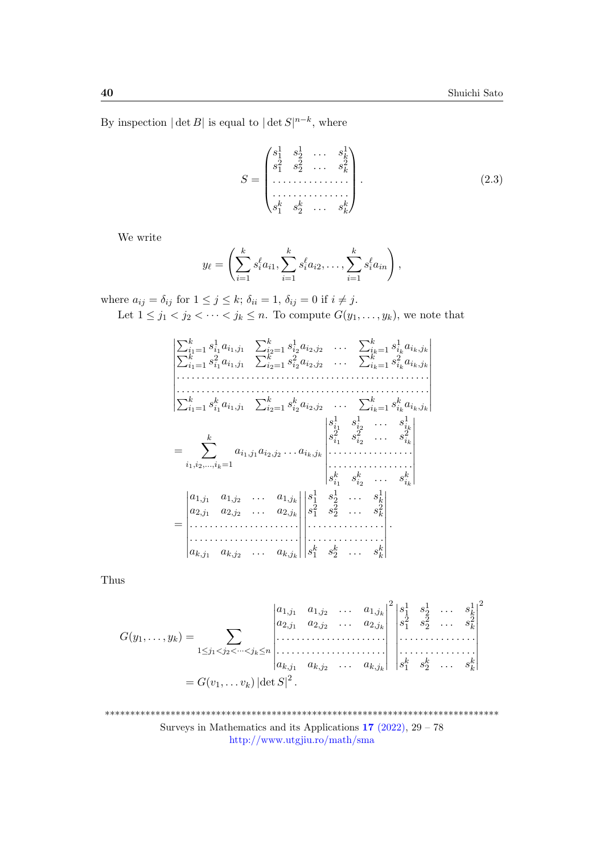By inspection  $|\det B|$  is equal to  $|\det S|^{n-k}$ , where

<span id="page-11-0"></span>
$$
S = \begin{pmatrix} s_1^1 & s_2^1 & \dots & s_k^1 \\ s_1^2 & s_2^2 & \dots & s_k^2 \\ \dots & \dots & \dots & \dots \\ \dots & \dots & \dots & \dots \\ s_1^k & s_2^k & \dots & s_k^k \end{pmatrix} .
$$
 (2.3)

We write

$$
y_{\ell} = \left(\sum_{i=1}^{k} s_i^{\ell} a_{i1}, \sum_{i=1}^{k} s_i^{\ell} a_{i2}, \ldots, \sum_{i=1}^{k} s_i^{\ell} a_{in}\right),
$$

where  $a_{ij} = \delta_{ij}$  for  $1 \leq j \leq k$ ;  $\delta_{ii} = 1$ ,  $\delta_{ij} = 0$  if  $i \neq j$ .

Let  $1 \leq j_1 < j_2 < \cdots < j_k \leq n$ . To compute  $G(y_1, \ldots, y_k)$ , we note that

⏐ ⏐ ⏐ ⏐ ⏐ ⏐ ⏐ ⏐ ⏐ ⏐ ⏐ ∑<sup>k</sup> <sup>i</sup>1=1 s 1 i1 ai1,j<sup>1</sup> ∑<sup>k</sup> <sup>i</sup>2=1 s 1 i2 ai2,j<sup>2</sup> . . . ∑<sup>k</sup> <sup>i</sup>k=1 s 1 ik ∑ aik,j<sup>k</sup> k <sup>i</sup>1=1 s 2 i1 ai1,j<sup>1</sup> ∑<sup>k</sup> <sup>i</sup>2=1 s 2 i2 ai2,j<sup>2</sup> . . . ∑<sup>k</sup> <sup>i</sup>k=1 s 2 ik aik,j<sup>k</sup> . . . . . . . . . . . . . . . . . . . . . . . . . . . . . . . . . . . . . . . . . . . . . . . . . . . . . . . . . . . . . . . . . . . . . . . . . . . . . . . . . . . . . . . . . . . . . . . . . . . . . . ∑<sup>k</sup> <sup>i</sup>1=1 s k i1 ai1,j<sup>1</sup> ∑<sup>k</sup> <sup>i</sup>2=1 s k i2 ai2,j<sup>2</sup> . . . ∑<sup>k</sup> <sup>i</sup>k=1 s k ik aik,j<sup>k</sup> ⏐ ⏐ ⏐ ⏐ ⏐ ⏐ ⏐ ⏐ ⏐ ⏐ ⏐ = ∑ k i1,i2,...,ik=1 ai1,j<sup>1</sup> ai2,j<sup>2</sup> . . . aik,j<sup>k</sup> ⏐ ⏐ ⏐ ⏐ ⏐ ⏐ ⏐ ⏐ ⏐ ⏐ s 1 i1 s 1 i2 . . . s<sup>1</sup> ik s 2 i1 s 2 i2 . . . s<sup>2</sup> ik . . . . . . . . . . . . . . . . . . . . . . . . . . . . . . . . . . s k i1 s k i2 . . . s<sup>k</sup> ik ⏐ ⏐ ⏐ ⏐ ⏐ ⏐ ⏐ ⏐ ⏐ ⏐ = ⏐ ⏐ ⏐ ⏐ ⏐ ⏐ ⏐ ⏐ ⏐ ⏐ a1,j<sup>1</sup> a1,j<sup>2</sup> . . . a1,j<sup>k</sup> a2,j<sup>1</sup> a2,j<sup>2</sup> . . . a2,j<sup>k</sup> . . . . . . . . . . . . . . . . . . . . . . . . . . . . . . . . . . . . . . . . . . . . ak,j<sup>1</sup> ak,j<sup>2</sup> . . . ak,j<sup>k</sup> ⏐ ⏐ ⏐ ⏐ ⏐ ⏐ ⏐ ⏐ ⏐ ⏐ ⏐ ⏐ ⏐ ⏐ ⏐ ⏐ ⏐ ⏐ ⏐ ⏐ s 1 1 s 1 2 . . . s<sup>1</sup> k s 2 1 s 2 2 . . . s<sup>2</sup> k . . . . . . . . . . . . . . . . . . . . . . . . . . . . . . s k 1 s k 2 . . . s<sup>k</sup> k ⏐ ⏐ ⏐ ⏐ ⏐ ⏐ ⏐ ⏐ ⏐ ⏐ .

Thus

$$
G(y_1, ..., y_k) = \sum_{1 \leq j_1 < j_2 < \cdots < j_k \leq n} \begin{vmatrix} a_{1,j_1} & a_{1,j_2} & \cdots & a_{1,j_k} \\ a_{2,j_1} & a_{2,j_2} & \cdots & a_{2,j_k} \\ \vdots & \vdots & \ddots & \vdots \\ a_{k,j_1} & a_{k,j_2} & \cdots & a_{k,j_k} \end{vmatrix} = G(v_1, ..., v_k) |\det S|^2.
$$

\*\*\*\*\*\*\*\*\*\*\*\*\*\*\*\*\*\*\*\*\*\*\*\*\*\*\*\*\*\*\*\*\*\*\*\*\*\*\*\*\*\*\*\*\*\*\*\*\*\*\*\*\*\*\*\*\*\*\*\*\*\*\*\*\*\*\*\*\*\*\*\*\*\*\*\*\*\* Surveys in Mathematics and its Applications  $17$  [\(2022\),](http://www.utgjiu.ro/math/sma/v17/v17.html)  $29 - 78$ <http://www.utgjiu.ro/math/sma>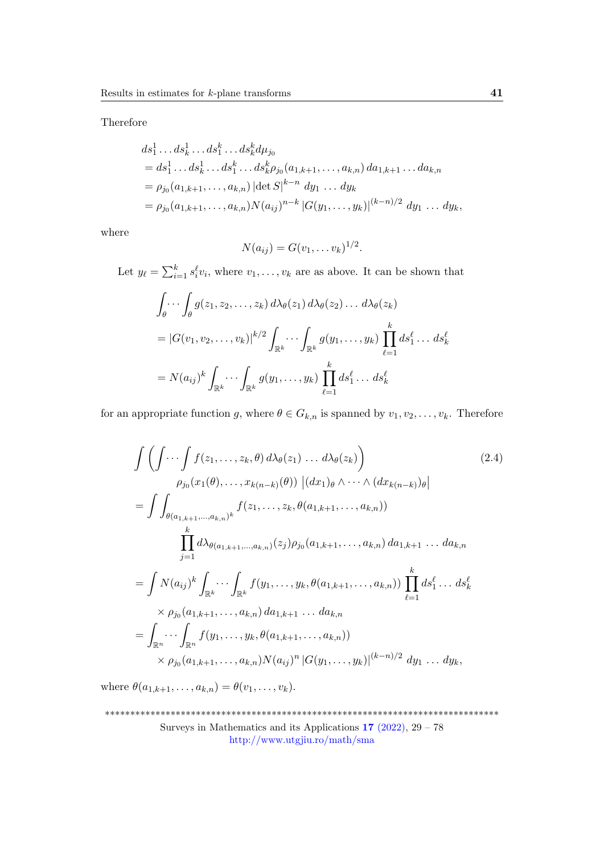Therefore

$$
ds_1^1 \dots ds_k^1 \dots ds_1^k \dots ds_k^k d\mu_{j_0}
$$
  
=  $ds_1^1 \dots ds_k^1 \dots ds_1^k \dots ds_k^k \rho_{j_0}(a_{1,k+1}, \dots, a_{k,n}) da_{1,k+1} \dots da_{k,n}$   
=  $\rho_{j_0}(a_{1,k+1}, \dots, a_{k,n}) |\text{det } S|^{k-n} dy_1 \dots dy_k$   
=  $\rho_{j_0}(a_{1,k+1}, \dots, a_{k,n}) N(a_{ij})^{n-k} |G(y_1, \dots, y_k)|^{(k-n)/2} dy_1 \dots dy_k$ ,

where

<span id="page-12-0"></span>
$$
N(a_{ij})=G(v_1,\ldots v_k)^{1/2}.
$$

Let  $y_{\ell} = \sum_{i=1}^{k} s_i^{\ell} v_i$ , where  $v_1, \ldots, v_k$  are as above. It can be shown that

$$
\int_{\theta} \cdots \int_{\theta} g(z_1, z_2, \ldots, z_k) d\lambda_{\theta}(z_1) d\lambda_{\theta}(z_2) \ldots d\lambda_{\theta}(z_k)
$$
\n
$$
= |G(v_1, v_2, \ldots, v_k)|^{k/2} \int_{\mathbb{R}^k} \cdots \int_{\mathbb{R}^k} g(y_1, \ldots, y_k) \prod_{\ell=1}^k ds_1^{\ell} \ldots ds_k^{\ell}
$$
\n
$$
= N(a_{ij})^k \int_{\mathbb{R}^k} \cdots \int_{\mathbb{R}^k} g(y_1, \ldots, y_k) \prod_{\ell=1}^k ds_1^{\ell} \ldots ds_k^{\ell}
$$

for an appropriate function g, where  $\theta \in G_{k,n}$  is spanned by  $v_1, v_2, \ldots, v_k$ . Therefore

$$
\int \left( \int \cdots \int f(z_1, \ldots, z_k, \theta) d\lambda_{\theta}(z_1) \ldots d\lambda_{\theta}(z_k) \right) \qquad (2.4)
$$
\n
$$
\rho_{j_0}(x_1(\theta), \ldots, x_{k(n-k)}(\theta)) |(dx_1)_{\theta} \wedge \cdots \wedge (dx_{k(n-k)})_{\theta}|
$$
\n
$$
= \int \int_{\theta(a_{1,k+1}, \ldots, a_{k,n})^k} f(z_1, \ldots, z_k, \theta(a_{1,k+1}, \ldots, a_{k,n}))
$$
\n
$$
\prod_{j=1}^k d\lambda_{\theta(a_{1,k+1}, \ldots, a_{k,n})}(z_j) \rho_{j_0}(a_{1,k+1}, \ldots, a_{k,n}) da_{1,k+1} \ldots da_{k,n}
$$
\n
$$
= \int N(a_{ij})^k \int_{\mathbb{R}^k} \cdots \int_{\mathbb{R}^k} f(y_1, \ldots, y_k, \theta(a_{1,k+1}, \ldots, a_{k,n})) \prod_{\ell=1}^k ds_1^{\ell} \ldots ds_k^{\ell}
$$
\n
$$
\times \rho_{j_0}(a_{1,k+1}, \ldots, a_{k,n}) da_{1,k+1} \ldots da_{k,n}
$$
\n
$$
= \int_{\mathbb{R}^n} \cdots \int_{\mathbb{R}^n} f(y_1, \ldots, y_k, \theta(a_{1,k+1}, \ldots, a_{k,n}))
$$
\n
$$
\times \rho_{j_0}(a_{1,k+1}, \ldots, a_{k,n}) N(a_{ij})^n |G(y_1, \ldots, y_k)|^{(k-n)/2} dy_1 \ldots dy_k,
$$
\n(2.4)

where  $\theta(a_{1,k+1},...,a_{k,n}) = \theta(v_1,...,v_k)$ .

<sup>\*\*\*\*\*\*\*\*\*\*\*\*\*\*\*\*\*\*\*\*\*\*\*\*\*\*\*\*\*\*\*\*\*\*\*\*\*\*\*\*\*\*\*\*\*\*\*\*\*\*\*\*\*\*\*\*\*\*\*\*\*\*\*\*\*\*\*\*\*\*\*\*\*\*\*\*\*\*</sup> Surveys in Mathematics and its Applications  $17$  [\(2022\),](http://www.utgjiu.ro/math/sma/v17/v17.html) 29 – 78 <http://www.utgjiu.ro/math/sma>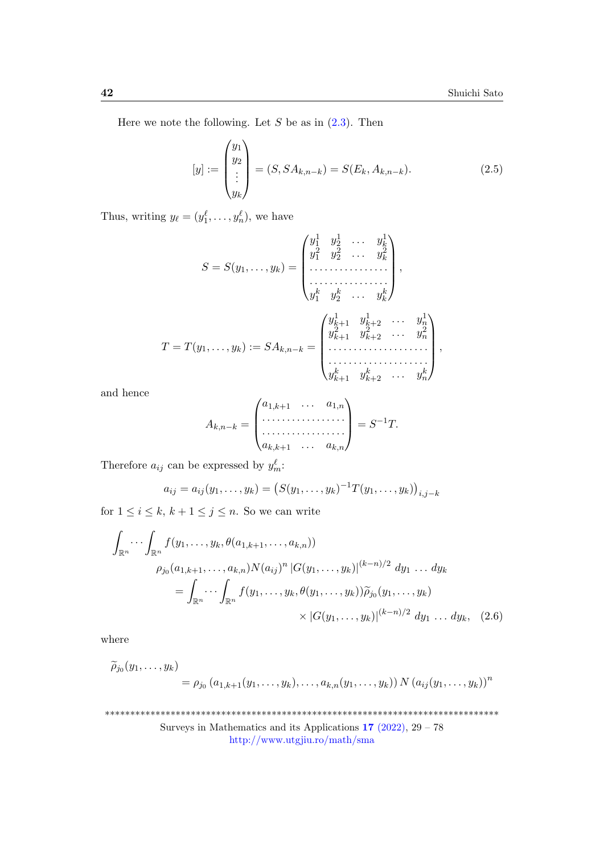Here we note the following. Let  $S$  be as in  $(2.3)$ . Then

<span id="page-13-0"></span>
$$
[y] := \begin{pmatrix} y_1 \\ y_2 \\ \vdots \\ y_k \end{pmatrix} = (S, SA_{k,n-k}) = S(E_k, A_{k,n-k}).
$$
 (2.5)

Thus, writing  $y_{\ell} = (y_1^{\ell}, \ldots, y_n^{\ell}),$  we have

$$
S = S(y_1, ..., y_k) = \begin{pmatrix} y_1^1 & y_2^1 & \cdots & y_k^1 \\ y_1^2 & y_2^2 & \cdots & y_k^2 \\ \vdots & \vdots & \ddots & \vdots \\ y_1^k & y_2^k & \cdots & y_k^k \end{pmatrix},
$$
  

$$
T = T(y_1, ..., y_k) := SA_{k,n-k} = \begin{pmatrix} y_{k+1}^1 & y_{k+2}^1 & \cdots & y_n^1 \\ y_{k+1}^2 & y_{k+2}^2 & \cdots & y_n^2 \\ \vdots & \vdots & \ddots & \vdots \\ y_{k+1}^k & y_{k+2}^k & \cdots & y_n^k \end{pmatrix},
$$

and hence

$$
A_{k,n-k} = \begin{pmatrix} a_{1,k+1} & \cdots & a_{1,n} \\ \cdots & \cdots & \cdots \\ \cdots & \cdots & \cdots \\ a_{k,k+1} & \cdots & a_{k,n} \end{pmatrix} = S^{-1}T.
$$

Therefore  $a_{ij}$  can be expressed by  $y_m^{\ell}$ .

<span id="page-13-1"></span>
$$
a_{ij} = a_{ij}(y_1, \dots, y_k) = (S(y_1, \dots, y_k))^{-1} T(y_1, \dots, y_k))_{i,j-k}
$$

for  $1 \leq i \leq k, k+1 \leq j \leq n$ . So we can write

$$
\int_{\mathbb{R}^n} \cdots \int_{\mathbb{R}^n} f(y_1, \ldots, y_k, \theta(a_{1,k+1}, \ldots, a_{k,n}))
$$
\n
$$
\rho_{j_0}(a_{1,k+1}, \ldots, a_{k,n}) N(a_{ij})^n |G(y_1, \ldots, y_k)|^{(k-n)/2} dy_1 \ldots dy_k
$$
\n
$$
= \int_{\mathbb{R}^n} \cdots \int_{\mathbb{R}^n} f(y_1, \ldots, y_k, \theta(y_1, \ldots, y_k)) \widetilde{\rho}_{j_0}(y_1, \ldots, y_k)
$$
\n
$$
\times |G(y_1, \ldots, y_k)|^{(k-n)/2} dy_1 \ldots dy_k, \quad (2.6)
$$

where

$$
\widetilde{\rho}_{j_0}(y_1,\ldots,y_k) = \rho_{j_0}(a_{1,k+1}(y_1,\ldots,y_k),\ldots,a_{k,n}(y_1,\ldots,y_k)) N (a_{ij}(y_1,\ldots,y_k))^n
$$

\*\*\*\*\*\*\*\*\*\*\*\*\*\*\*\*\*\*\*\*\*\*\*\*\*\*\*\*\*\*\*\*\*\*\*\*\*\*\*\*\*\*\*\*\*\*\*\*\*\*\*\*\*\*\*\*\*\*\*\*\*\*\*\*\*\*\*\*\*\*\*\*\*\*\*\*\*\* Surveys in Mathematics and its Applications  $17$  [\(2022\),](http://www.utgjiu.ro/math/sma/v17/v17.html)  $29 - 78$ <http://www.utgjiu.ro/math/sma>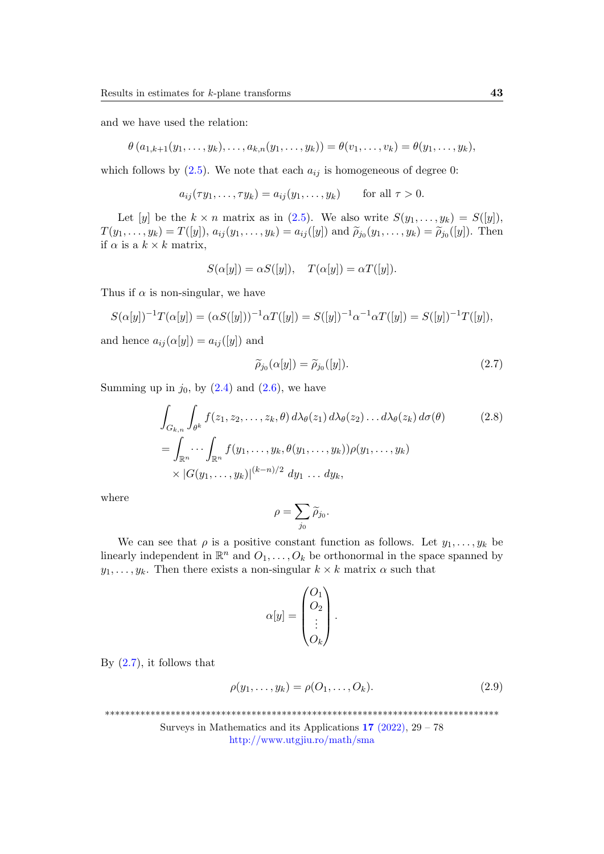and we have used the relation:

$$
\theta (a_{1,k+1}(y_1,\ldots,y_k),\ldots,a_{k,n}(y_1,\ldots,y_k)) = \theta (v_1,\ldots,v_k) = \theta (y_1,\ldots,y_k),
$$

which follows by  $(2.5)$ . We note that each  $a_{ij}$  is homogeneous of degree 0:

$$
a_{ij}(\tau y_1, \ldots, \tau y_k) = a_{ij}(y_1, \ldots, y_k) \quad \text{for all } \tau > 0.
$$

Let [y] be the  $k \times n$  matrix as in [\(2.5\)](#page-13-0). We also write  $S(y_1, \ldots, y_k) = S([y])$ ,  $T(y_1, \ldots, y_k) = T([y]), \ a_{ij}(y_1, \ldots, y_k) = a_{ij}([y])$  and  $\widetilde{\rho}_{j_0}(y_1, \ldots, y_k) = \widetilde{\rho}_{j_0}([y])$ . Then<br>if  $\alpha$  is a  $k \times k$  matrix if  $\alpha$  is a  $k \times k$  matrix,

$$
S(\alpha[y]) = \alpha S([y]), \quad T(\alpha[y]) = \alpha T([y]).
$$

Thus if  $\alpha$  is non-singular, we have

$$
S(\alpha[y])^{-1}T(\alpha[y]) = (\alpha S([y]))^{-1}\alpha T([y]) = S([y])^{-1}\alpha^{-1}\alpha T([y]) = S([y])^{-1}T([y]),
$$

and hence  $a_{ij}(\alpha[y]) = a_{ij}([y])$  and

<span id="page-14-0"></span>
$$
\widetilde{\rho}_{j_0}(\alpha[y]) = \widetilde{\rho}_{j_0}([y]). \tag{2.7}
$$

Summing up in  $j_0$ , by  $(2.4)$  and  $(2.6)$ , we have

$$
\int_{G_{k,n}} \int_{\theta^k} f(z_1, z_2, \dots, z_k, \theta) d\lambda_{\theta}(z_1) d\lambda_{\theta}(z_2) \dots d\lambda_{\theta}(z_k) d\sigma(\theta)
$$
\n
$$
= \int_{\mathbb{R}^n} \dots \int_{\mathbb{R}^n} f(y_1, \dots, y_k, \theta(y_1, \dots, y_k)) \rho(y_1, \dots, y_k)
$$
\n
$$
\times |G(y_1, \dots, y_k)|^{(k-n)/2} dy_1 \dots dy_k,
$$
\n(2.8)

where

<span id="page-14-1"></span>
$$
\rho = \sum_{j_0} \widetilde{\rho}_{j_0}.
$$

We can see that  $\rho$  is a positive constant function as follows. Let  $y_1, \ldots, y_k$  be linearly independent in  $\mathbb{R}^n$  and  $O_1, \ldots, O_k$  be orthonormal in the space spanned by  $y_1, \ldots, y_k$ . Then there exists a non-singular  $k \times k$  matrix  $\alpha$  such that

$$
\alpha[y] = \begin{pmatrix} O_1 \\ O_2 \\ \vdots \\ O_k \end{pmatrix}.
$$

By  $(2.7)$ , it follows that

<span id="page-14-2"></span>
$$
\rho(y_1,\ldots,y_k)=\rho(O_1,\ldots,O_k). \tag{2.9}
$$

\*\*\*\*\*\*\*\*\*\*\*\*\*\*\*\*\*\*\*\*\*\*\*\*\*\*\*\*\*\*\*\*\*\*\*\*\*\*\*\*\*\*\*\*\*\*\*\*\*\*\*\*\*\*\*\*\*\*\*\*\*\*\*\*\*\*\*\*\*\*\*\*\*\*\*\*\*\*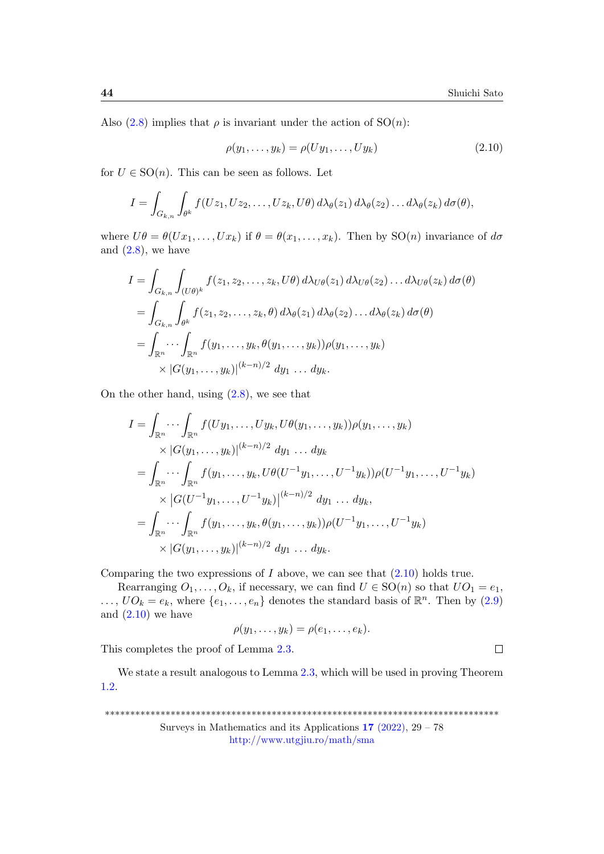$\Box$ 

Also  $(2.8)$  implies that  $\rho$  is invariant under the action of  $SO(n)$ :

<span id="page-15-0"></span>
$$
\rho(y_1,\ldots,y_k)=\rho(Uy_1,\ldots,Uy_k) \qquad (2.10)
$$

for  $U \in SO(n)$ . This can be seen as follows. Let

$$
I = \int_{G_{k,n}} \int_{\theta^k} f(Uz_1, Uz_2, \dots, Uz_k, U\theta) d\lambda_{\theta}(z_1) d\lambda_{\theta}(z_2) \dots d\lambda_{\theta}(z_k) d\sigma(\theta),
$$

where  $U\theta = \theta(Ux_1, \ldots, Ux_k)$  if  $\theta = \theta(x_1, \ldots, x_k)$ . Then by  $SO(n)$  invariance of  $d\sigma$ and  $(2.8)$ , we have

$$
I = \int_{G_{k,n}} \int_{(U\theta)^k} f(z_1, z_2, \dots, z_k, U\theta) d\lambda_{U\theta}(z_1) d\lambda_{U\theta}(z_2) \dots d\lambda_{U\theta}(z_k) d\sigma(\theta)
$$
  
= 
$$
\int_{G_{k,n}} \int_{\theta^k} f(z_1, z_2, \dots, z_k, \theta) d\lambda_{\theta}(z_1) d\lambda_{\theta}(z_2) \dots d\lambda_{\theta}(z_k) d\sigma(\theta)
$$
  
= 
$$
\int_{\mathbb{R}^n} \cdots \int_{\mathbb{R}^n} f(y_1, \dots, y_k, \theta(y_1, \dots, y_k)) \rho(y_1, \dots, y_k)
$$
  
 
$$
\times |G(y_1, \dots, y_k)|^{(k-n)/2} dy_1 \dots dy_k.
$$

On the other hand, using  $(2.8)$ , we see that

$$
I = \int_{\mathbb{R}^n} \cdots \int_{\mathbb{R}^n} f(Uy_1, \ldots, Uy_k, U\theta(y_1, \ldots, y_k)) \rho(y_1, \ldots, y_k)
$$
  
\n
$$
\times |G(y_1, \ldots, y_k)|^{(k-n)/2} dy_1 \ldots dy_k
$$
  
\n
$$
= \int_{\mathbb{R}^n} \cdots \int_{\mathbb{R}^n} f(y_1, \ldots, y_k, U\theta(U^{-1}y_1, \ldots, U^{-1}y_k)) \rho(U^{-1}y_1, \ldots, U^{-1}y_k)
$$
  
\n
$$
\times |G(U^{-1}y_1, \ldots, U^{-1}y_k)|^{(k-n)/2} dy_1 \ldots dy_k,
$$
  
\n
$$
= \int_{\mathbb{R}^n} \cdots \int_{\mathbb{R}^n} f(y_1, \ldots, y_k, \theta(y_1, \ldots, y_k)) \rho(U^{-1}y_1, \ldots, U^{-1}y_k)
$$
  
\n
$$
\times |G(y_1, \ldots, y_k)|^{(k-n)/2} dy_1 \ldots dy_k.
$$

Comparing the two expressions of  $I$  above, we can see that  $(2.10)$  holds true.

Rearranging  $O_1, \ldots, O_k$ , if necessary, we can find  $U \in SO(n)$  so that  $UO_1 = e_1$ ,  $\dots, UO_k = e_k$ , where  $\{e_1, \dots, e_n\}$  denotes the standard basis of  $\mathbb{R}^n$ . Then by [\(2.9\)](#page-14-2) and  $(2.10)$  we have

$$
\rho(y_1,\ldots,y_k)=\rho(e_1,\ldots,e_k).
$$

This completes the proof of Lemma [2.3.](#page-8-0)

We state a result analogous to Lemma [2.3,](#page-8-0) which will be used in proving Theorem [1.2.](#page-3-0)

\*\*\*\*\*\*\*\*\*\*\*\*\*\*\*\*\*\*\*\*\*\*\*\*\*\*\*\*\*\*\*\*\*\*\*\*\*\*\*\*\*\*\*\*\*\*\*\*\*\*\*\*\*\*\*\*\*\*\*\*\*\*\*\*\*\*\*\*\*\*\*\*\*\*\*\*\*\*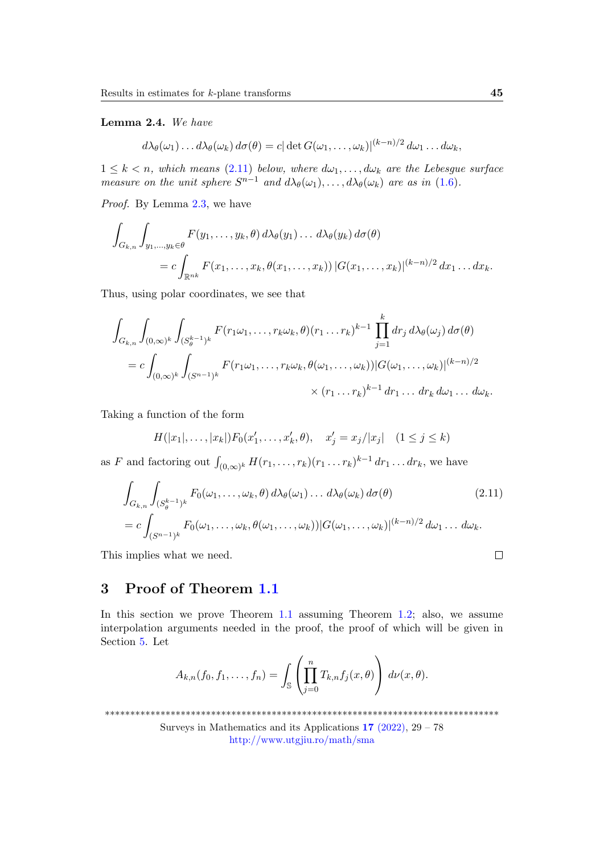<span id="page-16-0"></span>Lemma 2.4. We have

$$
d\lambda_{\theta}(\omega_1)\dots d\lambda_{\theta}(\omega_k) d\sigma(\theta) = c |\det G(\omega_1,\dots,\omega_k)|^{(k-n)/2} d\omega_1\dots d\omega_k,
$$

 $1 \leq k \leq n$ , which means [\(2.11\)](#page-16-2) below, where  $d\omega_1, \ldots, d\omega_k$  are the Lebesgue surface measure on the unit sphere  $S^{n-1}$  and  $d\lambda_{\theta}(\omega_1), \ldots, d\lambda_{\theta}(\omega_k)$  are as in [\(1.6\)](#page-2-2).

Proof. By Lemma [2.3,](#page-8-0) we have

$$
\int_{G_{k,n}} \int_{y_1,\ldots,y_k \in \theta} F(y_1,\ldots,y_k,\theta) d\lambda_{\theta}(y_1) \ldots d\lambda_{\theta}(y_k) d\sigma(\theta)
$$
  
= 
$$
c \int_{\mathbb{R}^{nk}} F(x_1,\ldots,x_k,\theta(x_1,\ldots,x_k)) |G(x_1,\ldots,x_k)|^{(k-n)/2} dx_1 \ldots dx_k.
$$

Thus, using polar coordinates, we see that

$$
\int_{G_{k,n}} \int_{(0,\infty)^k} \int_{(S_\theta^{k-1})^k} F(r_1 \omega_1, \dots, r_k \omega_k, \theta)(r_1 \dots r_k)^{k-1} \prod_{j=1}^k dr_j d\lambda_{\theta}(\omega_j) d\sigma(\theta)
$$
  
=  $c \int_{(0,\infty)^k} \int_{(S^{n-1})^k} F(r_1 \omega_1, \dots, r_k \omega_k, \theta(\omega_1, \dots, \omega_k)) |G(\omega_1, \dots, \omega_k)|^{(k-n)/2}$   
 $\times (r_1 \dots r_k)^{k-1} dr_1 \dots dr_k d\omega_1 \dots d\omega_k.$ 

Taking a function of the form

$$
H(|x_1|, ..., |x_k|)F_0(x'_1, ..., x'_k, \theta), \quad x'_j = x_j/|x_j| \quad (1 \le j \le k)
$$

as F and factoring out  $\int_{(0,\infty)^k} H(r_1,\ldots,r_k)(r_1\ldots r_k)^{k-1} dr_1\ldots dr_k$ , we have

$$
\int_{G_{k,n}} \int_{(S_{\theta}^{k-1})^k} F_0(\omega_1, \dots, \omega_k, \theta) d\lambda_{\theta}(\omega_1) \dots d\lambda_{\theta}(\omega_k) d\sigma(\theta) \tag{2.11}
$$
\n
$$
= c \int_{(S^{n-1})^k} F_0(\omega_1, \dots, \omega_k, \theta(\omega_1, \dots, \omega_k)) |G(\omega_1, \dots, \omega_k)|^{(k-n)/2} d\omega_1 \dots d\omega_k.
$$

This implies what we need.

# <span id="page-16-1"></span>3 Proof of Theorem [1.1](#page-2-0)

In this section we prove Theorem [1.1](#page-2-0) assuming Theorem [1.2;](#page-3-0) also, we assume interpolation arguments needed in the proof, the proof of which will be given in Section [5.](#page-28-0) Let

$$
A_{k,n}(f_0,f_1,\ldots,f_n)=\int_{\mathbb{S}}\left(\prod_{j=0}^nT_{k,n}f_j(x,\theta)\right)d\nu(x,\theta).
$$

\*\*\*\*\*\*\*\*\*\*\*\*\*\*\*\*\*\*\*\*\*\*\*\*\*\*\*\*\*\*\*\*\*\*\*\*\*\*\*\*\*\*\*\*\*\*\*\*\*\*\*\*\*\*\*\*\*\*\*\*\*\*\*\*\*\*\*\*\*\*\*\*\*\*\*\*\*\*

Surveys in Mathematics and its Applications  $17$  [\(2022\),](http://www.utgjiu.ro/math/sma/v17/v17.html)  $29 - 78$ <http://www.utgjiu.ro/math/sma>

<span id="page-16-2"></span> $\Box$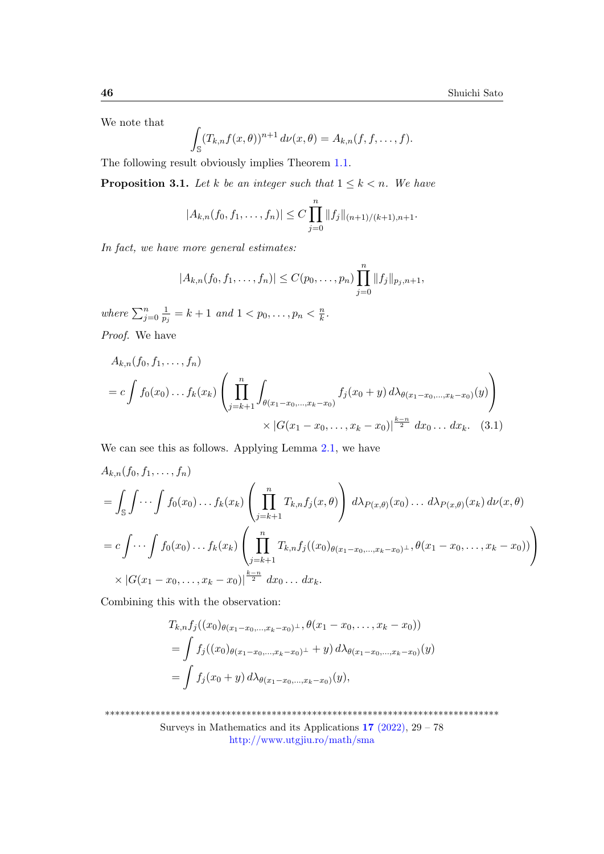We note that

$$
\int_{\mathbb{S}} (T_{k,n}f(x,\theta))^{n+1} d\nu(x,\theta) = A_{k,n}(f,f,\ldots,f).
$$

The following result obviously implies Theorem [1.1.](#page-2-0)

<span id="page-17-0"></span>**Proposition 3.1.** Let k be an integer such that  $1 \leq k < n$ . We have

$$
|A_{k,n}(f_0,f_1,\ldots,f_n)| \leq C \prod_{j=0}^n \|f_j\|_{(n+1)/(k+1),n+1}.
$$

In fact, we have more general estimates:

<span id="page-17-1"></span>
$$
|A_{k,n}(f_0,f_1,\ldots,f_n)| \leq C(p_0,\ldots,p_n) \prod_{j=0}^n \|f_j\|_{p_j,n+1},
$$

where  $\sum_{j=0}^n \frac{1}{p_j}$  $\frac{1}{p_j} = k + 1$  and  $1 < p_0, \ldots, p_n < \frac{n}{k}$  $\frac{n}{k}$ . Proof. We have

$$
A_{k,n}(f_0, f_1, \dots, f_n)
$$
  
=  $c \int f_0(x_0) \dots f_k(x_k) \left( \prod_{j=k+1}^n \int_{\theta(x_1 - x_0, \dots, x_k - x_0)} f_j(x_0 + y) d\lambda_{\theta(x_1 - x_0, \dots, x_k - x_0)}(y) \right) \times |G(x_1 - x_0, \dots, x_k - x_0)|^{\frac{k-n}{2}} dx_0 \dots dx_k.$  (3.1)

We can see this as follows. Applying Lemma [2.1,](#page-6-0) we have

$$
A_{k,n}(f_0, f_1, ..., f_n)
$$
  
=  $\int_{\mathbb{S}} \int \cdots \int f_0(x_0) ... f_k(x_k) \left( \prod_{j=k+1}^n T_{k,n} f_j(x, \theta) \right) d\lambda_{P(x,\theta)}(x_0) ... d\lambda_{P(x,\theta)}(x_k) d\nu(x, \theta)$   
=  $c \int \cdots \int f_0(x_0) ... f_k(x_k) \left( \prod_{j=k+1}^n T_{k,n} f_j((x_0)_{\theta(x_1-x_0,...,x_k-x_0)^{\perp}}, \theta(x_1-x_0,...,x_k-x_0)) \right)$   
 $\times |G(x_1-x_0,...,x_k-x_0)|^{\frac{k-n}{2}} dx_0 ... dx_k.$ 

Combining this with the observation:

$$
T_{k,n}f_j((x_0)_{\theta(x_1-x_0,\ldots,x_k-x_0)^{\perp}},\theta(x_1-x_0,\ldots,x_k-x_0))
$$
  
= 
$$
\int f_j((x_0)_{\theta(x_1-x_0,\ldots,x_k-x_0)^{\perp}}+y) d\lambda_{\theta(x_1-x_0,\ldots,x_k-x_0)}(y)
$$
  
= 
$$
\int f_j(x_0+y) d\lambda_{\theta(x_1-x_0,\ldots,x_k-x_0)}(y),
$$

\*\*\*\*\*\*\*\*\*\*\*\*\*\*\*\*\*\*\*\*\*\*\*\*\*\*\*\*\*\*\*\*\*\*\*\*\*\*\*\*\*\*\*\*\*\*\*\*\*\*\*\*\*\*\*\*\*\*\*\*\*\*\*\*\*\*\*\*\*\*\*\*\*\*\*\*\*\*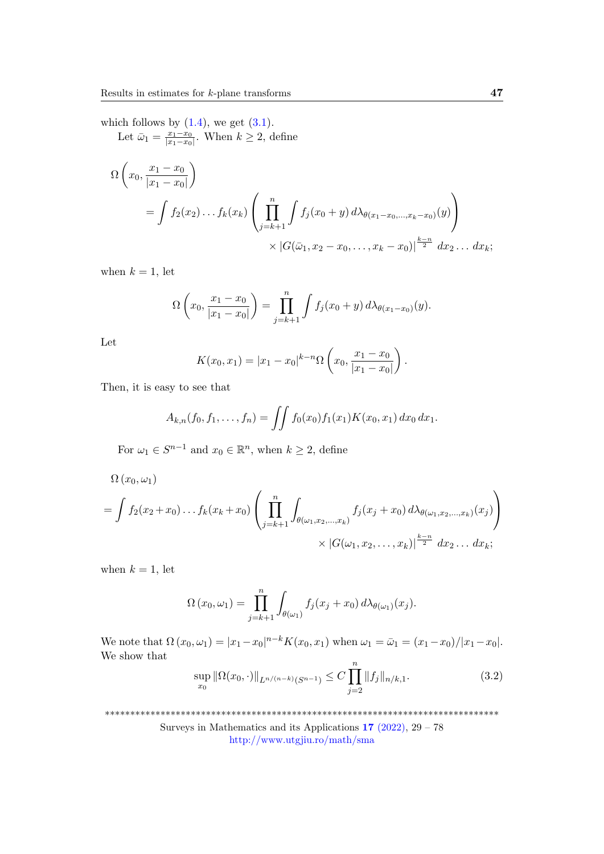which follows by  $(1.4)$ , we get  $(3.1)$ .

Let  $\bar{\omega}_1 = \frac{x_1 - x_0}{|x_1 - x_0|}$  $\frac{x_1 - x_0}{|x_1 - x_0|}$ . When  $k \geq 2$ , define

$$
\Omega\left(x_0, \frac{x_1 - x_0}{|x_1 - x_0|}\right)
$$
\n
$$
= \int f_2(x_2) \dots f_k(x_k) \left(\prod_{j=k+1}^n \int f_j(x_0 + y) d\lambda_{\theta(x_1 - x_0, \dots, x_k - x_0)}(y)\right)
$$
\n
$$
\times |G(\bar{\omega}_1, x_2 - x_0, \dots, x_k - x_0)|^{\frac{k-n}{2}} dx_2 \dots dx_k;
$$

when  $k = 1$ , let

$$
\Omega\left(x_0, \frac{x_1 - x_0}{|x_1 - x_0|}\right) = \prod_{j=k+1}^n \int f_j(x_0 + y) d\lambda_{\theta(x_1 - x_0)}(y).
$$

Let

$$
K(x_0, x_1) = |x_1 - x_0|^{k-n} \Omega \left( x_0, \frac{x_1 - x_0}{|x_1 - x_0|} \right).
$$

Then, it is easy to see that

$$
A_{k,n}(f_0,f_1,\ldots,f_n)=\iint f_0(x_0)f_1(x_1)K(x_0,x_1)\,dx_0\,dx_1.
$$

For  $\omega_1 \in S^{n-1}$  and  $x_0 \in \mathbb{R}^n$ , when  $k \geq 2$ , define

$$
\Omega(x_0, \omega_1)
$$
\n
$$
= \int f_2(x_2 + x_0) \dots f_k(x_k + x_0) \left( \prod_{j=k+1}^n \int_{\theta(\omega_1, x_2, \dots, x_k)} f_j(x_j + x_0) d\lambda_{\theta(\omega_1, x_2, \dots, x_k)}(x_j) \right) \times |G(\omega_1, x_2, \dots, x_k)|^{\frac{k-n}{2}} dx_2 \dots dx_k;
$$

when  $k = 1$ , let

$$
\Omega(x_0,\omega_1)=\prod_{j=k+1}^n\int_{\theta(\omega_1)}f_j(x_j+x_0)\,d\lambda_{\theta(\omega_1)}(x_j).
$$

We note that  $\Omega(x_0, \omega_1) = |x_1 - x_0|^{n-k} K(x_0, x_1)$  when  $\omega_1 = \bar{\omega}_1 = (x_1 - x_0)/|x_1 - x_0|$ . We show that ∏n

<span id="page-18-0"></span>
$$
\sup_{x_0} \|\Omega(x_0,\cdot)\|_{L^{n/(n-k)}(S^{n-1})} \le C \prod_{j=2}^n \|f_j\|_{n/k,1}.\tag{3.2}
$$

\*\*\*\*\*\*\*\*\*\*\*\*\*\*\*\*\*\*\*\*\*\*\*\*\*\*\*\*\*\*\*\*\*\*\*\*\*\*\*\*\*\*\*\*\*\*\*\*\*\*\*\*\*\*\*\*\*\*\*\*\*\*\*\*\*\*\*\*\*\*\*\*\*\*\*\*\*\*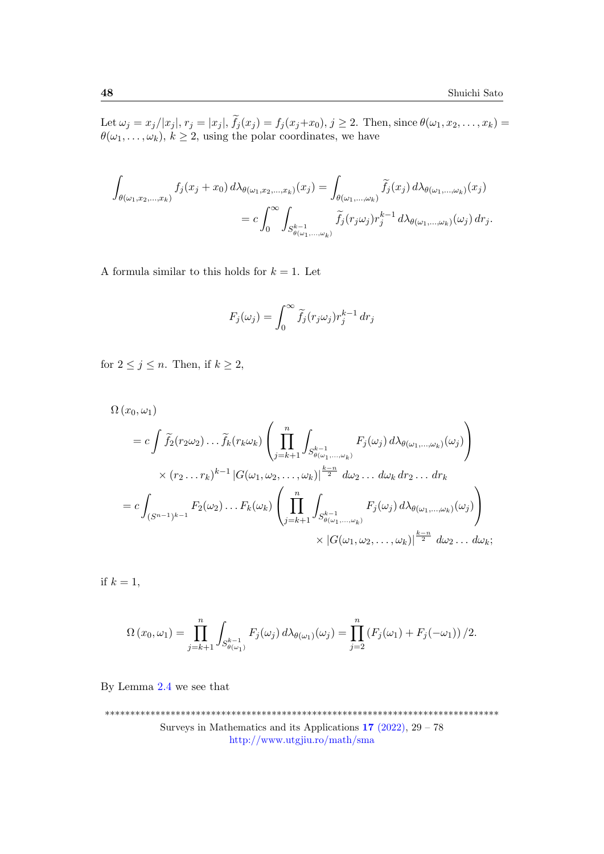Let  $\omega_j = x_j / |x_j|, r_j = |x_j|, f_j(x_j) = f_j(x_j + x_0), j \ge 2$ . Then, since  $\theta(\omega_1, x_2, ..., x_k) =$  $\theta(\omega_1, \ldots, \omega_k), k \ge 2$ , using the polar coordinates, we have

$$
\int_{\theta(\omega_1, x_2, \dots, x_k)} f_j(x_j + x_0) d\lambda_{\theta(\omega_1, x_2, \dots, x_k)}(x_j) = \int_{\theta(\omega_1, \dots, \omega_k)} \widetilde{f}_j(x_j) d\lambda_{\theta(\omega_1, \dots, \omega_k)}(x_j)
$$
\n
$$
= c \int_0^\infty \int_{S_{\theta(\omega_1, \dots, \omega_k)}^{k-1}} \widetilde{f}_j(r_j \omega_j) r_j^{k-1} d\lambda_{\theta(\omega_1, \dots, \omega_k)}(\omega_j) dr_j.
$$

A formula similar to this holds for  $k = 1$ . Let

$$
F_j(\omega_j) = \int_0^\infty \widetilde{f}_j(r_j \omega_j) r_j^{k-1} \, dr_j
$$

for  $2 \leq j \leq n$ . Then, if  $k \geq 2$ ,

$$
\Omega(x_0, \omega_1)
$$
\n
$$
= c \int \tilde{f}_2(r_2 \omega_2) \dots \tilde{f}_k(r_k \omega_k) \left( \prod_{j=k+1}^n \int_{S_{\theta(\omega_1, \dots, \omega_k)}} F_j(\omega_j) d\lambda_{\theta(\omega_1, \dots, \omega_k)}(\omega_j) \right)
$$
\n
$$
\times (r_2 \dots r_k)^{k-1} |G(\omega_1, \omega_2, \dots, \omega_k)|^{\frac{k-n}{2}} d\omega_2 \dots d\omega_k dr_2 \dots dr_k
$$
\n
$$
= c \int_{(S^{n-1})^{k-1}} F_2(\omega_2) \dots F_k(\omega_k) \left( \prod_{j=k+1}^n \int_{S_{\theta(\omega_1, \dots, \omega_k)}^{k-1}} F_j(\omega_j) d\lambda_{\theta(\omega_1, \dots, \omega_k)}(\omega_j) \right)
$$
\n
$$
\times |G(\omega_1, \omega_2, \dots, \omega_k)|^{\frac{k-n}{2}} d\omega_2 \dots d\omega_k;
$$

if  $k = 1$ ,

$$
\Omega(x_0,\omega_1)=\prod_{j=k+1}^n\int_{S_{\theta(\omega_1)}^{k-1}}F_j(\omega_j)d\lambda_{\theta(\omega_1)}(\omega_j)=\prod_{j=2}^n\left(F_j(\omega_1)+F_j(-\omega_1)\right)/2.
$$

By Lemma [2.4](#page-16-0) we see that

\*\*\*\*\*\*\*\*\*\*\*\*\*\*\*\*\*\*\*\*\*\*\*\*\*\*\*\*\*\*\*\*\*\*\*\*\*\*\*\*\*\*\*\*\*\*\*\*\*\*\*\*\*\*\*\*\*\*\*\*\*\*\*\*\*\*\*\*\*\*\*\*\*\*\*\*\*\* Surveys in Mathematics and its Applications  $17$  [\(2022\),](http://www.utgjiu.ro/math/sma/v17/v17.html)  $29 - 78$ <http://www.utgjiu.ro/math/sma>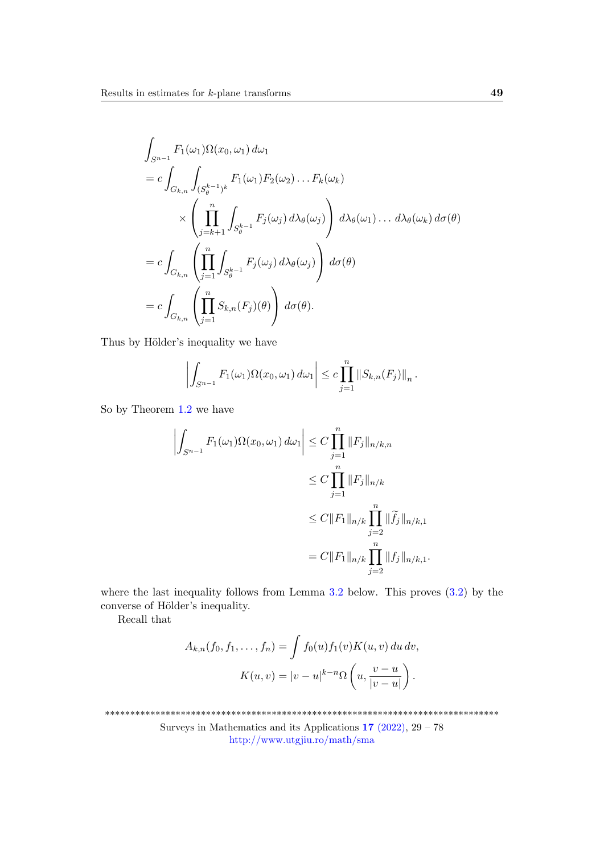$$
\int_{S^{n-1}} F_1(\omega_1) \Omega(x_0, \omega_1) d\omega_1
$$
\n
$$
= c \int_{G_{k,n}} \int_{(S_{\theta}^{k-1})^k} F_1(\omega_1) F_2(\omega_2) \dots F_k(\omega_k)
$$
\n
$$
\times \left( \prod_{j=k+1}^n \int_{S_{\theta}^{k-1}} F_j(\omega_j) d\lambda_{\theta}(\omega_j) \right) d\lambda_{\theta}(\omega_1) \dots d\lambda_{\theta}(\omega_k) d\sigma(\theta)
$$
\n
$$
= c \int_{G_{k,n}} \left( \prod_{j=1}^n \int_{S_{\theta}^{k-1}} F_j(\omega_j) d\lambda_{\theta}(\omega_j) \right) d\sigma(\theta)
$$
\n
$$
= c \int_{G_{k,n}} \left( \prod_{j=1}^n S_{k,n}(F_j)(\theta) \right) d\sigma(\theta).
$$

Thus by Hölder's inequality we have

$$
\left| \int_{S^{n-1}} F_1(\omega_1) \Omega(x_0, \omega_1) \, d\omega_1 \right| \leq c \prod_{j=1}^n \|S_{k,n}(F_j)\|_n.
$$

So by Theorem [1.2](#page-3-0) we have

$$
\left| \int_{S^{n-1}} F_1(\omega_1) \Omega(x_0, \omega_1) d\omega_1 \right| \leq C \prod_{j=1}^n \|F_j\|_{n/k, n} \n\leq C \prod_{j=1}^n \|F_j\|_{n/k} \n\leq C \|F_1\|_{n/k} \prod_{j=2}^n \|\widetilde{f}_j\|_{n/k, 1} \n= C \|F_1\|_{n/k} \prod_{j=2}^n \|f_j\|_{n/k, 1}.
$$

where the last inequality follows from Lemma  $3.2$  below. This proves  $(3.2)$  by the converse of Hölder's inequality.

Recall that

$$
A_{k,n}(f_0, f_1, \dots, f_n) = \int f_0(u) f_1(v) K(u, v) du dv,
$$
  

$$
K(u, v) = |v - u|^{k-n} \Omega\left(u, \frac{v - u}{|v - u|}\right).
$$

\*\*\*\*\*\*\*\*\*\*\*\*\*\*\*\*\*\*\*\*\*\*\*\*\*\*\*\*\*\*\*\*\*\*\*\*\*\*\*\*\*\*\*\*\*\*\*\*\*\*\*\*\*\*\*\*\*\*\*\*\*\*\*\*\*\*\*\*\*\*\*\*\*\*\*\*\*\*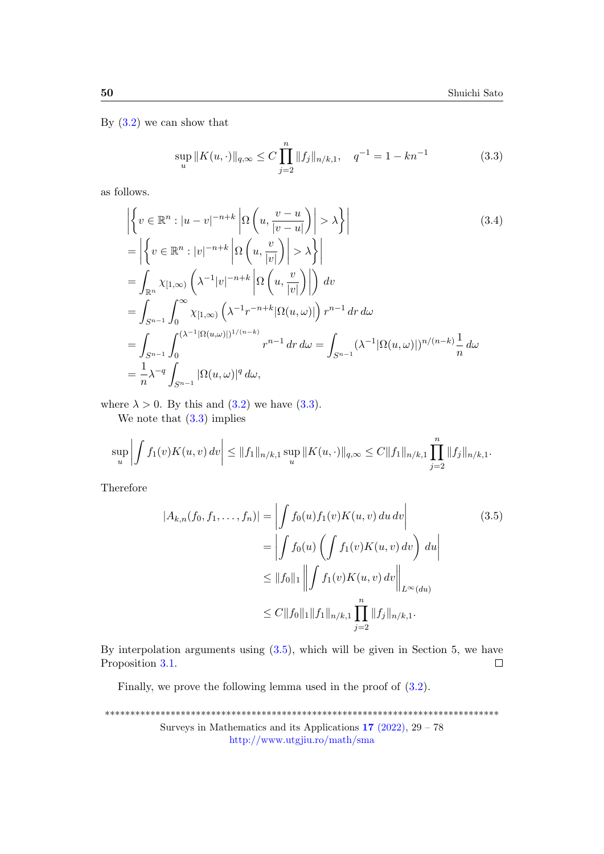By  $(3.2)$  we can show that

<span id="page-21-2"></span><span id="page-21-1"></span>
$$
\sup_{u} ||K(u, \cdot)||_{q,\infty} \le C \prod_{j=2}^{n} ||f_j||_{n/k,1}, \quad q^{-1} = 1 - kn^{-1}
$$
 (3.3)

as follows.

$$
\left| \left\{ v \in \mathbb{R}^n : |u - v|^{-n+k} \left| \Omega \left( u, \frac{v - u}{|v - u|} \right) \right| > \lambda \right\} \right|
$$
\n
$$
= \left| \left\{ v \in \mathbb{R}^n : |v|^{-n+k} \left| \Omega \left( u, \frac{v}{|v|} \right) \right| > \lambda \right\} \right|
$$
\n
$$
= \int_{\mathbb{R}^n} \chi_{[1,\infty)} \left( \lambda^{-1} |v|^{-n+k} \left| \Omega \left( u, \frac{v}{|v|} \right) \right| \right) dv
$$
\n
$$
= \int_{S^{n-1}} \int_0^\infty \chi_{[1,\infty)} \left( \lambda^{-1} r^{-n+k} |\Omega(u,\omega)| \right) r^{n-1} dr d\omega
$$
\n
$$
= \int_{S^{n-1}} \int_0^{(\lambda^{-1} |\Omega(u,\omega)|)^{1/(n-k)}} r^{n-1} dr d\omega = \int_{S^{n-1}} (\lambda^{-1} |\Omega(u,\omega)|)^{n/(n-k)} \frac{1}{n} d\omega
$$
\n
$$
= \frac{1}{n} \lambda^{-q} \int_{S^{n-1}} |\Omega(u,\omega)|^q d\omega,
$$
\n(3.4)

where  $\lambda > 0$ . By this and  $(3.2)$  we have  $(3.3)$ .

We note that  $(3.3)$  implies

$$
\sup_{u} \left| \int f_1(v) K(u,v) \, dv \right| \leq \|f_1\|_{n/k,1} \sup_{u} \|K(u,\cdot)\|_{q,\infty} \leq C \|f_1\|_{n/k,1} \prod_{j=2}^n \|f_j\|_{n/k,1}.
$$

Therefore

<span id="page-21-0"></span>
$$
|A_{k,n}(f_0, f_1, ..., f_n)| = \left| \int f_0(u) f_1(v) K(u, v) du dv \right|
$$
  
\n
$$
= \left| \int f_0(u) \left( \int f_1(v) K(u, v) dv \right) du \right|
$$
  
\n
$$
\leq ||f_0||_1 \left\| \int f_1(v) K(u, v) dv \right\|_{L^{\infty}(du)}
$$
  
\n
$$
\leq C ||f_0||_1 ||f_1||_{n/k, 1} \prod_{j=2}^n ||f_j||_{n/k, 1}.
$$
\n(3.5)

By interpolation arguments using  $(3.5)$ , which will be given in Section 5, we have Proposition [3.1.](#page-17-0)  $\Box$ 

Finally, we prove the following lemma used in the proof of [\(3.2\)](#page-18-0).

```
******************************************************************************
           Surveys in Mathematics and its Applications 17(2022), 29 - 78http://www.utgjiu.ro/math/sma
```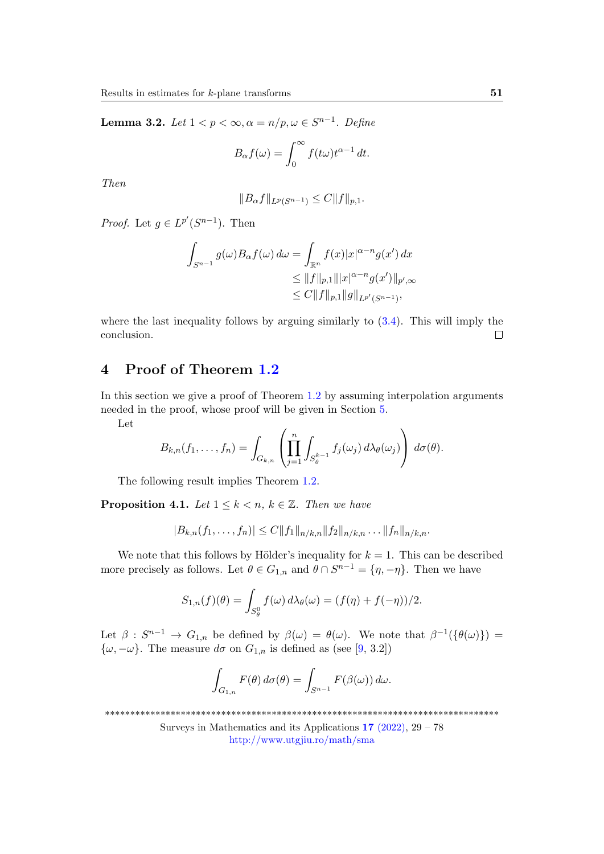<span id="page-22-2"></span>**Lemma 3.2.** Let  $1 < p < \infty, \alpha = n/p, \omega \in S^{n-1}$ . Define

$$
B_{\alpha}f(\omega) = \int_0^{\infty} f(t\omega)t^{\alpha - 1} dt.
$$

Then

$$
||B_{\alpha}f||_{L^{p}(S^{n-1})} \leq C||f||_{p,1}.
$$

*Proof.* Let  $g \in L^{p'}(S^{n-1})$ . Then

$$
\int_{S^{n-1}} g(\omega) B_{\alpha} f(\omega) d\omega = \int_{\mathbb{R}^n} f(x) |x|^{\alpha - n} g(x') dx
$$
  
\n
$$
\leq ||f||_{p,1} |||x|^{\alpha - n} g(x')||_{p',\infty}
$$
  
\n
$$
\leq C ||f||_{p,1} ||g||_{L^{p'}(S^{n-1})},
$$

where the last inequality follows by arguing similarly to [\(3.4\)](#page-21-2). This will imply the conclusion.  $\Box$ 

# <span id="page-22-1"></span>4 Proof of Theorem [1.2](#page-3-0)

In this section we give a proof of Theorem [1.2](#page-3-0) by assuming interpolation arguments needed in the proof, whose proof will be given in Section [5.](#page-28-0)

Let

$$
B_{k,n}(f_1,\ldots,f_n)=\int_{G_{k,n}}\left(\prod_{j=1}^n\int_{S_{\theta}^{k-1}}f_j(\omega_j)\,d\lambda_{\theta}(\omega_j)\right)\,d\sigma(\theta).
$$

The following result implies Theorem [1.2.](#page-3-0)

<span id="page-22-0"></span>**Proposition 4.1.** Let  $1 \leq k < n$ ,  $k \in \mathbb{Z}$ . Then we have

$$
|B_{k,n}(f_1,\ldots,f_n)|\leq C||f_1||_{n/k,n}||f_2||_{n/k,n}\ldots||f_n||_{n/k,n}.
$$

We note that this follows by Hölder's inequality for  $k = 1$ . This can be described more precisely as follows. Let  $\theta \in G_{1,n}$  and  $\theta \cap S^{n-1} = {\eta, -\eta}$ . Then we have

$$
S_{1,n}(f)(\theta) = \int_{S^0_{\theta}} f(\omega) d\lambda_{\theta}(\omega) = (f(\eta) + f(-\eta))/2.
$$

Let  $\beta: S^{n-1} \to G_{1,n}$  be defined by  $\beta(\omega) = \theta(\omega)$ . We note that  $\beta^{-1}(\{\theta(\omega)\}) =$  $\{\omega, -\omega\}$ . The measure  $d\sigma$  on  $G_{1,n}$  is defined as (see [\[9,](#page-48-9) 3.2])

$$
\int_{G_{1,n}} F(\theta) d\sigma(\theta) = \int_{S^{n-1}} F(\beta(\omega)) d\omega.
$$

\*\*\*\*\*\*\*\*\*\*\*\*\*\*\*\*\*\*\*\*\*\*\*\*\*\*\*\*\*\*\*\*\*\*\*\*\*\*\*\*\*\*\*\*\*\*\*\*\*\*\*\*\*\*\*\*\*\*\*\*\*\*\*\*\*\*\*\*\*\*\*\*\*\*\*\*\*\*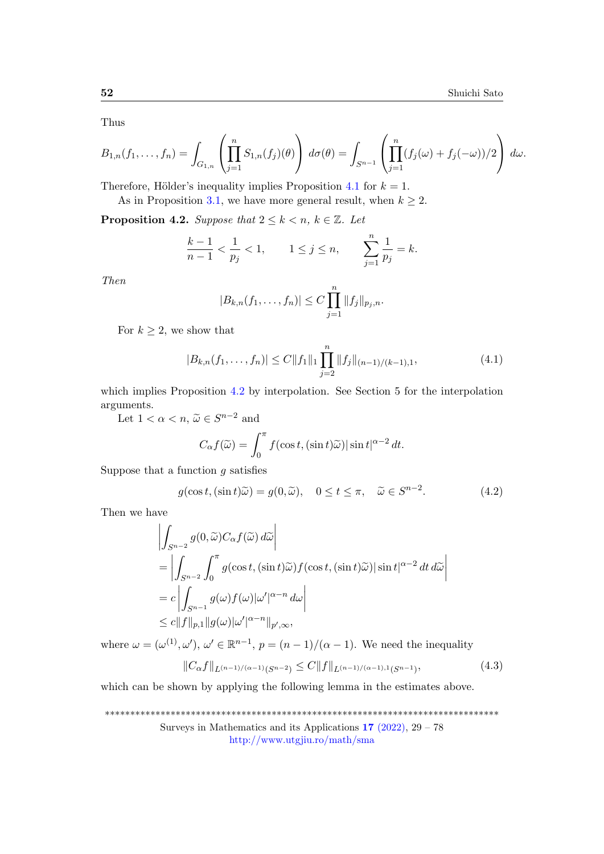Thus

$$
B_{1,n}(f_1,\ldots,f_n) = \int_{G_{1,n}} \left( \prod_{j=1}^n S_{1,n}(f_j)(\theta) \right) d\sigma(\theta) = \int_{S^{n-1}} \left( \prod_{j=1}^n (f_j(\omega) + f_j(-\omega))/2 \right) d\omega.
$$

Therefore, Hölder's inequality implies Proposition [4.1](#page-22-0) for  $k = 1$ .

As in Proposition 3.[1,](#page-17-0) we have more general result, when  $k \geq 2$ .

<span id="page-23-0"></span>**Proposition 4.2.** Suppose that  $2 \leq k \leq n$ ,  $k \in \mathbb{Z}$ . Let

$$
\frac{k-1}{n-1} < \frac{1}{p_j} < 1, \qquad 1 \le j \le n, \qquad \sum_{j=1}^n \frac{1}{p_j} = k.
$$

Then

$$
|B_{k,n}(f_1,\ldots,f_n)|\leq C\prod_{j=1}^n||f_j||_{p_j,n}.
$$

For  $k \geq 2$ , we show that

<span id="page-23-1"></span>
$$
|B_{k,n}(f_1,\ldots,f_n)| \le C \|f_1\|_1 \prod_{j=2}^n \|f_j\|_{(n-1)/(k-1),1},
$$
\n(4.1)

which implies Proposition [4.2](#page-23-0) by interpolation. See Section 5 for the interpolation arguments.

Let  $1 < \alpha < n$ ,  $\widetilde{\omega} \in S^{n-2}$  and

$$
C_{\alpha}f(\widetilde{\omega}) = \int_0^{\pi} f(\cos t, (\sin t)\widetilde{\omega}) |\sin t|^{\alpha - 2} dt.
$$

Suppose that a function  $g$  satisfies

<span id="page-23-2"></span>
$$
g(\cos t, (\sin t)\tilde{\omega}) = g(0, \tilde{\omega}), \quad 0 \le t \le \pi, \quad \tilde{\omega} \in S^{n-2}.
$$
 (4.2)

Then we have

$$
\left| \int_{S^{n-2}} g(0, \widetilde{\omega}) C_{\alpha} f(\widetilde{\omega}) d\widetilde{\omega} \right|
$$
  
\n
$$
= \left| \int_{S^{n-2}} \int_0^{\pi} g(\cos t, (\sin t) \widetilde{\omega}) f(\cos t, (\sin t) \widetilde{\omega}) |\sin t|^{\alpha-2} dt d\widetilde{\omega} \right|
$$
  
\n
$$
= c \left| \int_{S^{n-1}} g(\omega) f(\omega) |\omega'|^{\alpha-n} d\omega \right|
$$
  
\n
$$
\leq c \|f\|_{p,1} \|g(\omega)|\omega'|^{\alpha-n} \|_{p',\infty},
$$

where  $\omega = (\omega^{(1)}, \omega'), \omega' \in \mathbb{R}^{n-1}, p = (n-1)/(\alpha-1)$ . We need the inequality

<span id="page-23-3"></span>
$$
||C_{\alpha}f||_{L^{(n-1)/(\alpha-1)}(S^{n-2})} \leq C||f||_{L^{(n-1)/(\alpha-1),1}(S^{n-1})},\tag{4.3}
$$

which can be shown by applying the following lemma in the estimates above.

\*\*\*\*\*\*\*\*\*\*\*\*\*\*\*\*\*\*\*\*\*\*\*\*\*\*\*\*\*\*\*\*\*\*\*\*\*\*\*\*\*\*\*\*\*\*\*\*\*\*\*\*\*\*\*\*\*\*\*\*\*\*\*\*\*\*\*\*\*\*\*\*\*\*\*\*\*\*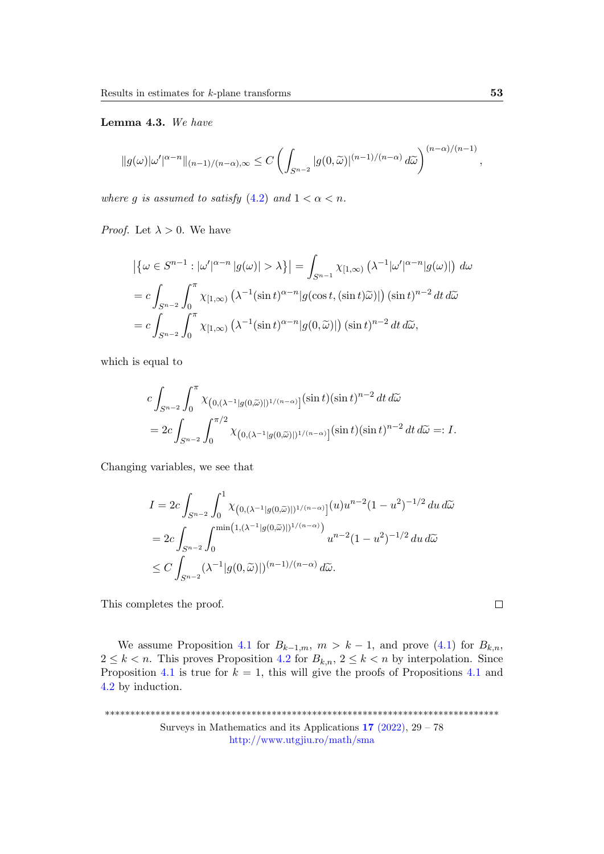Lemma 4.3. We have

$$
||g(\omega)|\omega'|^{\alpha-n}||_{(n-1)/(n-\alpha),\infty} \leq C \left( \int_{S^{n-2}} |g(0,\widetilde{\omega})|^{(n-1)/(n-\alpha)} d\widetilde{\omega} \right)^{(n-\alpha)/(n-1)}
$$

where g is assumed to satisfy  $(4.2)$  and  $1 < \alpha < n$ .

*Proof.* Let  $\lambda > 0$ . We have

$$
\left| \{ \omega \in S^{n-1} : |\omega'|^{\alpha - n} | g(\omega) | > \lambda \} \right| = \int_{S^{n-1}} \chi_{[1,\infty)} \left( \lambda^{-1} |\omega'|^{\alpha - n} | g(\omega) | \right) d\omega
$$
  
= 
$$
c \int_{S^{n-2}} \int_0^{\pi} \chi_{[1,\infty)} \left( \lambda^{-1} (\sin t)^{\alpha - n} | g(\cos t, (\sin t) \tilde{\omega}) | \right) (\sin t)^{n-2} dt d\tilde{\omega}
$$
  
= 
$$
c \int_{S^{n-2}} \int_0^{\pi} \chi_{[1,\infty)} \left( \lambda^{-1} (\sin t)^{\alpha - n} | g(0, \tilde{\omega}) | \right) (\sin t)^{n-2} dt d\tilde{\omega},
$$

which is equal to

$$
c\int_{S^{n-2}}\int_0^\pi \chi_{\left(0,(\lambda^{-1}|g(0,\widetilde{\omega})|)^{1/(n-\alpha)}\right]}(\sin t)(\sin t)^{n-2} dt d\widetilde{\omega}
$$
  
= 
$$
2c\int_{S^{n-2}}\int_0^{\pi/2} \chi_{\left(0,(\lambda^{-1}|g(0,\widetilde{\omega})|)^{1/(n-\alpha)}\right]}(\sin t)(\sin t)^{n-2} dt d\widetilde{\omega} =: I.
$$

Changing variables, we see that

$$
I = 2c \int_{S^{n-2}} \int_0^1 \chi_{(0,(\lambda^{-1}|g(0,\widetilde{\omega})|)^{1/(n-\alpha)}}(u) u^{n-2} (1-u^2)^{-1/2} du d\widetilde{\omega}
$$
  
= 
$$
2c \int_{S^{n-2}} \int_0^{\min(1,(\lambda^{-1}|g(0,\widetilde{\omega})|)^{1/(n-\alpha)})} u^{n-2} (1-u^2)^{-1/2} du d\widetilde{\omega}
$$
  

$$
\leq C \int_{S^{n-2}} (\lambda^{-1}|g(0,\widetilde{\omega})|)^{(n-1)/(n-\alpha)} d\widetilde{\omega}.
$$

This completes the proof.

We assume Proposition [4.1](#page-22-0) for  $B_{k-1,m}$ ,  $m > k-1$ , and prove [\(4.1\)](#page-23-1) for  $B_{k,n}$ ,  $2 \leq k < n$ . This proves Proposition [4.2](#page-23-0) for  $B_{k,n}$ ,  $2 \leq k < n$  by interpolation. Since Proposition [4.1](#page-22-0) is true for  $k = 1$ , this will give the proofs of Propositions 4.1 and [4.2](#page-23-0) by induction.

\*\*\*\*\*\*\*\*\*\*\*\*\*\*\*\*\*\*\*\*\*\*\*\*\*\*\*\*\*\*\*\*\*\*\*\*\*\*\*\*\*\*\*\*\*\*\*\*\*\*\*\*\*\*\*\*\*\*\*\*\*\*\*\*\*\*\*\*\*\*\*\*\*\*\*\*\*\* Surveys in Mathematics and its Applications  $17$  [\(2022\),](http://www.utgjiu.ro/math/sma/v17/v17.html)  $29 - 78$ <http://www.utgjiu.ro/math/sma>

,

 $\Box$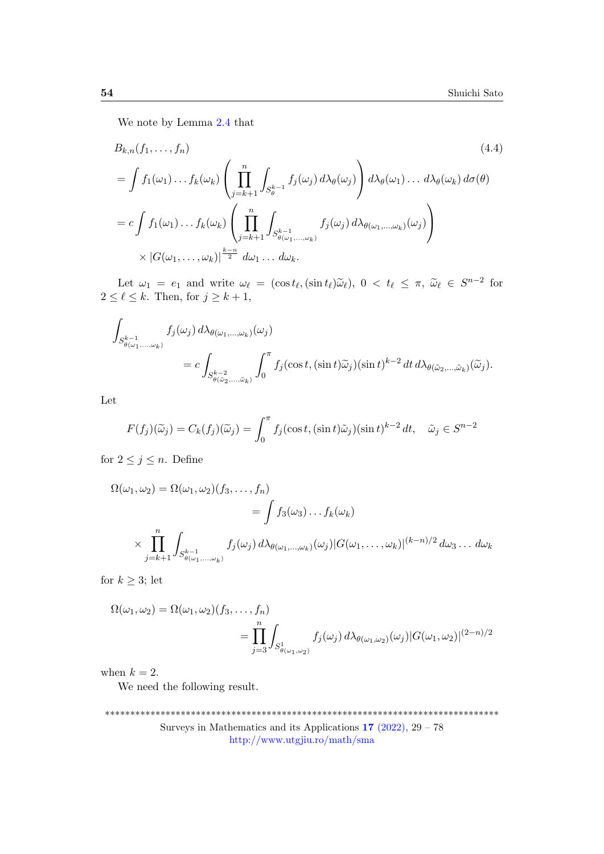<span id="page-25-0"></span>We note by Lemma [2.4](#page-16-0) that

$$
B_{k,n}(f_1,\ldots,f_n) \qquad (4.4)
$$
\n
$$
= \int f_1(\omega_1)\ldots f_k(\omega_k) \left(\prod_{j=k+1}^n \int_{S_{\theta}^{k-1}} f_j(\omega_j) d\lambda_{\theta}(\omega_j)\right) d\lambda_{\theta}(\omega_1)\ldots d\lambda_{\theta}(\omega_k) d\sigma(\theta)
$$
\n
$$
= c \int f_1(\omega_1)\ldots f_k(\omega_k) \left(\prod_{j=k+1}^n \int_{S_{\theta}^{k-1}} f_j(\omega_j) d\lambda_{\theta}(\omega_1,\ldots,\omega_k)(\omega_j)\right)
$$
\n
$$
\times |G(\omega_1,\ldots,\omega_k)|^{\frac{k-n}{2}} d\omega_1\ldots d\omega_k.
$$
\n(4.4)

Let  $\omega_1 = e_1$  and write  $\omega_\ell = (\cos t_\ell, (\sin t_\ell) \tilde{\omega}_\ell), 0 < t_\ell \leq \pi, \tilde{\omega}_\ell \in S^{n-2}$  for  $2 \leq \ell \leq k$ . Then, for  $j \geq k+1$ ,

$$
\int_{S_{\theta(\omega_1,\ldots,\omega_k)}^{k-1}} f_j(\omega_j) d\lambda_{\theta(\omega_1,\ldots,\omega_k)}(\omega_j)
$$
\n
$$
= c \int_{S_{\theta(\tilde{\omega}_2,\ldots,\tilde{\omega}_k)}^{k-2}} \int_0^{\pi} f_j(\cos t, (\sin t) \tilde{\omega}_j) (\sin t)^{k-2} dt d\lambda_{\theta(\tilde{\omega}_2,\ldots,\tilde{\omega}_k)}(\tilde{\omega}_j).
$$

Let

$$
F(f_j)(\widetilde{\omega}_j) = C_k(f_j)(\widetilde{\omega}_j) = \int_0^{\pi} f_j(\cos t, (\sin t)\widetilde{\omega}_j)(\sin t)^{k-2} dt, \quad \widetilde{\omega}_j \in S^{n-2}
$$

for  $2 \leq j \leq n$ . Define

$$
\Omega(\omega_1, \omega_2) = \Omega(\omega_1, \omega_2)(f_3, \dots, f_n)
$$
  
=  $\int f_3(\omega_3) \dots f_k(\omega_k)$   

$$
\times \prod_{j=k+1}^n \int_{S_{\theta(\omega_1, \dots, \omega_k)}^{k-1}} f_j(\omega_j) d\lambda_{\theta(\omega_1, \dots, \omega_k)}(\omega_j) |G(\omega_1, \dots, \omega_k)|^{(k-n)/2} d\omega_3 \dots d\omega_k
$$

for  $k \geq 3$ ; let

$$
\Omega(\omega_1, \omega_2) = \Omega(\omega_1, \omega_2)(f_3, \dots, f_n)
$$
  
= 
$$
\prod_{j=3}^n \int_{S^1_{\theta(\omega_1, \omega_2)}} f_j(\omega_j) d\lambda_{\theta(\omega_1, \omega_2)}(\omega_j) |G(\omega_1, \omega_2)|^{(2-n)/2}
$$

when  $k = 2$ .

We need the following result.

<sup>\*\*\*\*\*\*\*\*\*\*\*\*\*\*\*\*\*\*\*\*\*\*\*\*\*\*\*\*\*\*\*\*\*\*\*\*\*\*\*\*\*\*\*\*\*\*\*\*\*\*\*\*\*\*\*\*\*\*\*\*\*\*\*\*\*\*\*\*\*\*\*\*\*\*\*\*\*\*</sup> Surveys in Mathematics and its Applications  $17$  [\(2022\),](http://www.utgjiu.ro/math/sma/v17/v17.html)  $29 - 78$ <http://www.utgjiu.ro/math/sma>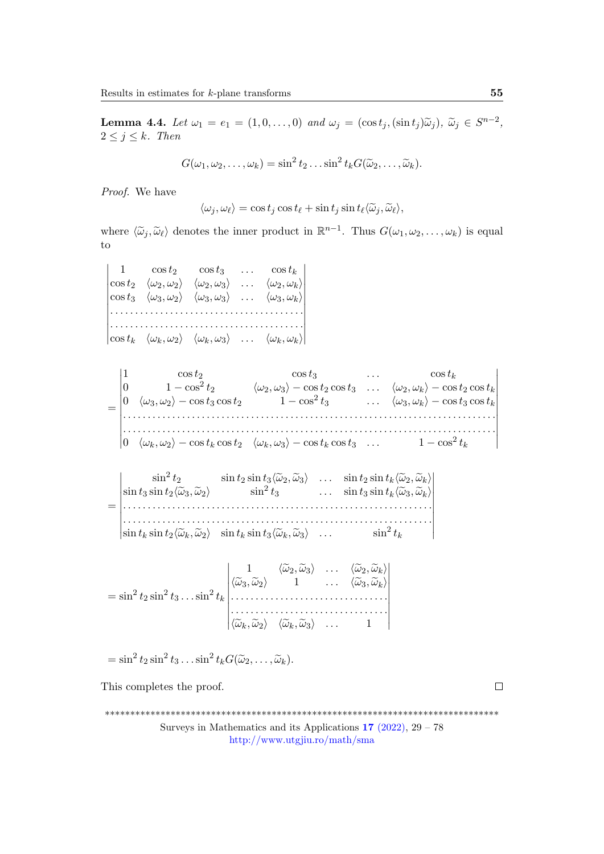<span id="page-26-0"></span>**Lemma 4.4.** Let  $\omega_1 = e_1 = (1, 0, \dots, 0)$  and  $\omega_j = (\cos t_j, (\sin t_j)\tilde{\omega}_j), \tilde{\omega}_j \in S^{n-2}$ ,  $2 \leq j \leq k$ . Then

$$
G(\omega_1,\omega_2,\ldots,\omega_k)=\sin^2 t_2\ldots\sin^2 t_k G(\widetilde{\omega}_2,\ldots,\widetilde{\omega}_k).
$$

Proof. We have

$$
\langle \omega_j, \omega_\ell \rangle = \cos t_j \cos t_\ell + \sin t_j \sin t_\ell \langle \widetilde{\omega}_j, \widetilde{\omega}_\ell \rangle,
$$

where  $\langle \tilde{\omega}_j, \tilde{\omega}_\ell \rangle$  denotes the inner product in  $\mathbb{R}^{n-1}$ . Thus  $G(\omega_1, \omega_2, \dots, \omega_k)$  is equal to to

 $\begin{vmatrix} 1 & \cos t_2 & \cos t_3 & \dots & \cos t_k \\ \cos t_2 & \langle \omega_2, \omega_2 \rangle & \langle \omega_2, \omega_3 \rangle & \dots & \langle \omega_2, \omega_k \rangle \end{vmatrix}$  $\begin{vmatrix} \cos t_3 & \langle \omega_3, \omega_2 \rangle & \langle \omega_3, \omega_3 \rangle & \dots & \langle \omega_3, \omega_k \rangle \end{vmatrix}$ ⏐ ⏐ . . . . . . . . . . . . . . . . . . . . . . . . . . . . . . . . . . . . . . . ⏐ . . . . . . . . . . . . . . . . . . . . . . . . . . . . . . . . . . . . . . . ⏐ ⏐ ⏐ cost<sup>k</sup> ⟨ωk, ω2⟩ ⟨ωk, ω3⟩ . . . ⟨ωk, ωk⟩ 1  $\cos t_2$   $\cos t_3$  ...  $\cos t_k$  $\Big\}$  $\bigg|$  $\frac{1}{2}$  $\bigg|$  $\frac{1}{2}$  $\bigg|$  $\frac{1}{2}$ ⏐ ⏐ ⏐



= **↓** ⏐ . . . . . . . . . . . . . . . . . . . . . . . . . . . . . . . . . . . . . . . . . . . . . . . . . . . . . . . . . . . . . . . ⏐ ⏐ ⏐ sin <sup>t</sup><sup>k</sup> sin <sup>t</sup>2⟨ω˜k, <sup>ω</sup>˜2⟩ sin <sup>t</sup><sup>k</sup> sin <sup>t</sup>3⟨ω˜k, <sup>ω</sup>˜3⟩ . . . sin<sup>2</sup> tk  $\sin^2 t_2$   $\sin t_2 \sin t_3 \langle \tilde{\omega}_2, \tilde{\omega}_3 \rangle$  ...  $\sin t_2 \sin t_k \langle \tilde{\omega}_2, \tilde{\omega}_k \rangle$  $\sin t_3 \sin t_2 \langle \tilde{\omega}_3, \tilde{\omega}_2 \rangle$   $\sin^2 t_3$  ...  $\sin t_3 \sin t_k \langle \tilde{\omega}_3, \tilde{\omega}_k \rangle$ ⏐ ⏐ ⏐ ⏐  $\frac{1}{2}$  $\frac{1}{2}$  $\frac{1}{2}$  $\overline{a}$ 

 $= \sin^2 t_2 \sin^2 t_3 \dots \sin^2 t_k$  $\blacksquare$  $|\langle \widetilde{\omega}_k, \widetilde{\omega}_2 \rangle \quad \langle \widetilde{\omega}_k, \widetilde{\omega}_3 \rangle \quad \dots \quad 1$  $\frac{1}{\widetilde{\omega}_1} \left\langle \widetilde{\omega}_2, \widetilde{\omega}_3 \right\rangle \cdots \left\langle \widetilde{\omega}_2, \widetilde{\omega}_k \right\rangle$  $\langle \widetilde{\omega}_3, \widetilde{\omega}_2 \rangle \qquad 1 \qquad \ldots \qquad \langle \widetilde{\omega}_3, \widetilde{\omega}_k \rangle$ . . . . . . . . . . . . . . . . . . . . . . . . . . . . . . . .  $\blacksquare$  $\overline{\phantom{a}}$ 

$$
= \sin^2 t_2 \sin^2 t_3 \dots \sin^2 t_k G(\widetilde{\omega}_2, \dots, \widetilde{\omega}_k).
$$

This completes the proof.

\*\*\*\*\*\*\*\*\*\*\*\*\*\*\*\*\*\*\*\*\*\*\*\*\*\*\*\*\*\*\*\*\*\*\*\*\*\*\*\*\*\*\*\*\*\*\*\*\*\*\*\*\*\*\*\*\*\*\*\*\*\*\*\*\*\*\*\*\*\*\*\*\*\*\*\*\*\*

Surveys in Mathematics and its Applications  $17$  [\(2022\),](http://www.utgjiu.ro/math/sma/v17/v17.html) 29 – 78 <http://www.utgjiu.ro/math/sma>

 $\Box$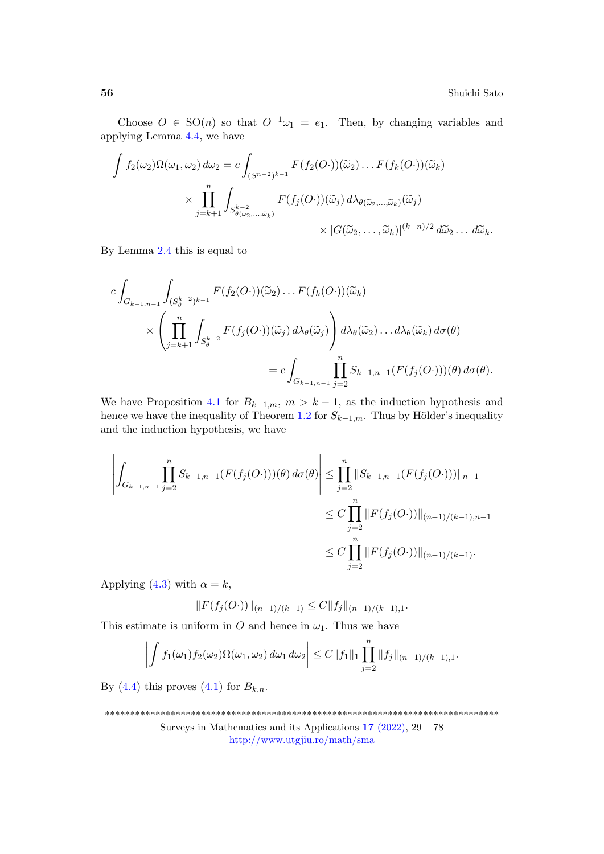Choose  $O \in SO(n)$  so that  $O^{-1}\omega_1 = e_1$ . Then, by changing variables and applying Lemma [4.4,](#page-26-0) we have

$$
\int f_2(\omega_2) \Omega(\omega_1, \omega_2) d\omega_2 = c \int_{(S^{n-2})^{k-1}} F(f_2(O\cdot))(\widetilde{\omega}_2) \dots F(f_k(O\cdot))(\widetilde{\omega}_k)
$$
  
 
$$
\times \prod_{j=k+1}^n \int_{S_{\theta(\widetilde{\omega}_2,\dots,\widetilde{\omega}_k)}} F(f_j(O\cdot))(\widetilde{\omega}_j) d\lambda_{\theta(\widetilde{\omega}_2,\dots,\widetilde{\omega}_k)}(\widetilde{\omega}_j)
$$
  
 
$$
\times |G(\widetilde{\omega}_2,\dots,\widetilde{\omega}_k)|^{(k-n)/2} d\widetilde{\omega}_2 \dots d\widetilde{\omega}_k.
$$

By Lemma [2.4](#page-16-0) this is equal to

$$
c \int_{G_{k-1,n-1}} \int_{(S_{\theta}^{k-2})^{k-1}} F(f_2(O\cdot))(\tilde{\omega}_2) \dots F(f_k(O\cdot))(\tilde{\omega}_k)
$$
  
\$\times \left( \prod\_{j=k+1}^n \int\_{S\_{\theta}^{k-2}} F(f\_j(O\cdot))(\tilde{\omega}\_j) d\lambda\_{\theta}(\tilde{\omega}\_j) \right) d\lambda\_{\theta}(\tilde{\omega}\_2) \dots d\lambda\_{\theta}(\tilde{\omega}\_k) d\sigma(\theta)\$  
= 
$$
c \int_{G_{k-1,n-1}} \prod_{j=2}^n S_{k-1,n-1}(F(f_j(O\cdot)))(\theta) d\sigma(\theta).
$$

We have Proposition [4.1](#page-22-0) for  $B_{k-1,m}$ ,  $m > k-1$ , as the induction hypothesis and hence we have the inequality of Theorem [1.2](#page-3-0) for  $S_{k-1,m}$ . Thus by Hölder's inequality and the induction hypothesis, we have

$$
\left| \int_{G_{k-1,n-1}} \prod_{j=2}^{n} S_{k-1,n-1}(F(f_j(O\cdot)))(\theta) d\sigma(\theta) \right| \leq \prod_{j=2}^{n} \|S_{k-1,n-1}(F(f_j(O\cdot)))\|_{n-1}
$$
  

$$
\leq C \prod_{j=2}^{n} \|F(f_j(O\cdot))\|_{(n-1)/(k-1),n-1}
$$
  

$$
\leq C \prod_{j=2}^{n} \|F(f_j(O\cdot))\|_{(n-1)/(k-1)}.
$$

Applying [\(4.3\)](#page-23-3) with  $\alpha = k$ ,

$$
||F(f_j(O\cdot))||_{(n-1)/(k-1)} \leq C||f_j||_{(n-1)/(k-1),1}.
$$

This estimate is uniform in O and hence in  $\omega_1$ . Thus we have

$$
\left| \int f_1(\omega_1) f_2(\omega_2) \Omega(\omega_1, \omega_2) d\omega_1 d\omega_2 \right| \leq C \|f_1\|_1 \prod_{j=2}^n \|f_j\|_{(n-1)/(k-1),1}.
$$

By [\(4.4\)](#page-25-0) this proves [\(4.1\)](#page-23-1) for  $B_{k,n}$ .

\*\*\*\*\*\*\*\*\*\*\*\*\*\*\*\*\*\*\*\*\*\*\*\*\*\*\*\*\*\*\*\*\*\*\*\*\*\*\*\*\*\*\*\*\*\*\*\*\*\*\*\*\*\*\*\*\*\*\*\*\*\*\*\*\*\*\*\*\*\*\*\*\*\*\*\*\*\*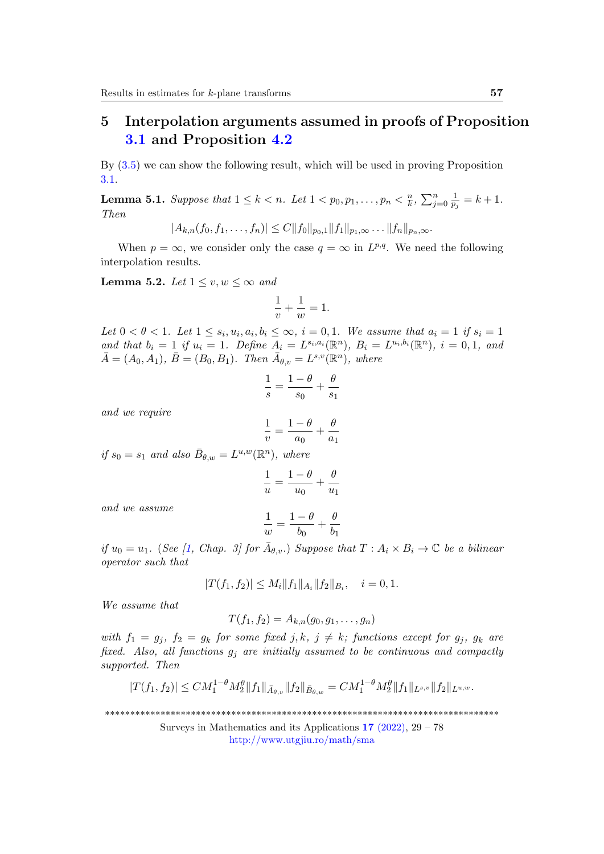# <span id="page-28-0"></span>5 Interpolation arguments assumed in proofs of Proposition [3.1](#page-17-0) and Proposition [4.2](#page-23-0)

By [\(3.5\)](#page-21-0) we can show the following result, which will be used in proving Proposition [3.1.](#page-17-0)

<span id="page-28-2"></span>**Lemma 5.1.** Suppose that  $1 \leq k < n$ . Let  $1 < p_0, p_1, \ldots, p_n < \frac{n}{k}$  $\frac{n}{k}$ ,  $\sum_{j=0}^{n} \frac{1}{p}$  $\frac{1}{p_j} = k + 1.$ Then

 $|A_{k,n}(f_0, f_1, \ldots, f_n)| \leq C ||f_0||_{p_0,1} ||f_1||_{p_1,\infty} \ldots ||f_n||_{p_n,\infty}.$ 

When  $p = \infty$ , we consider only the case  $q = \infty$  in  $L^{p,q}$ . We need the following interpolation results.

<span id="page-28-1"></span>Lemma 5.2. Let  $1 \le v, w \le \infty$  and

$$
\frac{1}{v} + \frac{1}{w} = 1.
$$

Let  $0 < \theta < 1$ . Let  $1 \leq s_i, u_i, a_i, b_i \leq \infty$ ,  $i = 0, 1$ . We assume that  $a_i = 1$  if  $s_i = 1$ and that  $b_i = 1$  if  $u_i = 1$ . Define  $A_i = L^{s_i, a_i}(\mathbb{R}^n)$ ,  $B_i = L^{u_i, b_i}(\mathbb{R}^n)$ ,  $i = 0, 1$ , and  $\bar{A} = (A_0, A_1), \ \bar{B} = (B_0, B_1).$  Then  $\bar{A}_{\theta, v} = L^{s, v}(\mathbb{R}^n)$ , where

$$
\frac{1}{s} = \frac{1-\theta}{s_0} + \frac{\theta}{s_1}
$$

and we require

$$
= \frac{1-\theta}{a_0} + \frac{\theta}{a_1}
$$

1  $\overline{v}$ 

if  $s_0 = s_1$  and also  $\bar{B}_{\theta,w} = L^{u,w}(\mathbb{R}^n)$ , where

$$
\frac{1}{u} = \frac{1-\theta}{u_0} + \frac{\theta}{u_1}
$$

and we assume

$$
\frac{1}{w}=\frac{1-\theta}{b_0}+\frac{\theta}{b_1}
$$

if  $u_0 = u_1$ . (See [\[1,](#page-47-3) Chap. 3] for  $\bar{A}_{\theta,v}$ .) Suppose that  $T : A_i \times B_i \to \mathbb{C}$  be a bilinear operator such that

$$
|T(f_1, f_2)| \le M_i \|f_1\|_{A_i} \|f_2\|_{B_i}, \quad i = 0, 1.
$$

We assume that

$$
T(f_1, f_2) = A_{k,n}(g_0, g_1, \dots, g_n)
$$

with  $f_1 = g_i$ ,  $f_2 = g_k$  for some fixed j, k,  $j \neq k$ ; functions except for  $g_i$ ,  $g_k$  are fixed. Also, all functions  $g_i$  are initially assumed to be continuous and compactly supported. Then

$$
|T(f_1, f_2)| \leq CM_1^{1-\theta} M_2^{\theta} ||f_1||_{\bar{A}_{\theta, v}} ||f_2||_{\bar{B}_{\theta, w}} = CM_1^{1-\theta} M_2^{\theta} ||f_1||_{L^{s,v}} ||f_2||_{L^{u,w}}.
$$

\*\*\*\*\*\*\*\*\*\*\*\*\*\*\*\*\*\*\*\*\*\*\*\*\*\*\*\*\*\*\*\*\*\*\*\*\*\*\*\*\*\*\*\*\*\*\*\*\*\*\*\*\*\*\*\*\*\*\*\*\*\*\*\*\*\*\*\*\*\*\*\*\*\*\*\*\*\*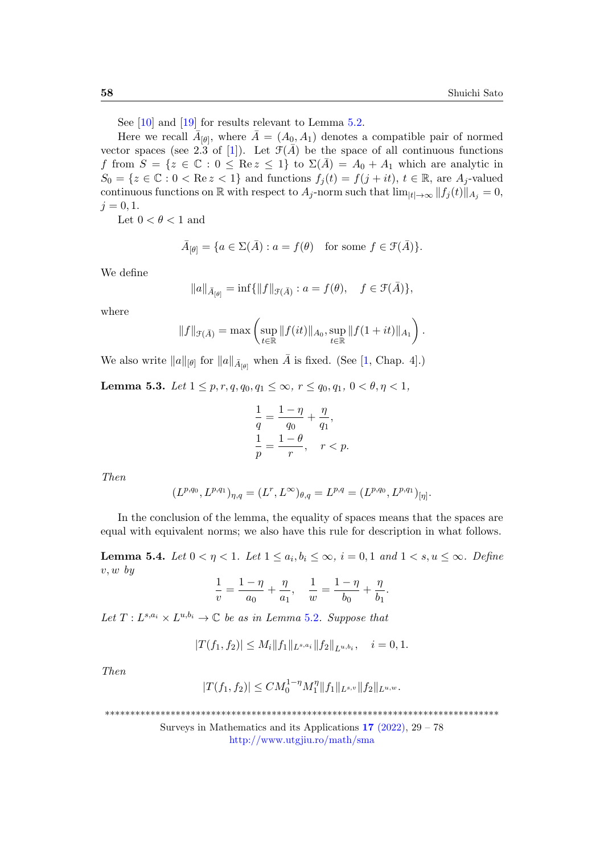See [\[10\]](#page-48-13) and [\[19\]](#page-48-14) for results relevant to Lemma [5.2.](#page-28-1)

Here we recall  $\bar{A}_{[\theta]}$ , where  $\bar{A} = (A_0, A_1)$  denotes a compatible pair of normed vector spaces (see 2.3 of [\[1\]](#page-47-3)). Let  $\mathcal{F}(\bar{A})$  be the space of all continuous functions f from  $S = \{z \in \mathbb{C} : 0 \leq \text{Re } z \leq 1\}$  to  $\Sigma(\overline{A}) = A_0 + A_1$  which are analytic in  $S_0 = \{z \in \mathbb{C} : 0 < \text{Re } z < 1\}$  and functions  $f_j(t) = f(j + it), t \in \mathbb{R}$ , are  $A_j$ -valued continuous functions on R with respect to  $A_j$ -norm such that  $\lim_{|t|\to\infty} ||f_j(t)||_{A_j} = 0$ ,  $j = 0, 1.$ 

Let  $0 < \theta < 1$  and

$$
\bar{A}_{[\theta]} = \{ a \in \Sigma(\bar{A}) : a = f(\theta) \text{ for some } f \in \mathcal{F}(\bar{A}) \}.
$$

We define

$$
||a||_{\bar{A}_{[\theta]}} = \inf{||f||_{\mathcal{F}(\bar{A})} : a = f(\theta), \quad f \in \mathcal{F}(\bar{A})},
$$

where

$$
||f||_{\mathcal{F}(\bar{A})} = \max \left( \sup_{t \in \mathbb{R}} ||f(it)||_{A_0}, \sup_{t \in \mathbb{R}} ||f(1+it)||_{A_1} \right).
$$

We also write  $||a||_{[\theta]}$  for  $||a||_{\bar{A}_{[\theta]}}$  when  $\bar{A}$  is fixed. (See [\[1,](#page-47-3) Chap. 4].)

<span id="page-29-0"></span>Lemma 5.3. Let  $1 \leq p, r, q, q_0, q_1 \leq \infty$ ,  $r \leq q_0, q_1, 0 < \theta, \eta < 1$ ,

$$
\frac{1}{q} = \frac{1-\eta}{q_0} + \frac{\eta}{q_1},
$$
  

$$
\frac{1}{p} = \frac{1-\theta}{r}, \quad r < p.
$$

Then

$$
(L^{p,q_0}, L^{p,q_1})_{\eta,q} = (L^r, L^{\infty})_{\theta,q} = L^{p,q} = (L^{p,q_0}, L^{p,q_1})_{[\eta]}.
$$

In the conclusion of the lemma, the equality of spaces means that the spaces are equal with equivalent norms; we also have this rule for description in what follows.

<span id="page-29-1"></span>**Lemma 5.4.** Let  $0 < \eta < 1$ . Let  $1 \le a_i, b_i \le \infty$ ,  $i = 0, 1$  and  $1 < s, u \le \infty$ . Define  $v, w, by$ 

$$
\frac{1}{v} = \frac{1-\eta}{a_0} + \frac{\eta}{a_1}, \quad \frac{1}{w} = \frac{1-\eta}{b_0} + \frac{\eta}{b_1}.
$$

Let  $T: L^{s,a_i} \times L^{u,b_i} \to \mathbb{C}$  be as in Lemma [5](#page-28-1).2. Suppose that

$$
|T(f_1, f_2)| \le M_i \|f_1\|_{L^{s,a_i}} \|f_2\|_{L^{u,b_i}}, \quad i = 0, 1.
$$

Then

$$
|T(f_1, f_2)| \leq C M_0^{1-\eta} M_1^{\eta} ||f_1||_{L^{s,v}} ||f_2||_{L^{u,w}}.
$$

\*\*\*\*\*\*\*\*\*\*\*\*\*\*\*\*\*\*\*\*\*\*\*\*\*\*\*\*\*\*\*\*\*\*\*\*\*\*\*\*\*\*\*\*\*\*\*\*\*\*\*\*\*\*\*\*\*\*\*\*\*\*\*\*\*\*\*\*\*\*\*\*\*\*\*\*\*\*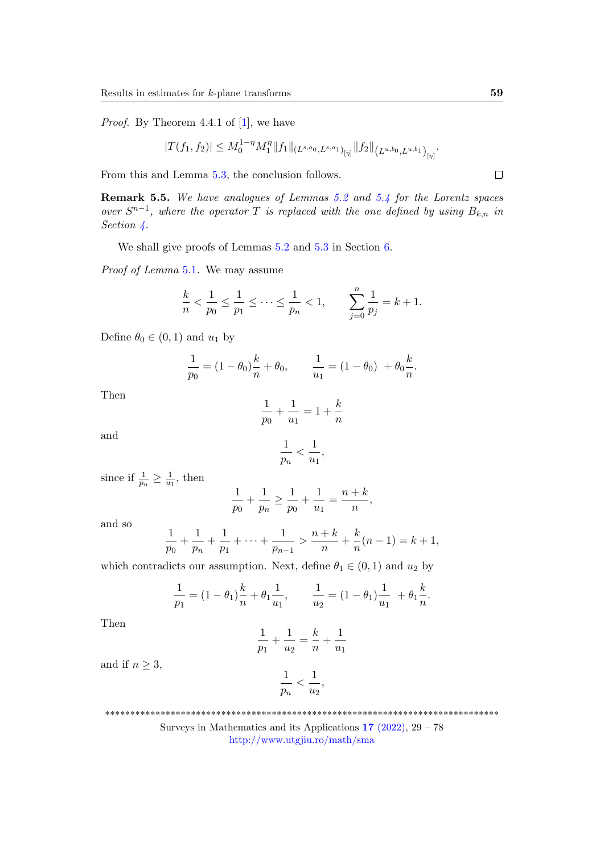Proof. By Theorem 4.4.1 of [\[1\]](#page-47-3), we have

$$
|T(f_1, f_2)| \le M_0^{1-\eta} M_1^{\eta} ||f_1||_{(L^{s,a_0}, L^{s,a_1})_{[\eta]}} ||f_2||_{(L^{u,b_0}, L^{u,b_1})_{[\eta]}}.
$$

From this and Lemma [5.3,](#page-29-0) the conclusion follows.

<span id="page-30-0"></span>Remark 5.5. We have analogues of Lemmas [5.2](#page-28-1) and [5.4](#page-29-1) for the Lorentz spaces over  $S^{n-1}$ , where the operator T is replaced with the one defined by using  $B_{k,n}$  in Section [4.](#page-22-1)

We shall give proofs of Lemmas [5.2](#page-28-1) and [5.3](#page-29-0) in Section [6.](#page-34-0)

Proof of Lemma [5](#page-28-2).1. We may assume

$$
\frac{k}{n} < \frac{1}{p_0} \le \frac{1}{p_1} \le \dots \le \frac{1}{p_n} < 1, \qquad \sum_{j=0}^n \frac{1}{p_j} = k+1.
$$

Define  $\theta_0 \in (0,1)$  and  $u_1$  by

$$
\frac{1}{p_0} = (1 - \theta_0)\frac{k}{n} + \theta_0, \qquad \frac{1}{u_1} = (1 - \theta_0) + \theta_0 \frac{k}{n}.
$$

Then

$$
\frac{1}{p_0} + \frac{1}{u_1} = 1 + \frac{k}{n}
$$

and

$$
\frac{1}{p_n} < \frac{1}{u_1},
$$

since if  $\frac{1}{p_n} \geq \frac{1}{u_1}$  $\frac{1}{u_1}$ , then

$$
\frac{1}{p_0} + \frac{1}{p_n} \ge \frac{1}{p_0} + \frac{1}{u_1} = \frac{n+k}{n},
$$

and so

$$
\frac{1}{p_0} + \frac{1}{p_n} + \frac{1}{p_1} + \dots + \frac{1}{p_{n-1}} > \frac{n+k}{n} + \frac{k}{n}(n-1) = k+1,
$$

which contradicts our assumption. Next, define  $\theta_1 \in (0, 1)$  and  $u_2$  by

$$
\frac{1}{p_1} = (1 - \theta_1)\frac{k}{n} + \theta_1 \frac{1}{u_1}, \qquad \frac{1}{u_2} = (1 - \theta_1)\frac{1}{u_1} + \theta_1 \frac{k}{n}.
$$

Then

$$
\frac{1}{p_1} + \frac{1}{u_2} = \frac{k}{n} + \frac{1}{u_1}
$$

and if  $n \geq 3$ ,

$$
\frac{1}{p_n} < \frac{1}{u_2},
$$

\*\*\*\*\*\*\*\*\*\*\*\*\*\*\*\*\*\*\*\*\*\*\*\*\*\*\*\*\*\*\*\*\*\*\*\*\*\*\*\*\*\*\*\*\*\*\*\*\*\*\*\*\*\*\*\*\*\*\*\*\*\*\*\*\*\*\*\*\*\*\*\*\*\*\*\*\*\*

Surveys in Mathematics and its Applications  $17$  [\(2022\),](http://www.utgjiu.ro/math/sma/v17/v17.html)  $29 - 78$ <http://www.utgjiu.ro/math/sma>

 $\Box$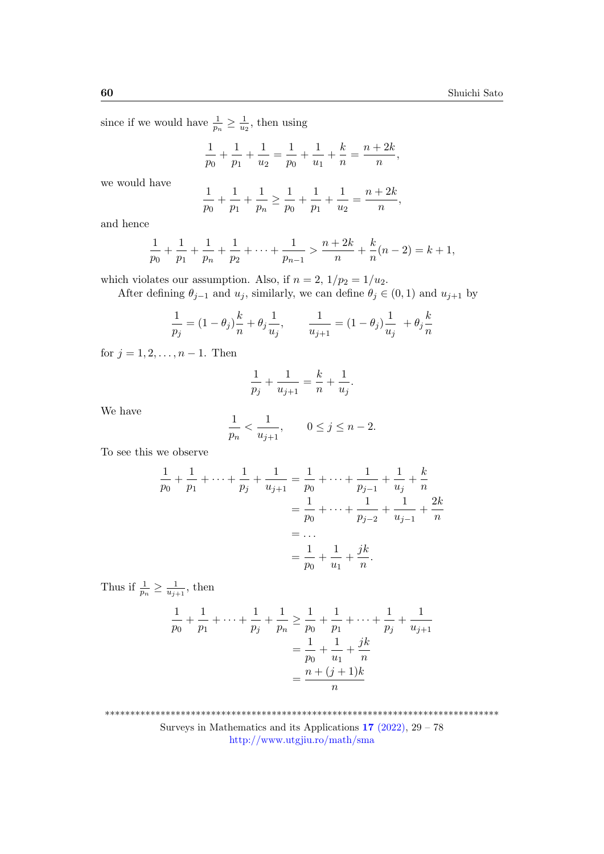since if we would have  $\frac{1}{p_n} \geq \frac{1}{u_2}$  $\frac{1}{u_2}$ , then using

 $\overline{1}$ 

$$
\frac{1}{p_0} + \frac{1}{p_1} + \frac{1}{u_2} = \frac{1}{p_0} + \frac{1}{u_1} + \frac{k}{n} = \frac{n+2k}{n},
$$

we would have

$$
\frac{1}{p_0} + \frac{1}{p_1} + \frac{1}{p_n} \ge \frac{1}{p_0} + \frac{1}{p_1} + \frac{1}{u_2} = \frac{n+2k}{n},
$$

and hence

$$
\frac{1}{p_0} + \frac{1}{p_1} + \frac{1}{p_n} + \frac{1}{p_2} + \dots + \frac{1}{p_{n-1}} > \frac{n+2k}{n} + \frac{k}{n}(n-2) = k+1,
$$

which violates our assumption. Also, if  $n = 2$ ,  $1/p_2 = 1/u_2$ .

After defining  $\theta_{j-1}$  and  $u_j$ , similarly, we can define  $\theta_j \in (0,1)$  and  $u_{j+1}$  by

$$
\frac{1}{p_j} = (1 - \theta_j) \frac{k}{n} + \theta_j \frac{1}{u_j}, \qquad \frac{1}{u_{j+1}} = (1 - \theta_j) \frac{1}{u_j} + \theta_j \frac{k}{n}
$$

for  $j = 1, 2, ..., n - 1$ . Then

$$
\frac{1}{p_j} + \frac{1}{u_{j+1}} = \frac{k}{n} + \frac{1}{u_j}.
$$

We have

$$
\frac{1}{p_n} < \frac{1}{u_{j+1}}, \qquad 0 \le j \le n-2.
$$

To see this we observe

$$
\frac{1}{p_0} + \frac{1}{p_1} + \dots + \frac{1}{p_j} + \frac{1}{u_{j+1}} = \frac{1}{p_0} + \dots + \frac{1}{p_{j-1}} + \frac{1}{u_j} + \frac{k}{n}
$$

$$
= \frac{1}{p_0} + \dots + \frac{1}{p_{j-2}} + \frac{1}{u_{j-1}} + \frac{2k}{n}
$$

$$
= \dots
$$

$$
= \frac{1}{p_0} + \frac{1}{u_1} + \frac{jk}{n}.
$$

Thus if 
$$
\frac{1}{p_n} \ge \frac{1}{u_{j+1}}
$$
, then  
\n
$$
\frac{1}{p_0} + \frac{1}{p_1} + \dots + \frac{1}{p_j} + \frac{1}{p_n} \ge \frac{1}{p_0} + \frac{1}{p_1} + \dots + \frac{1}{p_j} + \frac{1}{u_{j+1}}
$$
\n
$$
= \frac{1}{p_0} + \frac{1}{u_1} + \frac{jk}{n}
$$
\n
$$
= \frac{n + (j+1)k}{n}
$$

\*\*\*\*\*\*\*\*\*\*\*\*\*\*\*\*\*\*\*\*\*\*\*\*\*\*\*\*\*\*\*\*\*\*\*\*\*\*\*\*\*\*\*\*\*\*\*\*\*\*\*\*\*\*\*\*\*\*\*\*\*\*\*\*\*\*\*\*\*\*\*\*\*\*\*\*\*\*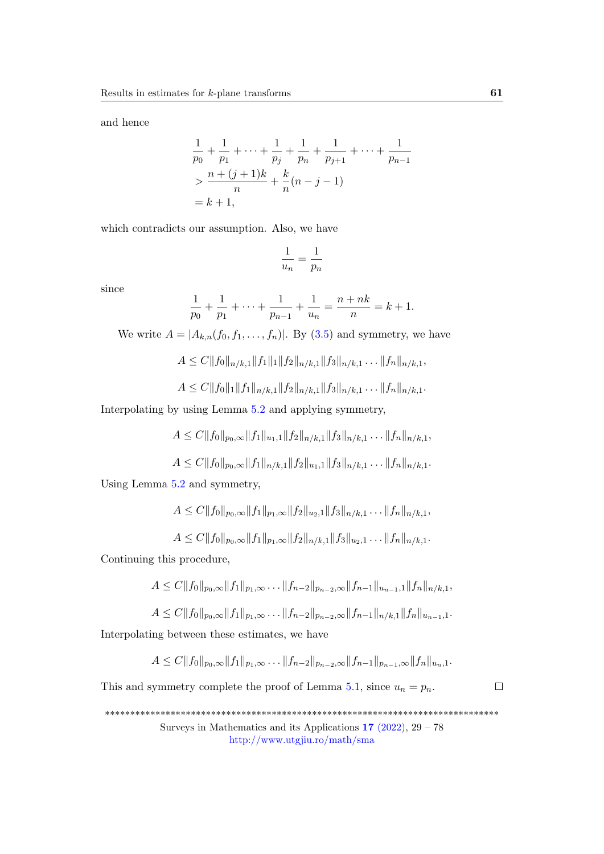and hence

$$
\frac{1}{p_0} + \frac{1}{p_1} + \dots + \frac{1}{p_j} + \frac{1}{p_n} + \frac{1}{p_{j+1}} + \dots + \frac{1}{p_{n-1}}
$$
  
> 
$$
\frac{n + (j+1)k}{n} + \frac{k}{n}(n-j-1)
$$
  
=  $k + 1$ ,

which contradicts our assumption. Also, we have

$$
\frac{1}{u_n} = \frac{1}{p_n}
$$

since

$$
\frac{1}{p_0} + \frac{1}{p_1} + \dots + \frac{1}{p_{n-1}} + \frac{1}{u_n} = \frac{n + nk}{n} = k + 1.
$$

We write  $A = |A_{k,n}(f_0, f_1, \ldots, f_n)|$ . By [\(3.5\)](#page-21-0) and symmetry, we have

$$
A \le C \|f_0\|_{n/k,1} \|f_1\|_1 \|f_2\|_{n/k,1} \|f_3\|_{n/k,1} \dots \|f_n\|_{n/k,1},
$$
  

$$
A \le C \|f_0\|_1 \|f_1\|_{n/k,1} \|f_2\|_{n/k,1} \|f_3\|_{n/k,1} \dots \|f_n\|_{n/k,1}.
$$

$$
A \leq C ||f_0||_1 ||f_1||_{n/k,1} ||f_2||_{n/k,1} ||f_3||_{n/k,1} \ldots ||f_n||_{n/k,1}
$$

Interpolating by using Lemma [5.2](#page-28-1) and applying symmetry,

$$
A \leq C ||f_0||_{p_0,\infty} ||f_1||_{u_1,1} ||f_2||_{n/k,1} ||f_3||_{n/k,1} \dots ||f_n||_{n/k,1},
$$

$$
A \leq C ||f_0||_{p_0,\infty} ||f_1||_{n/k,1} ||f_2||_{u_1,1} ||f_3||_{n/k,1} \ldots ||f_n||_{n/k,1}.
$$

Using Lemma [5.2](#page-28-1) and symmetry,

$$
A \leq C ||f_0||_{p_0,\infty} ||f_1||_{p_1,\infty} ||f_2||_{u_2,1} ||f_3||_{n/k,1} \ldots ||f_n||_{n/k,1},
$$

$$
A \leq C ||f_0||_{p_0,\infty} ||f_1||_{p_1,\infty} ||f_2||_{n/k,1} ||f_3||_{u_2,1} \ldots ||f_n||_{n/k,1}.
$$

Continuing this procedure,

$$
A \leq C ||f_0||_{p_0,\infty} ||f_1||_{p_1,\infty} \ldots ||f_{n-2}||_{p_{n-2},\infty} ||f_{n-1}||_{u_{n-1},1} ||f_n||_{n/k,1},
$$

$$
A \leq C ||f_0||_{p_0,\infty} ||f_1||_{p_1,\infty} \ldots ||f_{n-2}||_{p_{n-2},\infty} ||f_{n-1}||_{n/k,1} ||f_n||_{u_{n-1},1}.
$$

Interpolating between these estimates, we have

$$
A \leq C ||f_0||_{p_0,\infty} ||f_1||_{p_1,\infty} \ldots ||f_{n-2}||_{p_{n-2},\infty} ||f_{n-1}||_{p_{n-1},\infty} ||f_n||_{u_n,1}.
$$

This and symmetry complete the proof of Lemma [5.1,](#page-28-2) since  $u_n = p_n$ .

 $\Box$ 

\*\*\*\*\*\*\*\*\*\*\*\*\*\*\*\*\*\*\*\*\*\*\*\*\*\*\*\*\*\*\*\*\*\*\*\*\*\*\*\*\*\*\*\*\*\*\*\*\*\*\*\*\*\*\*\*\*\*\*\*\*\*\*\*\*\*\*\*\*\*\*\*\*\*\*\*\*\* Surveys in Mathematics and its Applications  $17$  [\(2022\),](http://www.utgjiu.ro/math/sma/v17/v17.html)  $29 - 78$ 

<http://www.utgjiu.ro/math/sma>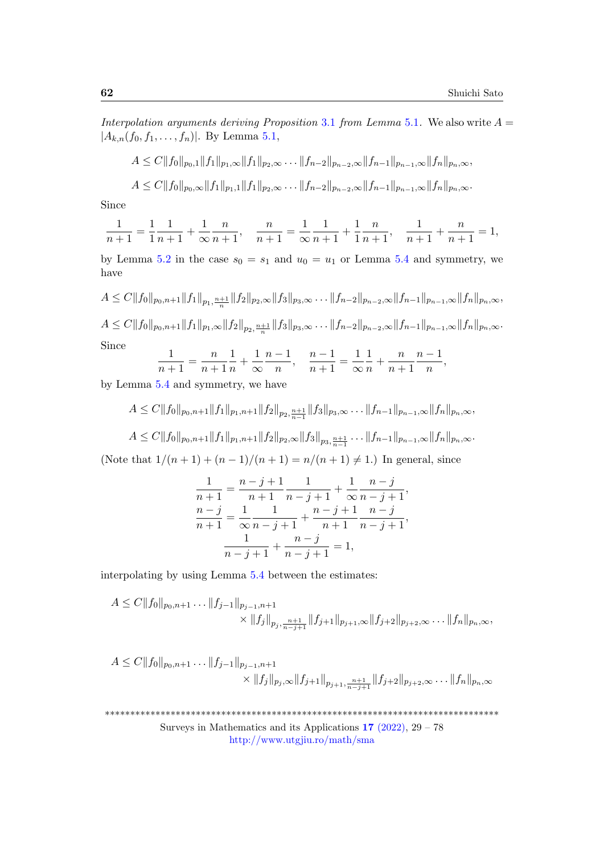Interpolation arguments deriving Proposition [3](#page-17-0).1 from Lemma [5](#page-28-2).1. We also write  $A =$  $|A_{k,n}(f_0, f_1, \ldots, f_n)|$ . By Lemma [5.1,](#page-28-2)

$$
A \leq C||f_0||_{p_0,1}||f_1||_{p_1,\infty}||f_1||_{p_2,\infty} \ldots ||f_{n-2}||_{p_{n-2},\infty}||f_{n-1}||_{p_{n-1},\infty}||f_n||_{p_n,\infty},
$$

$$
A \leq C ||f_0||_{p_0,\infty} ||f_1||_{p_1,1} ||f_1||_{p_2,\infty} \ldots ||f_{n-2}||_{p_{n-2},\infty} ||f_{n-1}||_{p_{n-1},\infty} ||f_n||_{p_n,\infty}.
$$

Since

$$
\frac{1}{n+1} = \frac{1}{1} \frac{1}{n+1} + \frac{1}{\infty} \frac{n}{n+1}, \quad \frac{n}{n+1} = \frac{1}{\infty} \frac{1}{n+1} + \frac{1}{1} \frac{n}{n+1}, \quad \frac{1}{n+1} + \frac{n}{n+1} = 1,
$$

by Lemma [5.2](#page-28-1) in the case  $s_0 = s_1$  and  $u_0 = u_1$  or Lemma [5.4](#page-29-1) and symmetry, we have

$$
A \leq C||f_0||_{p_0,n+1}||f_1||_{p_1,\frac{n+1}{n}}||f_2||_{p_2,\infty}||f_3||_{p_3,\infty} \dots ||f_{n-2}||_{p_{n-2},\infty}||f_{n-1}||_{p_{n-1},\infty}||f_n||_{p_n,\infty},
$$
  

$$
A \leq C||f_0||_{p_0,n+1}||f_1||_{p_1,\infty}||f_2||_{p_2,\frac{n+1}{n}}||f_3||_{p_3,\infty} \dots ||f_{n-2}||_{p_{n-2},\infty}||f_{n-1}||_{p_{n-1},\infty}||f_n||_{p_n,\infty}.
$$
  
Since

Since

$$
\frac{1}{n+1} = \frac{n}{n+1} \frac{1}{n} + \frac{1}{\infty} \frac{n-1}{n}, \quad \frac{n-1}{n+1} = \frac{1}{\infty} \frac{1}{n} + \frac{n}{n+1} \frac{n-1}{n},
$$

by Lemma [5.4](#page-29-1) and symmetry, we have

$$
A \leq C||f_0||_{p_0,n+1}||f_1||_{p_1,n+1}||f_2||_{p_2,\frac{n+1}{n-1}}||f_3||_{p_3,\infty} \ldots ||f_{n-1}||_{p_{n-1},\infty}||f_n||_{p_n,\infty},
$$

 $A \leq C \|f_0\|_{p_0,n+1} \|f_1\|_{p_1,n+1} \|f_2\|_{p_2,\infty} \|f_3\|_{p_3,\frac{n+1}{n-1}} \ldots \|f_{n-1}\|_{p_{n-1},\infty} \|f_n\|_{p_n,\infty}$ 

(Note that  $1/(n+1) + (n-1)/(n+1) = n/(n+1) \neq 1$ .) In general, since

$$
\frac{1}{n+1} = \frac{n-j+1}{n+1} \frac{1}{n-j+1} + \frac{1}{\infty} \frac{n-j}{n-j+1},
$$
  
\n
$$
\frac{n-j}{n+1} = \frac{1}{\infty} \frac{1}{n-j+1} + \frac{n-j+1}{n+1} \frac{n-j}{n-j+1},
$$
  
\n
$$
\frac{1}{n-j+1} + \frac{n-j}{n-j+1} = 1,
$$

interpolating by using Lemma [5.4](#page-29-1) between the estimates:

$$
A \leq C ||f_0||_{p_0, n+1} \dots ||f_{j-1}||_{p_{j-1}, n+1} \times ||f_j||_{p_j, \frac{n+1}{n-j+1}} ||f_{j+1}||_{p_{j+1}, \infty} ||f_{j+2}||_{p_{j+2}, \infty} \dots ||f_n||_{p_n, \infty},
$$

$$
A \leq C ||f_0||_{p_0, n+1} \dots ||f_{j-1}||_{p_{j-1}, n+1} \times ||f_j||_{p_j, \infty} ||f_{j+1}||_{p_{j+1}, \frac{n+1}{n-j+1}} ||f_{j+2}||_{p_{j+2}, \infty} \dots ||f_n||_{p_n, \infty}
$$

\*\*\*\*\*\*\*\*\*\*\*\*\*\*\*\*\*\*\*\*\*\*\*\*\*\*\*\*\*\*\*\*\*\*\*\*\*\*\*\*\*\*\*\*\*\*\*\*\*\*\*\*\*\*\*\*\*\*\*\*\*\*\*\*\*\*\*\*\*\*\*\*\*\*\*\*\*\* Surveys in Mathematics and its Applications  $17$  [\(2022\),](http://www.utgjiu.ro/math/sma/v17/v17.html)  $29 - 78$ 

<http://www.utgjiu.ro/math/sma>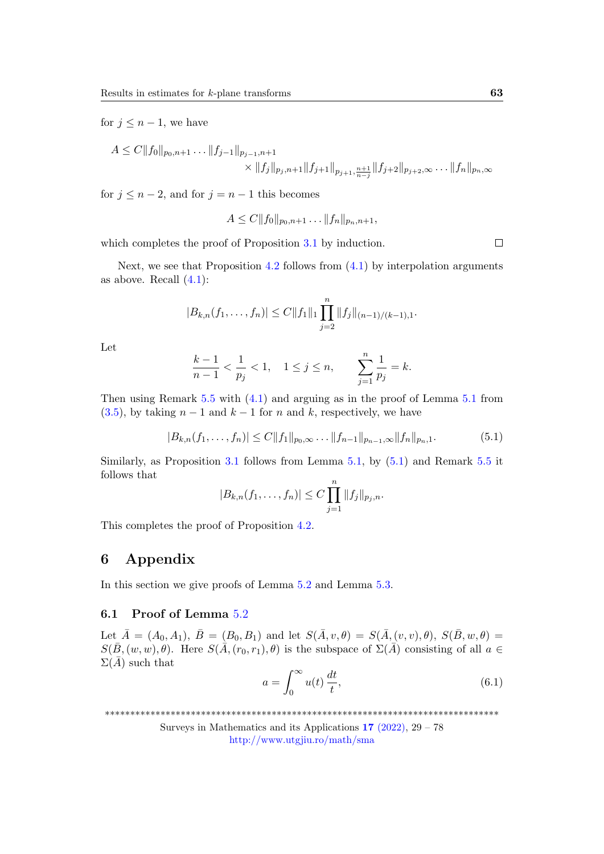for  $j \leq n-1$ , we have

$$
A \leq C ||f_0||_{p_0, n+1} \dots ||f_{j-1}||_{p_{j-1}, n+1}
$$
  
 
$$
\times ||f_j||_{p_j, n+1} ||f_{j+1}||_{p_{j+1}, \frac{n+1}{n-j}} ||f_{j+2}||_{p_{j+2}, \infty} \dots ||f_n||_{p_n, \infty}
$$

for  $j \leq n-2$ , and for  $j = n-1$  this becomes

$$
A \leq C ||f_0||_{p_0,n+1} \dots ||f_n||_{p_n,n+1},
$$

which completes the proof of Proposition [3](#page-17-0).1 by induction.

 $\Box$ 

Next, we see that Proposition [4.2](#page-23-0) follows from  $(4.1)$  by interpolation arguments as above. Recall  $(4.1)$ :

$$
|B_{k,n}(f_1,\ldots,f_n)| \leq C ||f_1||_1 \prod_{j=2}^n ||f_j||_{(n-1)/(k-1),1}.
$$

Let

$$
\frac{k-1}{n-1} < \frac{1}{p_j} < 1, \quad 1 \le j \le n, \qquad \sum_{j=1}^n \frac{1}{p_j} = k.
$$

Then using Remark [5.5](#page-30-0) with [\(4.1\)](#page-23-1) and arguing as in the proof of Lemma [5.1](#page-28-2) from  $(3.5)$ , by taking  $n-1$  and  $k-1$  for n and k, respectively, we have

<span id="page-34-1"></span>
$$
|B_{k,n}(f_1,\ldots,f_n)| \le C \|f_1\|_{p_0,\infty} \ldots \|f_{n-1}\|_{p_{n-1},\infty} \|f_n\|_{p_n,1}.
$$
 (5.1)

Similarly, as Proposition [3.1](#page-17-0) follows from Lemma [5.1,](#page-28-2) by [\(5.1\)](#page-34-1) and Remark [5.5](#page-30-0) it follows that

$$
|B_{k,n}(f_1,\ldots,f_n)|\leq C\prod_{j=1}^n||f_j||_{p_j,n}.
$$

This completes the proof of Proposition [4.2.](#page-23-0)

### <span id="page-34-0"></span>6 Appendix

In this section we give proofs of Lemma [5](#page-28-1).2 and Lemma 5.[3.](#page-29-0)

#### 6.1 Proof of Lemma [5](#page-28-1).2

Let  $\bar{A} = (A_0, A_1), \ \bar{B} = (B_0, B_1)$  and let  $S(\bar{A}, v, \theta) = S(\bar{A}, (v, v), \theta), S(\bar{B}, w, \theta) =$  $S(\bar{B}, (w, w), \theta)$ . Here  $S(\bar{A}, (r_0, r_1), \theta)$  is the subspace of  $\Sigma(\bar{A})$  consisting of all  $a \in$  $\Sigma(\bar{A})$  such that

<span id="page-34-2"></span>
$$
a = \int_0^\infty u(t) \, \frac{dt}{t},\tag{6.1}
$$

\*\*\*\*\*\*\*\*\*\*\*\*\*\*\*\*\*\*\*\*\*\*\*\*\*\*\*\*\*\*\*\*\*\*\*\*\*\*\*\*\*\*\*\*\*\*\*\*\*\*\*\*\*\*\*\*\*\*\*\*\*\*\*\*\*\*\*\*\*\*\*\*\*\*\*\*\*\*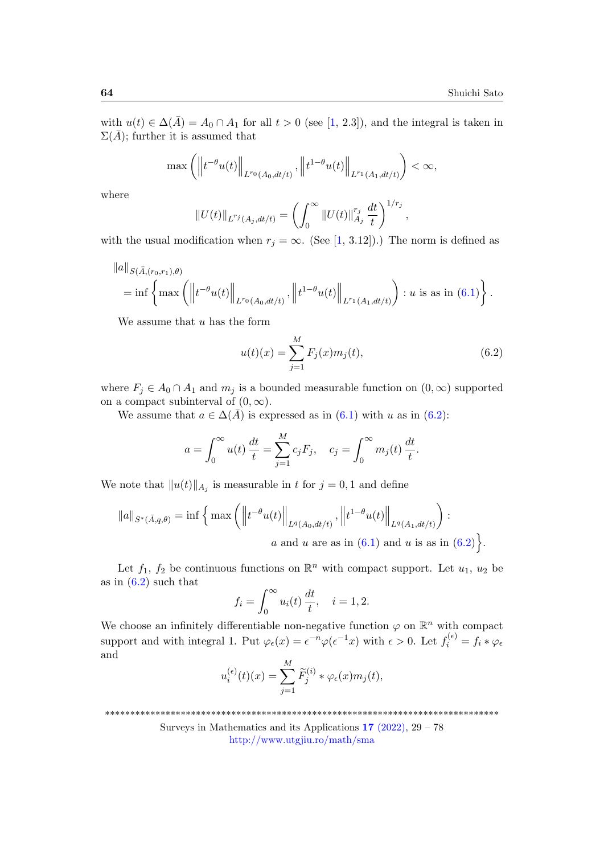with  $u(t) \in \Delta(\bar{A}) = A_0 \cap A_1$  for all  $t > 0$  (see [\[1,](#page-47-3) 2.3]), and the integral is taken in  $\Sigma(\bar{A})$ ; further it is assumed that

$$
\max\left(\left\|t^{-\theta}u(t)\right\|_{L^{r_0}(A_0,dt/t)},\left\|t^{1-\theta}u(t)\right\|_{L^{r_1}(A_1,dt/t)}\right)<\infty,
$$

where

$$
||U(t)||_{L^{r_j}(A_j,dt/t)} = \left(\int_0^\infty ||U(t)||_{A_j}^{r_j} \frac{dt}{t}\right)^{1/r_j},
$$

with the usual modification when  $r_j = \infty$ . (See [\[1,](#page-47-3) 3.12]).) The norm is defined as

$$
||a||_{S(\bar{A},(r_0,r_1),\theta)}=\inf \left\{\max \left(\left\|t^{-\theta}u(t)\right\|_{L^{r_0}(A_0,dt/t)},\left\|t^{1-\theta}u(t)\right\|_{L^{r_1}(A_1,dt/t)}\right): u \text{ is as in (6.1)}\right\}.
$$

We assume that  $u$  has the form

<span id="page-35-0"></span>
$$
u(t)(x) = \sum_{j=1}^{M} F_j(x)m_j(t),
$$
\n(6.2)

where  $F_j \in A_0 \cap A_1$  and  $m_j$  is a bounded measurable function on  $(0, \infty)$  supported on a compact subinterval of  $(0, \infty)$ .

We assume that  $a \in \Delta(\bar{A})$  is expressed as in [\(6.1\)](#page-34-2) with u as in [\(6.2\)](#page-35-0):

$$
a = \int_0^{\infty} u(t) \frac{dt}{t} = \sum_{j=1}^{M} c_j F_j
$$
,  $c_j = \int_0^{\infty} m_j(t) \frac{dt}{t}$ .

We note that  $||u(t)||_{A_j}$  is measurable in t for  $j = 0, 1$  and define

$$
||a||_{S^*(\bar{A},q,\theta)} = \inf \left\{ \max \left( \left\| t^{-\theta} u(t) \right\|_{L^q(A_0,dt/t)}, \left\| t^{1-\theta} u(t) \right\|_{L^q(A_1,dt/t)} \right) : \right. a \text{ and } u \text{ are as in (6.1) and } u \text{ is as in (6.2)} \right\}.
$$

Let  $f_1, f_2$  be continuous functions on  $\mathbb{R}^n$  with compact support. Let  $u_1, u_2$  be as in  $(6.2)$  such that

$$
f_i = \int_0^\infty u_i(t) \, \frac{dt}{t}, \quad i = 1, 2.
$$

We choose an infinitely differentiable non-negative function  $\varphi$  on  $\mathbb{R}^n$  with compact support and with integral 1. Put  $\varphi_{\epsilon}(x) = \epsilon^{-n} \varphi(\epsilon^{-1} x)$  with  $\epsilon > 0$ . Let  $f_i^{(\epsilon)} = f_i * \varphi_{\epsilon}$ and

$$
u_i^{(\epsilon)}(t)(x) = \sum_{j=1}^M \widetilde{F}_j^{(i)} * \varphi_\epsilon(x) m_j(t),
$$

\*\*\*\*\*\*\*\*\*\*\*\*\*\*\*\*\*\*\*\*\*\*\*\*\*\*\*\*\*\*\*\*\*\*\*\*\*\*\*\*\*\*\*\*\*\*\*\*\*\*\*\*\*\*\*\*\*\*\*\*\*\*\*\*\*\*\*\*\*\*\*\*\*\*\*\*\*\*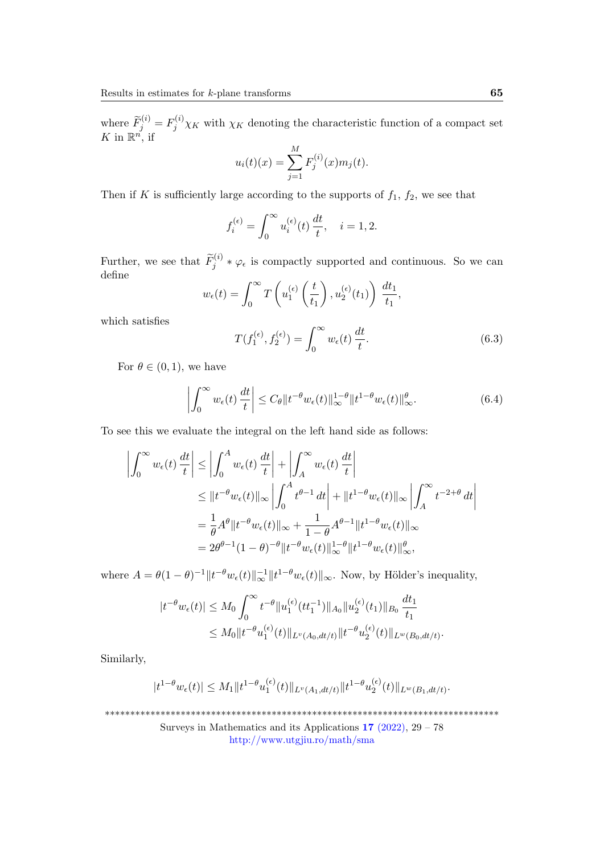where  $\widetilde{F}_j^{(i)} = F_j^{(i)} \chi_K$  with  $\chi_K$  denoting the characteristic function of a compact set K in  $\mathbb{R}^{n'}$ , if

$$
u_i(t)(x) = \sum_{j=1}^{M} F_j^{(i)}(x) m_j(t).
$$

Then if K is sufficiently large according to the supports of  $f_1$ ,  $f_2$ , we see that

$$
f_i^{(\epsilon)} = \int_0^\infty u_i^{(\epsilon)}(t) \, \frac{dt}{t}, \quad i = 1, 2.
$$

Further, we see that  $\widetilde{F}_j^{(i)} * \varphi_\epsilon$  is compactly supported and continuous. So we can define

$$
w_{\epsilon}(t) = \int_0^{\infty} T\left(u_1^{(\epsilon)}\left(\frac{t}{t_1}\right), u_2^{(\epsilon)}(t_1)\right) \frac{dt_1}{t_1},
$$

which satisfies

<span id="page-36-0"></span>
$$
T(f_1^{(\epsilon)}, f_2^{(\epsilon)}) = \int_0^\infty w_\epsilon(t) \, \frac{dt}{t}.\tag{6.3}
$$

For  $\theta \in (0, 1)$ , we have

<span id="page-36-1"></span>
$$
\left| \int_0^\infty w_\epsilon(t) \, \frac{dt}{t} \right| \le C_\theta \| t^{-\theta} w_\epsilon(t) \|_\infty^{1-\theta} \| t^{1-\theta} w_\epsilon(t) \|_\infty^\theta. \tag{6.4}
$$

To see this we evaluate the integral on the left hand side as follows:

$$
\left| \int_0^\infty w_\epsilon(t) \, \frac{dt}{t} \right| \le \left| \int_0^A w_\epsilon(t) \, \frac{dt}{t} \right| + \left| \int_A^\infty w_\epsilon(t) \, \frac{dt}{t} \right|
$$
  
\n
$$
\le \left| |t^{-\theta} w_\epsilon(t) | \right|_\infty \left| \int_0^A t^{\theta-1} \, dt \right| + \left| |t^{1-\theta} w_\epsilon(t) | \right|_\infty \left| \int_A^\infty t^{-2+\theta} \, dt \right|
$$
  
\n
$$
= \frac{1}{\theta} A^\theta \| t^{-\theta} w_\epsilon(t) \|_\infty + \frac{1}{1-\theta} A^{\theta-1} \| t^{1-\theta} w_\epsilon(t) \|_\infty
$$
  
\n
$$
= 2\theta^{\theta-1} (1-\theta)^{-\theta} \| t^{-\theta} w_\epsilon(t) \|_\infty^{1-\theta} \| t^{1-\theta} w_\epsilon(t) \|_\infty^{\theta},
$$

where  $A = \theta(1-\theta)^{-1} \|t^{-\theta} w_{\epsilon}(t)\|_{\infty}^{-1} \|t^{1-\theta} w_{\epsilon}(t)\|_{\infty}$ . Now, by Hölder's inequality,

$$
|t^{-\theta}w_{\epsilon}(t)| \leq M_0 \int_0^{\infty} t^{-\theta} \|u_1^{(\epsilon)}(tt_1^{-1})\|_{A_0} \|u_2^{(\epsilon)}(t_1)\|_{B_0} \frac{dt_1}{t_1}
$$
  

$$
\leq M_0 \|t^{-\theta}u_1^{(\epsilon)}(t)\|_{L^v(A_0, dt/t)} \|t^{-\theta}u_2^{(\epsilon)}(t)\|_{L^w(B_0, dt/t)}.
$$

Similarly,

$$
|t^{1-\theta}w_{\epsilon}(t)| \leq M_1 \|t^{1-\theta}u_1^{(\epsilon)}(t)\|_{L^v(A_1, dt/t)} \|t^{1-\theta}u_2^{(\epsilon)}(t)\|_{L^w(B_1, dt/t)}.
$$

\*\*\*\*\*\*\*\*\*\*\*\*\*\*\*\*\*\*\*\*\*\*\*\*\*\*\*\*\*\*\*\*\*\*\*\*\*\*\*\*\*\*\*\*\*\*\*\*\*\*\*\*\*\*\*\*\*\*\*\*\*\*\*\*\*\*\*\*\*\*\*\*\*\*\*\*\*\*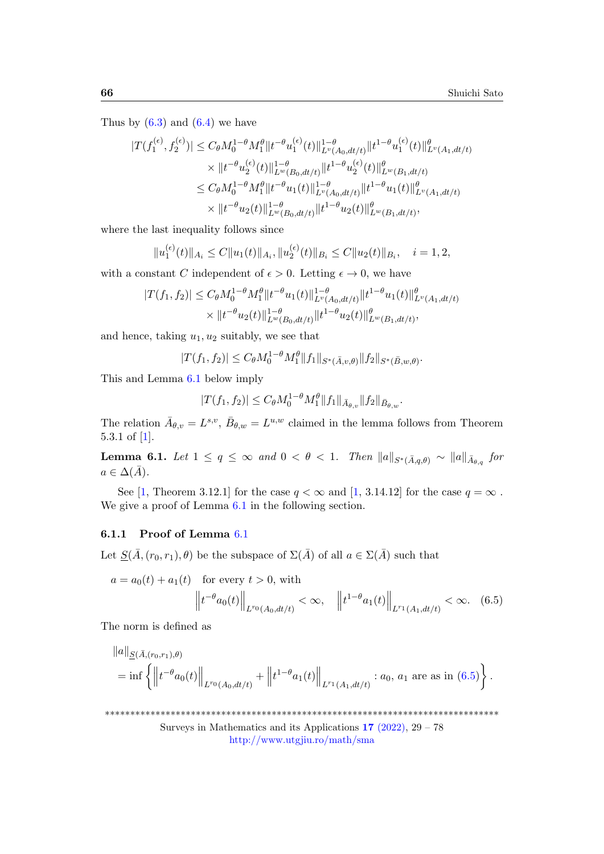Thus by  $(6.3)$  and  $(6.4)$  we have

$$
|T(f_1^{(\epsilon)}, f_2^{(\epsilon)})| \leq C_{\theta} M_0^{1-\theta} M_1^{\theta} \|t^{-\theta} u_1^{(\epsilon)}(t)\|_{L^v(A_0, dt/t)}^{1-\theta} \|t^{1-\theta} u_1^{(\epsilon)}(t)\|_{L^v(A_1, dt/t)}^{\theta} \times \|t^{-\theta} u_2^{(\epsilon)}(t)\|_{L^w(B_0, dt/t)}^{1-\theta} \|t^{1-\theta} u_2^{(\epsilon)}(t)\|_{L^w(B_1, dt/t)}^{\theta} \leq C_{\theta} M_0^{1-\theta} M_1^{\theta} \|t^{-\theta} u_1(t)\|_{L^v(A_0, dt/t)}^{1-\theta} \|t^{1-\theta} u_1(t)\|_{L^v(A_1, dt/t)}^{\theta} \times \|t^{-\theta} u_2(t)\|_{L^w(B_0, dt/t)}^{1-\theta} \|t^{1-\theta} u_2(t)\|_{L^w(B_1, dt/t)}^{\theta},
$$

where the last inequality follows since

$$
||u_1^{(\epsilon)}(t)||_{A_i} \leq C||u_1(t)||_{A_i}, ||u_2^{(\epsilon)}(t)||_{B_i} \leq C||u_2(t)||_{B_i}, \quad i=1,2,
$$

with a constant C independent of  $\epsilon > 0$ . Letting  $\epsilon \to 0$ , we have

$$
|T(f_1, f_2)| \leq C_{\theta} M_0^{1-\theta} M_1^{\theta} \|t^{-\theta} u_1(t)\|_{L^{\nu}(A_0, dt/t)}^{1-\theta} \|t^{1-\theta} u_1(t)\|_{L^{\nu}(A_1, dt/t)}^{\theta}
$$
  
 
$$
\times \|t^{-\theta} u_2(t)\|_{L^{\omega}(B_0, dt/t)}^{1-\theta} \|t^{1-\theta} u_2(t)\|_{L^{\omega}(B_1, dt/t)}^{\theta},
$$

and hence, taking  $u_1, u_2$  suitably, we see that

$$
|T(f_1, f_2)| \leq C_{\theta} M_0^{1-\theta} M_1^{\theta} ||f_1||_{S^*(\bar{A}, v, \theta)} ||f_2||_{S^*(\bar{B}, w, \theta)}.
$$

This and Lemma [6.1](#page-37-0) below imply

<span id="page-37-1"></span>
$$
|T(f_1, f_2)| \leq C_{\theta} M_0^{1-\theta} M_1^{\theta} ||f_1||_{\bar{A}_{\theta, v}} ||f_2||_{\bar{B}_{\theta, w}}.
$$

The relation  $\bar{A}_{\theta,v} = L^{s,v}, \bar{B}_{\theta,w} = L^{u,w}$  claimed in the lemma follows from Theorem 5.3.1 of [\[1\]](#page-47-3).

<span id="page-37-0"></span>**Lemma 6.1.** Let  $1 \leq q \leq \infty$  and  $0 < \theta < 1$ . Then  $\|a\|_{S^*(\bar{A},q,\theta)} \sim \|a\|_{\bar{A}_{\theta,q}}$  for  $a \in \Delta(\bar{A}).$ 

See [\[1,](#page-47-3) Theorem 3.12.1] for the case  $q < \infty$  and [1, 3.14.12] for the case  $q = \infty$ . We give a proof of Lemma  $6.1$  in the following section.

### 6.1.1 Proof of Lemma [6](#page-37-0).1

Let  $\underline{S}(\overline{A}, (r_0, r_1), \theta)$  be the subspace of  $\Sigma(\overline{A})$  of all  $a \in \Sigma(\overline{A})$  such that

$$
a = a_0(t) + a_1(t) \quad \text{for every } t > 0, \text{ with}
$$

$$
\left\| t^{-\theta} a_0(t) \right\|_{L^{r_0}(A_0, dt/t)} < \infty, \quad \left\| t^{1-\theta} a_1(t) \right\|_{L^{r_1}(A_1, dt/t)} < \infty. \quad (6.5)
$$

The norm is defined as

$$
||a||_{\underline{S}(\bar{A},(r_0,r_1),\theta)}
$$
  
= inf  $\left\{ ||t^{-\theta}a_0(t)||_{L^{r_0}(A_0,dt/t)} + ||t^{1-\theta}a_1(t)||_{L^{r_1}(A_1,dt/t)} : a_0, a_1 \text{ are as in (6.5)} \right\}.$ 

\*\*\*\*\*\*\*\*\*\*\*\*\*\*\*\*\*\*\*\*\*\*\*\*\*\*\*\*\*\*\*\*\*\*\*\*\*\*\*\*\*\*\*\*\*\*\*\*\*\*\*\*\*\*\*\*\*\*\*\*\*\*\*\*\*\*\*\*\*\*\*\*\*\*\*\*\*\*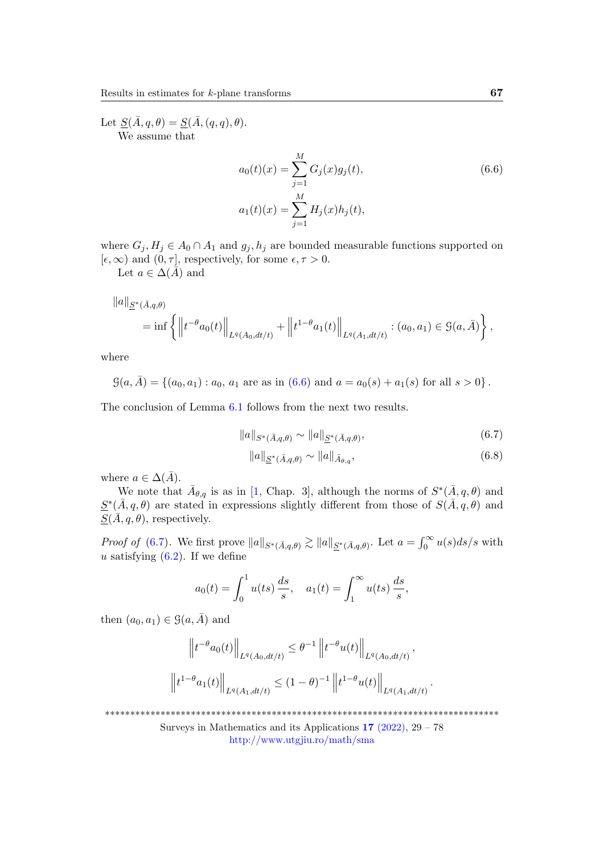Let  $\underline{S}(\overline{A}, q, \theta) = \underline{S}(\overline{A}, (q, q), \theta).$ We assume that

<span id="page-38-0"></span>
$$
a_0(t)(x) = \sum_{j=1}^{M} G_j(x)g_j(t),
$$
  
\n
$$
a_1(t)(x) = \sum_{j=1}^{M} H_j(x)h_j(t),
$$
\n(6.6)

where  $G_j, H_j \in A_0 \cap A_1$  and  $g_j, h_j$  are bounded measurable functions supported on  $[\epsilon, \infty)$  and  $(0, \tau]$ , respectively, for some  $\epsilon, \tau > 0$ .

Let  $a \in \Delta(\overline{A})$  and

$$
\begin{aligned}\n\|a\|_{\underline{S}^*(\bar{A},q,\theta)} \\
&= \inf \left\{ \left\| t^{-\theta} a_0(t) \right\|_{L^q(A_0,dt/t)} + \left\| t^{1-\theta} a_1(t) \right\|_{L^q(A_1,dt/t)} : (a_0,a_1) \in \mathcal{G}(a,\bar{A}) \right\},\n\end{aligned}
$$

where

 $\mathcal{G}(a,\overline{A}) = \{(a_0,a_1): a_0, a_1 \text{ are as in } (6.6) \text{ and } a = a_0(s) + a_1(s) \text{ for all } s > 0\}.$  $\mathcal{G}(a,\overline{A}) = \{(a_0,a_1): a_0, a_1 \text{ are as in } (6.6) \text{ and } a = a_0(s) + a_1(s) \text{ for all } s > 0\}.$  $\mathcal{G}(a,\overline{A}) = \{(a_0,a_1): a_0, a_1 \text{ are as in } (6.6) \text{ and } a = a_0(s) + a_1(s) \text{ for all } s > 0\}.$ 

The conclusion of Lemma [6.1](#page-37-0) follows from the next two results.

<span id="page-38-1"></span>
$$
||a||_{S^*(\bar{A},q,\theta)} \sim ||a||_{\underline{S}^*(\bar{A},q,\theta)},
$$
\n(6.7)

<span id="page-38-2"></span>
$$
||a||_{\underline{S}^*(\bar{A},q,\theta)} \sim ||a||_{\bar{A}_{\theta,q}}, \tag{6.8}
$$

.

where  $a \in \Delta(\bar{A})$ .

We note that  $\bar{A}_{\theta,q}$  is as in [\[1,](#page-47-3) Chap. 3], although the norms of  $S^*(\bar{A}, q, \theta)$  and  $S^*(\bar{A}, q, \theta)$  are stated in expressions slightly different from those of  $S(\bar{A}, q, \theta)$  and  $S(\bar{A}, q, \theta)$ , respectively.

*Proof of* [\(6.7\)](#page-38-1). We first prove  $||a||_{S^*(\bar{A},q,\theta)} \gtrsim ||a||_{\underline{S}^*(\bar{A},q,\theta)}$ . Let  $a = \int_0^\infty u(s)ds/s$  with u satisfying  $(6.2)$ . If we define

$$
a_0(t) = \int_0^1 u(ts) \frac{ds}{s}, \quad a_1(t) = \int_1^\infty u(ts) \frac{ds}{s},
$$

then  $(a_0, a_1) \in \mathcal{G}(a, \overline{A})$  and

$$
\left\| t^{-\theta} a_0(t) \right\|_{L^q(A_0, dt/t)} \leq \theta^{-1} \left\| t^{-\theta} u(t) \right\|_{L^q(A_0, dt/t)},
$$
  

$$
\left\| t^{1-\theta} a_1(t) \right\|_{L^q(A_1, dt/t)} \leq (1-\theta)^{-1} \left\| t^{1-\theta} u(t) \right\|_{L^q(A_1, dt/t)}
$$

\*\*\*\*\*\*\*\*\*\*\*\*\*\*\*\*\*\*\*\*\*\*\*\*\*\*\*\*\*\*\*\*\*\*\*\*\*\*\*\*\*\*\*\*\*\*\*\*\*\*\*\*\*\*\*\*\*\*\*\*\*\*\*\*\*\*\*\*\*\*\*\*\*\*\*\*\*\*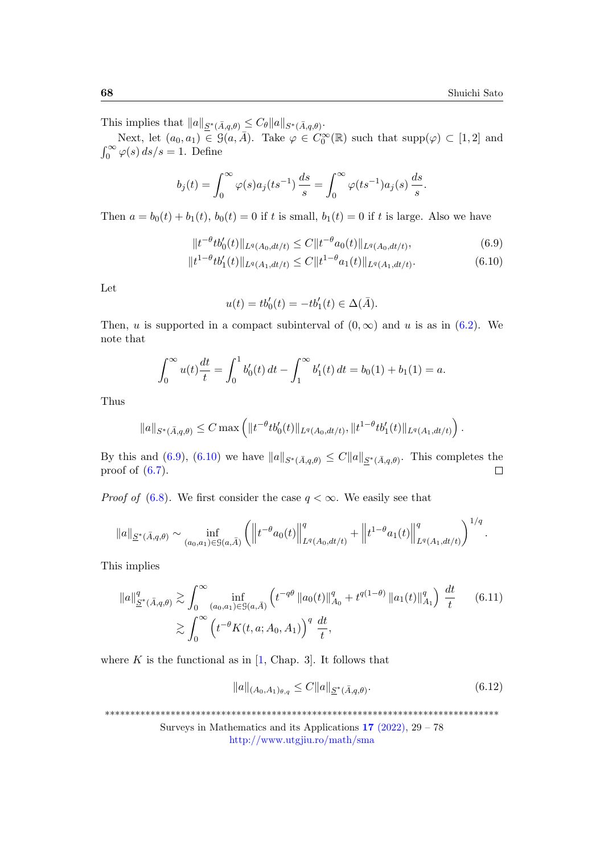This implies that  $||a||_{\underline{S}^*(\bar{A},q,\theta)} \leq C_{\theta} ||a||_{S^*(\bar{A},q,\theta)}.$ 

Next, let  $(a_0, a_1) \in \mathcal{G}(a, \overline{A})$ . Take  $\varphi \in C_0^{\infty}(\mathbb{R})$  such that  $\text{supp}(\varphi) \subset [1, 2]$  and  $\int_0^\infty \varphi(s) ds/s = 1$ . Define

$$
b_j(t) = \int_0^\infty \varphi(s) a_j(ts^{-1}) \frac{ds}{s} = \int_0^\infty \varphi(ts^{-1}) a_j(s) \frac{ds}{s}.
$$

Then  $a = b_0(t) + b_1(t)$ ,  $b_0(t) = 0$  if t is small,  $b_1(t) = 0$  if t is large. Also we have

$$
||t^{-\theta}tb_0'(t)||_{L^q(A_0, dt/t)} \le C||t^{-\theta}a_0(t)||_{L^q(A_0, dt/t)},
$$
\n(6.9)

$$
||t^{1-\theta}tb_1'(t)||_{L^q(A_1,dt/t)} \le C||t^{1-\theta}a_1(t)||_{L^q(A_1,dt/t)}.\tag{6.10}
$$

Let

<span id="page-39-1"></span><span id="page-39-0"></span>
$$
u(t) = tb'_0(t) = -tb'_1(t) \in \Delta(\bar{A}).
$$

Then, u is supported in a compact subinterval of  $(0, \infty)$  and u is as in  $(6.2)$ . We note that

$$
\int_0^\infty u(t)\frac{dt}{t} = \int_0^1 b'_0(t) dt - \int_1^\infty b'_1(t) dt = b_0(1) + b_1(1) = a.
$$

Thus

$$
||a||_{S^*(\bar{A},q,\theta)} \leq C \max \left( ||t^{-\theta}tb_0'(t)||_{L^q(A_0,dt/t)}, ||t^{1-\theta}tb_1'(t)||_{L^q(A_1,dt/t)} \right).
$$

By this and [\(6.9\)](#page-39-0), [\(6.10\)](#page-39-1) we have  $||a||_{S^*(\bar{A},q,\theta)} \leq C ||a||_{S^*(\bar{A},q,\theta)}$ . This completes the proof of  $(6.7)$ .  $\Box$ 

*Proof of* [\(6.8\)](#page-38-2). We first consider the case  $q < \infty$ . We easily see that

$$
||a||_{\underline{S}^*(\bar{A},q,\theta)} \sim \inf_{(a_0,a_1)\in\mathcal{G}(a,\bar{A})} \left( \left\| t^{-\theta} a_0(t) \right\|_{L^q(A_0,dt/t)}^q + \left\| t^{1-\theta} a_1(t) \right\|_{L^q(A_1,dt/t)}^q \right)^{1/q}.
$$

This implies

$$
\|a\|_{\underline{S}^*(\bar{A},q,\theta)}^q \gtrsim \int_0^\infty \inf_{(a_0,a_1)\in\mathcal{G}(a,\bar{A})} \left( t^{-q\theta} \|a_0(t)\|_{A_0}^q + t^{q(1-\theta)} \|a_1(t)\|_{A_1}^q \right) \frac{dt}{t} \qquad (6.11)
$$

$$
\gtrsim \int_0^\infty \left( t^{-\theta} K(t,a;A_0,A_1) \right)^q \frac{dt}{t},
$$

where  $K$  is the functional as in [\[1,](#page-47-3) Chap. 3]. It follows that

<span id="page-39-3"></span><span id="page-39-2"></span>
$$
||a||_{(A_0, A_1)_{\theta, q}} \le C ||a||_{\underline{S}^*(\bar{A}, q, \theta)}.
$$
\n(6.12)

\*\*\*\*\*\*\*\*\*\*\*\*\*\*\*\*\*\*\*\*\*\*\*\*\*\*\*\*\*\*\*\*\*\*\*\*\*\*\*\*\*\*\*\*\*\*\*\*\*\*\*\*\*\*\*\*\*\*\*\*\*\*\*\*\*\*\*\*\*\*\*\*\*\*\*\*\*\*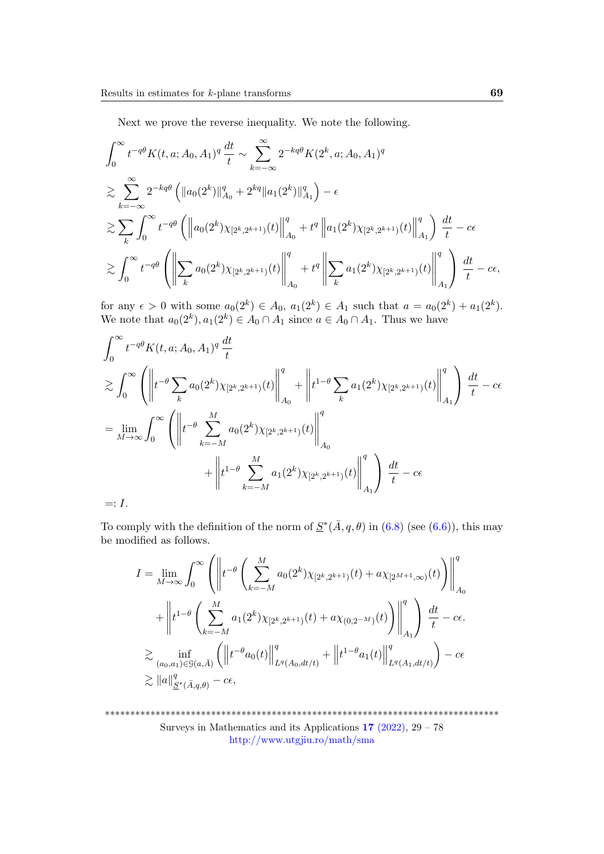Next we prove the reverse inequality. We note the following.

$$
\int_{0}^{\infty} t^{-q\theta} K(t, a; A_0, A_1)^q \frac{dt}{t} \sim \sum_{k=-\infty}^{\infty} 2^{-kq\theta} K(2^k, a; A_0, A_1)^q
$$
  
\n
$$
\geq \sum_{k=-\infty}^{\infty} 2^{-kq\theta} \left( \|a_0(2^k)\|_{A_0}^q + 2^{kq} \|a_1(2^k)\|_{A_1}^q \right) - \epsilon
$$
  
\n
$$
\geq \sum_{k} \int_{0}^{\infty} t^{-q\theta} \left( \left\| a_0(2^k) \chi_{[2^k, 2^{k+1})}(t) \right\|_{A_0}^q + t^q \left\| a_1(2^k) \chi_{[2^k, 2^{k+1})}(t) \right\|_{A_1}^q \right) \frac{dt}{t} - c\epsilon
$$
  
\n
$$
\geq \int_{0}^{\infty} t^{-q\theta} \left( \left\| \sum_{k} a_0(2^k) \chi_{[2^k, 2^{k+1})}(t) \right\|_{A_0}^q + t^q \left\| \sum_{k} a_1(2^k) \chi_{[2^k, 2^{k+1})}(t) \right\|_{A_1}^q \right) \frac{dt}{t} - c\epsilon,
$$

for any  $\epsilon > 0$  with some  $a_0(2^k) \in A_0$ ,  $a_1(2^k) \in A_1$  such that  $a = a_0(2^k) + a_1(2^k)$ . We note that  $a_0(2^k)$ ,  $a_1(2^k) \in A_0 \cap A_1$  since  $a \in A_0 \cap A_1$ . Thus we have

$$
\int_0^\infty t^{-q\theta} K(t, a; A_0, A_1)^q \frac{dt}{t}
$$
\n
$$
\geq \int_0^\infty \left( \left\| t^{-\theta} \sum_k a_0(2^k) \chi_{[2^k, 2^{k+1}]}(t) \right\|_{A_0}^q + \left\| t^{1-\theta} \sum_k a_1(2^k) \chi_{[2^k, 2^{k+1}]}(t) \right\|_{A_1}^q \right) \frac{dt}{t} - c\epsilon
$$
\n
$$
= \lim_{M \to \infty} \int_0^\infty \left( \left\| t^{-\theta} \sum_{k=-M}^M a_0(2^k) \chi_{[2^k, 2^{k+1}]}(t) \right\|_{A_0}^q + \left\| t^{1-\theta} \sum_{k=-M}^M a_1(2^k) \chi_{[2^k, 2^{k+1}]}(t) \right\|_{A_1}^q \right) \frac{dt}{t} - c\epsilon
$$
\n
$$
=: I.
$$

To comply with the definition of the norm of  $\underline{S}^*(\overline{A}, q, \theta)$  in  $(6.8)$  (see  $(6.6)$ ), this may be modified as follows.

$$
I = \lim_{M \to \infty} \int_0^{\infty} \left( \left\| t^{-\theta} \left( \sum_{k=-M}^M a_0(2^k) \chi_{[2^k, 2^{k+1})}(t) + a \chi_{[2^{M+1}, \infty)}(t) \right) \right\|_{A_0}^q \right. \\ \left. + \left\| t^{1-\theta} \left( \sum_{k=-M}^M a_1(2^k) \chi_{[2^k, 2^{k+1})}(t) + a \chi_{(0, 2^{-M})}(t) \right) \right\|_{A_1}^q \right) \frac{dt}{t} - c\epsilon.
$$
  

$$
\geq \inf_{(a_0, a_1) \in \mathcal{G}(a, \bar{A})} \left( \left\| t^{-\theta} a_0(t) \right\|_{L^q(A_0, dt/t)}^q + \left\| t^{1-\theta} a_1(t) \right\|_{L^q(A_1, dt/t)}^q \right) - c\epsilon
$$
  

$$
\geq \|a\|_{\underline{S}^*(\bar{A}, q, \theta)}^q - c\epsilon,
$$

\*\*\*\*\*\*\*\*\*\*\*\*\*\*\*\*\*\*\*\*\*\*\*\*\*\*\*\*\*\*\*\*\*\*\*\*\*\*\*\*\*\*\*\*\*\*\*\*\*\*\*\*\*\*\*\*\*\*\*\*\*\*\*\*\*\*\*\*\*\*\*\*\*\*\*\*\*\* Surveys in Mathematics and its Applications  $17$  [\(2022\),](http://www.utgjiu.ro/math/sma/v17/v17.html)  $29 - 78$ <http://www.utgjiu.ro/math/sma>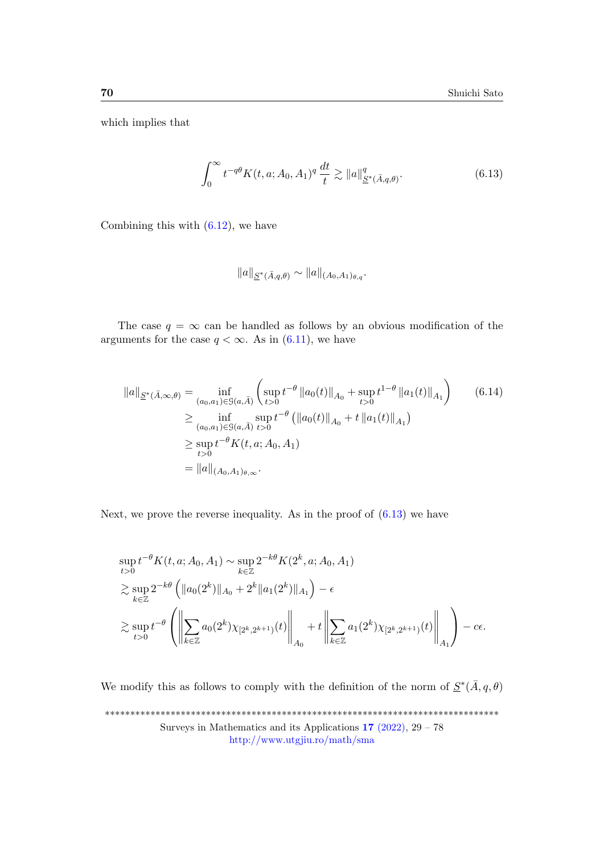which implies that

<span id="page-41-0"></span>
$$
\int_0^\infty t^{-q\theta} K(t, a; A_0, A_1)^q \frac{dt}{t} \gtrsim \|a\|_{\underline{S}^*(\bar{A}, q, \theta)}^q. \tag{6.13}
$$

Combining this with  $(6.12)$ , we have

<span id="page-41-1"></span>
$$
||a||_{\underline{S}^*(\bar{A},q,\theta)} \sim ||a||_{(A_0,A_1)_{\theta,q}}.
$$

The case  $q = \infty$  can be handled as follows by an obvious modification of the arguments for the case  $q < \infty$ . As in [\(6.11\)](#page-39-3), we have

$$
||a||_{\underline{S}^{*}(\bar{A},\infty,\theta)} = \inf_{(a_{0},a_{1}) \in \mathcal{G}(a,\bar{A})} \left( \sup_{t>0} t^{-\theta} ||a_{0}(t)||_{A_{0}} + \sup_{t>0} t^{1-\theta} ||a_{1}(t)||_{A_{1}} \right) \qquad (6.14)
$$
  
\n
$$
\geq \inf_{(a_{0},a_{1}) \in \mathcal{G}(a,\bar{A})} \sup_{t>0} t^{-\theta} \left( ||a_{0}(t)||_{A_{0}} + t ||a_{1}(t)||_{A_{1}} \right)
$$
  
\n
$$
\geq \sup_{t>0} t^{-\theta} K(t,a;A_{0},A_{1})
$$
  
\n
$$
= ||a||_{(A_{0},A_{1})_{\theta,\infty}}.
$$

Next, we prove the reverse inequality. As in the proof of  $(6.13)$  we have

$$
\sup_{t>0} t^{-\theta} K(t, a; A_0, A_1) \sim \sup_{k \in \mathbb{Z}} 2^{-k\theta} K(2^k, a; A_0, A_1)
$$
  
\n
$$
\gtrsim \sup_{k \in \mathbb{Z}} 2^{-k\theta} \left( \|a_0(2^k)\|_{A_0} + 2^k \|a_1(2^k)\|_{A_1} \right) - \epsilon
$$
  
\n
$$
\gtrsim \sup_{t>0} t^{-\theta} \left( \left\| \sum_{k \in \mathbb{Z}} a_0(2^k) \chi_{[2^k, 2^{k+1})}(t) \right\|_{A_0} + t \left\| \sum_{k \in \mathbb{Z}} a_1(2^k) \chi_{[2^k, 2^{k+1})}(t) \right\|_{A_1} \right) - c\epsilon.
$$

We modify this as follows to comply with the definition of the norm of  $S^*(\bar{A}, q, \theta)$ \*\*\*\*\*\*\*\*\*\*\*\*\*\*\*\*\*\*\*\*\*\*\*\*\*\*\*\*\*\*\*\*\*\*\*\*\*\*\*\*\*\*\*\*\*\*\*\*\*\*\*\*\*\*\*\*\*\*\*\*\*\*\*\*\*\*\*\*\*\*\*\*\*\*\*\*\*\* Surveys in Mathematics and its Applications  $17$  [\(2022\),](http://www.utgjiu.ro/math/sma/v17/v17.html)  $29 - 78$ <http://www.utgjiu.ro/math/sma>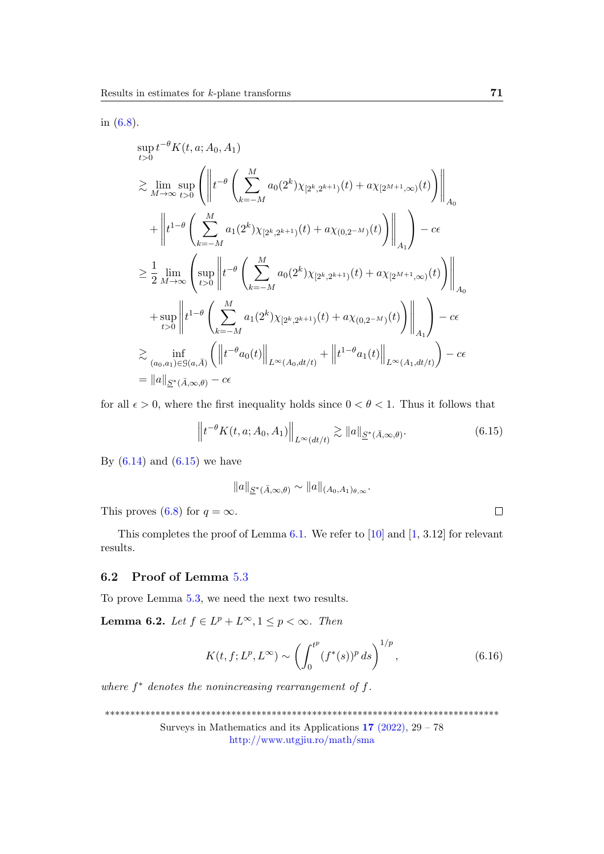in [\(6.8\)](#page-38-2).

$$
\sup_{t>0} t^{-\theta} K(t, a; A_0, A_1)
$$
\n
$$
\geq \lim_{M \to \infty} \sup_{t>0} \left( \left\| t^{-\theta} \left( \sum_{k=-M}^{M} a_0(2^k) \chi_{[2^k, 2^{k+1})}(t) + a \chi_{[2^{M+1}, \infty)}(t) \right) \right\|_{A_0} + \left\| t^{1-\theta} \left( \sum_{k=-M}^{M} a_1(2^k) \chi_{[2^k, 2^{k+1})}(t) + a \chi_{(0, 2^{-M})}(t) \right) \right\|_{A_1} \right) - c\epsilon
$$
\n
$$
\geq \frac{1}{2} \lim_{M \to \infty} \left( \sup_{t>0} \left\| t^{-\theta} \left( \sum_{k=-M}^{M} a_0(2^k) \chi_{[2^k, 2^{k+1})}(t) + a \chi_{[2^{M+1}, \infty)}(t) \right) \right\|_{A_0}
$$
\n
$$
+ \sup_{t>0} \left\| t^{1-\theta} \left( \sum_{k=-M}^{M} a_1(2^k) \chi_{[2^k, 2^{k+1})}(t) + a \chi_{(0, 2^{-M})}(t) \right) \right\|_{A_1} \right) - c\epsilon
$$
\n
$$
\geq \inf_{(a_0, a_1) \in \mathcal{G}(a, \bar{A})} \left( \left\| t^{-\theta} a_0(t) \right\|_{L^{\infty}(A_0, dt/t)} + \left\| t^{1-\theta} a_1(t) \right\|_{L^{\infty}(A_1, dt/t)} \right) - c\epsilon
$$
\n
$$
= \|a\|_{\underline{S}^*(\bar{A}, \infty, \theta)} - c\epsilon
$$

for all  $\epsilon > 0$ , where the first inequality holds since  $0 < \theta < 1$ . Thus it follows that

<span id="page-42-0"></span>
$$
\left\|t^{-\theta}K(t, a; A_0, A_1)\right\|_{L^{\infty}(dt/t)} \gtrsim \|a\|_{\underline{S}^*(\bar{A}, \infty, \theta)}.
$$
\n(6.15)

By  $(6.14)$  and  $(6.15)$  we have

$$
||a||_{\underline{S}^*(\bar{A},\infty,\theta)} \sim ||a||_{(A_0,A_1)_{\theta,\infty}}.
$$
  

$$
\infty.
$$

This proves [\(6.8\)](#page-38-2) for  $q = c$ .

This completes the proof of Lemma  $6.1$ . We refer to [\[10\]](#page-48-13) and [\[1,](#page-47-3) 3.12] for relevant results.

#### 6.2 Proof of Lemma [5](#page-29-0).3

To prove Lemma [5.3,](#page-29-0) we need the next two results.

<span id="page-42-1"></span>**Lemma 6.2.** Let  $f \in L^p + L^{\infty}$ ,  $1 \le p < \infty$ . Then

$$
K(t, f; L^p, L^\infty) \sim \left(\int_0^{t^p} (f^*(s))^p \, ds\right)^{1/p},\tag{6.16}
$$

where  $f^*$  denotes the nonincreasing rearrangement of  $f$ .

\*\*\*\*\*\*\*\*\*\*\*\*\*\*\*\*\*\*\*\*\*\*\*\*\*\*\*\*\*\*\*\*\*\*\*\*\*\*\*\*\*\*\*\*\*\*\*\*\*\*\*\*\*\*\*\*\*\*\*\*\*\*\*\*\*\*\*\*\*\*\*\*\*\*\*\*\*\*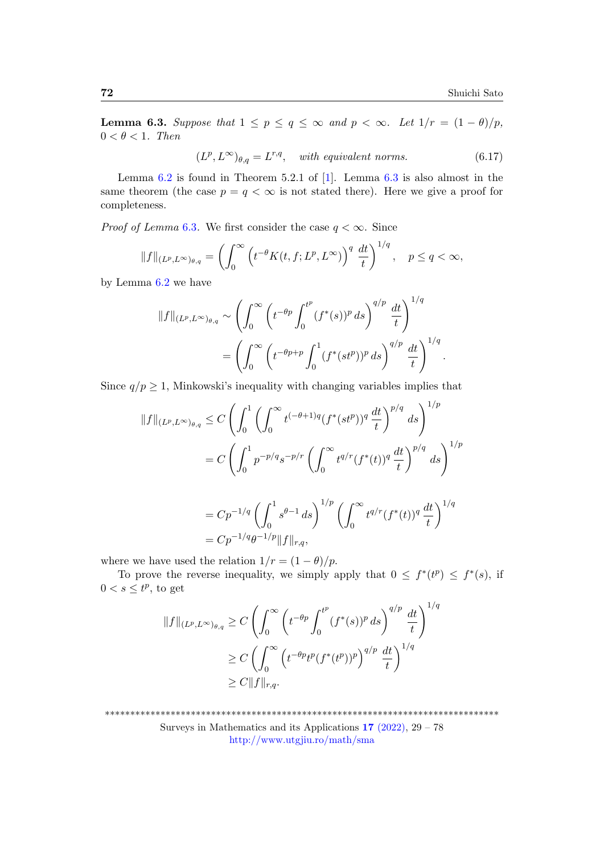.

<span id="page-43-0"></span>**Lemma 6.3.** Suppose that  $1 \leq p \leq q \leq \infty$  and  $p < \infty$ . Let  $1/r = (1 - \theta)/p$ ,  $0 < \theta < 1$ . Then

 $(L^p, L^\infty)_{\theta,q} = L^{r,q}$ , with equivalent norms. (6.17)

Lemma  $6.2$  is found in Theorem 5.2.1 of [\[1\]](#page-47-3). Lemma  $6.3$  is also almost in the same theorem (the case  $p = q < \infty$  is not stated there). Here we give a proof for completeness.

*Proof of Lemma* [6](#page-43-0).3. We first consider the case  $q < \infty$ . Since

$$
||f||_{(L^p, L^{\infty})_{\theta,q}} = \left(\int_0^{\infty} \left(t^{-\theta} K(t, f; L^p, L^{\infty})\right)^q \frac{dt}{t}\right)^{1/q}, \quad p \le q < \infty,
$$

by Lemma [6.2](#page-42-1) we have

$$
||f||_{(L^p, L^{\infty})_{\theta,q}} \sim \left(\int_0^{\infty} \left(t^{-\theta p} \int_0^{t^p} (f^*(s))^p ds\right)^{q/p} \frac{dt}{t}\right)^{1/q}
$$

$$
= \left(\int_0^{\infty} \left(t^{-\theta p+p} \int_0^1 (f^*(st^p))^p ds\right)^{q/p} \frac{dt}{t}\right)^{1/q}
$$

Since  $q/p \geq 1$ , Minkowski's inequality with changing variables implies that

$$
||f||_{(L^p, L^{\infty})_{\theta,q}} \leq C \left( \int_0^1 \left( \int_0^{\infty} t^{(-\theta+1)q} (f^*(st^p))^q \frac{dt}{t} \right)^{p/q} ds \right)^{1/p}
$$
  

$$
= C \left( \int_0^1 p^{-p/q} s^{-p/r} \left( \int_0^{\infty} t^{q/r} (f^*(t))^q \frac{dt}{t} \right)^{p/q} ds \right)^{1/p}
$$
  

$$
= C p^{-1/q} \left( \int_0^1 s^{\theta-1} ds \right)^{1/p} \left( \int_0^{\infty} t^{q/r} (f^*(t))^q \frac{dt}{t} \right)^{1/q}
$$
  

$$
= C p^{-1/q} \theta^{-1/p} ||f||_{r,q},
$$

where we have used the relation  $1/r = (1 - \theta)/p$ .

To prove the reverse inequality, we simply apply that  $0 \leq f^*(t^p) \leq f^*(s)$ , if  $0 < s \leq t^p$ , to get

$$
||f||_{(L^p, L^{\infty})_{\theta, q}} \ge C \left( \int_0^{\infty} \left( t^{-\theta p} \int_0^{t^p} (f^*(s))^p ds \right)^{q/p} \frac{dt}{t} \right)^{1/q}
$$
  
\n
$$
\ge C \left( \int_0^{\infty} \left( t^{-\theta p} t^p (f^*(t^p))^p \right)^{q/p} \frac{dt}{t} \right)^{1/q}
$$
  
\n
$$
\ge C ||f||_{r,q}.
$$

\*\*\*\*\*\*\*\*\*\*\*\*\*\*\*\*\*\*\*\*\*\*\*\*\*\*\*\*\*\*\*\*\*\*\*\*\*\*\*\*\*\*\*\*\*\*\*\*\*\*\*\*\*\*\*\*\*\*\*\*\*\*\*\*\*\*\*\*\*\*\*\*\*\*\*\*\*\*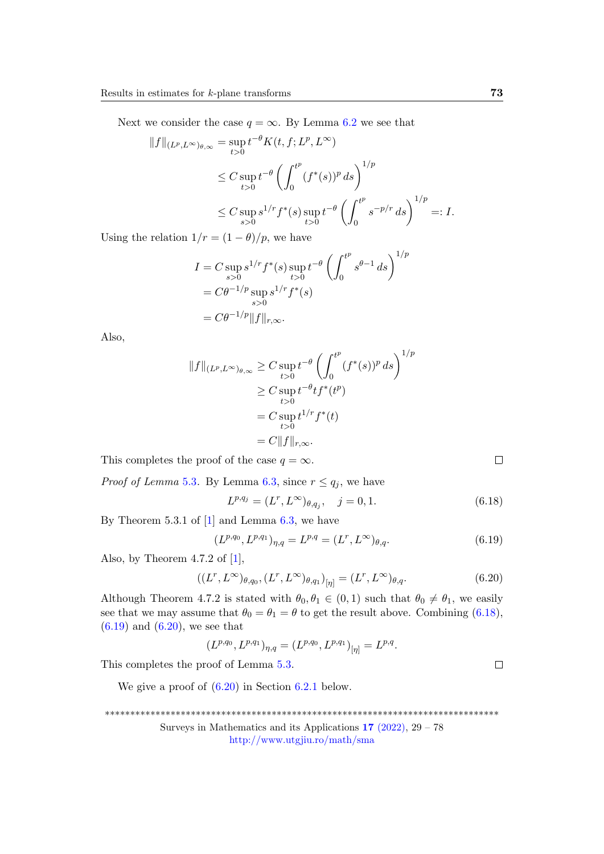Next we consider the case  $q = \infty$ . By Lemma [6.2](#page-42-1) we see that

$$
||f||_{(L^p, L^{\infty})_{\theta,\infty}} = \sup_{t>0} t^{-\theta} K(t, f; L^p, L^{\infty})
$$
  
\n
$$
\leq C \sup_{t>0} t^{-\theta} \left( \int_0^{t^p} (f^*(s))^p ds \right)^{1/p}
$$
  
\n
$$
\leq C \sup_{s>0} s^{1/r} f^*(s) \sup_{t>0} t^{-\theta} \left( \int_0^{t^p} s^{-p/r} ds \right)^{1/p} =: I.
$$

Using the relation  $1/r = (1 - \theta)/p$ , we have

$$
I = C \sup_{s>0} s^{1/r} f^*(s) \sup_{t>0} t^{-\theta} \left( \int_0^{t^p} s^{\theta-1} ds \right)^{1/p}
$$
  
=  $C\theta^{-1/p} \sup_{s>0} s^{1/r} f^*(s)$   
=  $C\theta^{-1/p} ||f||_{r,\infty}.$ 

Also,

$$
||f||_{(L^p, L^{\infty})_{\theta,\infty}} \geq C \sup_{t>0} t^{-\theta} \left( \int_0^{t^p} (f^*(s))^p ds \right)^{1/p}
$$
  
\n
$$
\geq C \sup_{t>0} t^{-\theta} t f^*(t^p)
$$
  
\n
$$
= C \sup_{t>0} t^{1/r} f^*(t)
$$
  
\n
$$
= C ||f||_{r,\infty}.
$$

This completes the proof of the case  $q = \infty$ .

*Proof of Lemma* [5](#page-29-0).3. By Lemma [6.3,](#page-43-0) since  $r \leq q_j$ , we have

<span id="page-44-0"></span>
$$
L^{p,q_j} = (L^r, L^{\infty})_{\theta, q_j}, \quad j = 0, 1.
$$
\n(6.18)

By Theorem 5.3.1 of  $[1]$  and Lemma [6.3,](#page-43-0) we have

<span id="page-44-1"></span>
$$
(L^{p,q_0}, L^{p,q_1})_{\eta,q} = L^{p,q} = (L^r, L^{\infty})_{\theta,q}.
$$
\n(6.19)

Also, by Theorem 4.7.2 of  $[1]$ ,

<span id="page-44-2"></span>
$$
((L^r, L^{\infty})_{\theta, q_0}, (L^r, L^{\infty})_{\theta, q_1})_{[\eta]} = (L^r, L^{\infty})_{\theta, q}.
$$
\n(6.20)

Although Theorem 4.7.2 is stated with  $\theta_0, \theta_1 \in (0,1)$  such that  $\theta_0 \neq \theta_1$ , we easily see that we may assume that  $\theta_0 = \theta_1 = \theta$  to get the result above. Combining [\(6.18\)](#page-44-0),  $(6.19)$  and  $(6.20)$ , we see that

$$
(L^{p,q_0}, L^{p,q_1})_{\eta,q} = (L^{p,q_0}, L^{p,q_1})_{[\eta]} = L^{p,q}.
$$

This completes the proof of Lemma 5.[3.](#page-29-0)

We give a proof of  $(6.20)$  in Section [6.2.1](#page-45-0) below.

\*\*\*\*\*\*\*\*\*\*\*\*\*\*\*\*\*\*\*\*\*\*\*\*\*\*\*\*\*\*\*\*\*\*\*\*\*\*\*\*\*\*\*\*\*\*\*\*\*\*\*\*\*\*\*\*\*\*\*\*\*\*\*\*\*\*\*\*\*\*\*\*\*\*\*\*\*\*

Surveys in Mathematics and its Applications  $17$  [\(2022\),](http://www.utgjiu.ro/math/sma/v17/v17.html)  $29 - 78$ <http://www.utgjiu.ro/math/sma>

 $\Box$ 

 $\Box$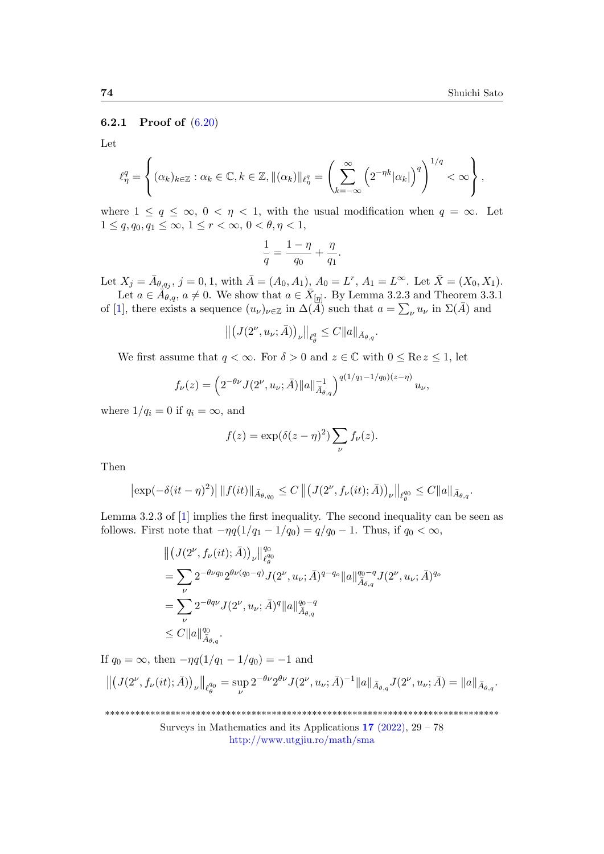#### <span id="page-45-0"></span>6.2.1 Proof of [\(6.20\)](#page-44-2)

Let

$$
\ell_{\eta}^{q} = \left\{ (\alpha_{k})_{k \in \mathbb{Z}} : \alpha_{k} \in \mathbb{C}, k \in \mathbb{Z}, \|(\alpha_{k})\|_{\ell_{\eta}^{q}} = \left(\sum_{k=-\infty}^{\infty} \left(2^{-\eta k} |\alpha_{k}|\right)^{q}\right)^{1/q} < \infty\right\},\
$$

where  $1 \le q \le \infty$ ,  $0 < \eta < 1$ , with the usual modification when  $q = \infty$ . Let  $1 \le q, q_0, q_1 \le \infty, 1 \le r < \infty, 0 < \theta, \eta < 1,$ 

$$
\frac{1}{q}=\frac{1-\eta}{q_0}+\frac{\eta}{q_1}.
$$

Let  $X_j = \bar{A}_{\theta, q_j}$ ,  $j = 0, 1$ , with  $\bar{A} = (A_0, A_1)$ ,  $A_0 = L^r$ ,  $A_1 = L^{\infty}$ . Let  $\bar{X} = (X_0, X_1)$ . Let  $a \in \overline{A}_{\theta,q}$ ,  $a \neq 0$ . We show that  $a \in \overline{X}_{[\eta]}$ . By Lemma 3.2.3 and Theorem 3.3.1

of [\[1\]](#page-47-3), there exists a sequence  $(u_\nu)_{\nu\in\mathbb{Z}}$  in  $\Delta(\vec{A})$  such that  $a=\sum_\nu u_\nu$  in  $\Sigma(\vec{A})$  and

$$
\left\|\left(J(2^{\nu},u_{\nu};\bar{A})\right)_{\nu}\right\|_{\ell^q_{\theta}}\leq C\|a\|_{\bar{A}_{\theta,q}}.
$$

We first assume that  $q < \infty$ . For  $\delta > 0$  and  $z \in \mathbb{C}$  with  $0 \leq \text{Re } z \leq 1$ , let

$$
f_{\nu}(z) = \left(2^{-\theta\nu}J(2^{\nu}, u_{\nu}; \bar{A})||a||_{\bar{A}_{\theta,q}}^{-1}\right)^{q(1/q_1 - 1/q_0)(z - \eta)} u_{\nu},
$$

where  $1/q_i = 0$  if  $q_i = \infty$ , and

$$
f(z) = \exp(\delta(z-\eta)^2) \sum_{\nu} f_{\nu}(z).
$$

Then

$$
\left|\exp(-\delta(it-\eta)^2)\right| \|f(it)\|_{\bar{A}_{\theta,q_0}} \leq C \left\| \left(J(2^{\nu},f_{\nu}(it);\bar{A})\right)_{\nu} \right\|_{\ell_{\theta}^{q_0}} \leq C \|a\|_{\bar{A}_{\theta,q}}.
$$

Lemma 3.2.3 of [\[1\]](#page-47-3) implies the first inequality. The second inequality can be seen as follows. First note that  $-\eta q(1/q_1 - 1/q_0) = q/q_0 - 1$ . Thus, if  $q_0 < \infty$ ,

$$
\begin{split} &\left\| \left(J(2^{\nu},f_{\nu}(it);\bar{A})\right)_{\nu}\right\|_{\ell_{\theta}^{q_0}}^{q_0} \\ &= \sum_{\nu} 2^{-\theta\nu q_0} 2^{\theta\nu(q_0-q)} J(2^{\nu},u_{\nu};\bar{A})^{q-q_0} \|a\|_{\bar{A}_{\theta,q}}^{q_0-q} J(2^{\nu},u_{\nu};\bar{A})^{q_0} \\ &= \sum_{\nu} 2^{-\theta q \nu} J(2^{\nu},u_{\nu};\bar{A})^{q} \|a\|_{\bar{A}_{\theta,q}}^{q_0-q} \\ &\leq C \|a\|_{\bar{A}_{\theta,q}}^{q_0} . \end{split}
$$

If  $q_0 = \infty$ , then  $-\eta q(1/q_1 - 1/q_0) = -1$  and

$$
\left\| \left(J(2^{\nu}, f_{\nu}(it); \bar{A})\right)_{\nu} \right\|_{\ell^{\mathcal{q}_0}_{\theta}} = \sup_{\nu} 2^{-\theta \nu} 2^{\theta \nu} J(2^{\nu}, u_{\nu}; \bar{A})^{-1} \|a\|_{\bar{A}_{\theta, q}} J(2^{\nu}, u_{\nu}; \bar{A}) = \|a\|_{\bar{A}_{\theta, q}}.
$$

\*\*\*\*\*\*\*\*\*\*\*\*\*\*\*\*\*\*\*\*\*\*\*\*\*\*\*\*\*\*\*\*\*\*\*\*\*\*\*\*\*\*\*\*\*\*\*\*\*\*\*\*\*\*\*\*\*\*\*\*\*\*\*\*\*\*\*\*\*\*\*\*\*\*\*\*\*\*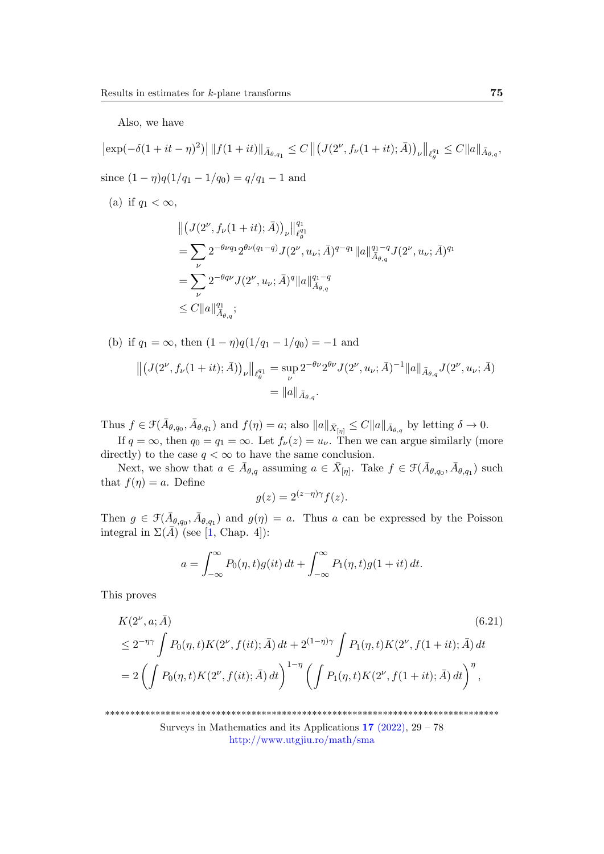Also, we have

$$
\begin{aligned}\n|\exp(-\delta(1+it-\eta)^2)| \, \|f(1+it)\|_{\bar{A}_{\theta,q_1}} &\leq C \, \left\| \left(J(2^{\nu},f_{\nu}(1+it);\bar{A})\right)_{\nu} \right\|_{\ell_{\theta}^{q_1}} \leq C \|a\|_{\bar{A}_{\theta,q}}, \\
\text{since } (1-\eta)q(1/q_1 - 1/q_0) &= q/q_1 - 1 \text{ and} \\
\text{(a) if } q_1 < \infty, \\
\left\| \left(J(2^{\nu},f_{\nu}(1+it);\bar{A})\right)_{\nu} \right\|_{\ell_{\theta}^{q_1}}^{q_1} \\
&= \sum_{\nu} 2^{-\theta\nu q_1} 2^{\theta\nu(q_1-q)} J(2^{\nu},u_{\nu};\bar{A})^{q-q_1} \|a\|_{\bar{A}_{\theta,q}}^{q_1-q} J(2^{\nu},u_{\nu};\bar{A})^{q_1} \\
&= \sum_{\nu} 2^{-\theta q\nu} J(2^{\nu},u_{\nu};\bar{A})^q \|a\|_{\bar{A}_{\theta,q}}^{q_1-q} \\
&\leq C \|a\|_{\bar{A}_{\theta,q}}^{q_1};\n\end{aligned}
$$

(b) if 
$$
q_1 = \infty
$$
, then  $(1 - \eta)q(1/q_1 - 1/q_0) = -1$  and  
\n
$$
\left\| \left(J(2^{\nu}, f_{\nu}(1 + it); \bar{A})\right)_{\nu} \right\|_{\ell_{\theta}^{q_1}} = \sup_{\nu} 2^{-\theta \nu} 2^{\theta \nu} J(2^{\nu}, u_{\nu}; \bar{A})^{-1} \|a\|_{\bar{A}_{\theta, q}} J(2^{\nu}, u_{\nu}; \bar{A})
$$
\n
$$
= \|a\|_{\bar{A}_{\theta, q}}.
$$

Thus  $f \in \mathcal{F}(\bar{A}_{\theta,q_0}, \bar{A}_{\theta,q_1})$  and  $f(\eta) = a$ ; also  $||a||_{\bar{\mathcal{X}}_{[\eta]}} \leq C||a||_{\bar{A}_{\theta,q}}$  by letting  $\delta \to 0$ .

If  $q = \infty$ , then  $q_0 = q_1 = \infty$ . Let  $f_{\nu}(z) = u_{\nu}$ . Then we can argue similarly (more directly) to the case  $q < \infty$  to have the same conclusion.

Next, we show that  $a \in \overline{A}_{\theta,q}$  assuming  $a \in \overline{X}_{[\eta]}$ . Take  $f \in \mathcal{F}(\overline{A}_{\theta,q_0}, \overline{A}_{\theta,q_1})$  such that  $f(\eta) = a$ . Define

<span id="page-46-0"></span>
$$
g(z) = 2^{(z-\eta)\gamma} f(z).
$$

Then  $g \in \mathcal{F}(\bar{A}_{\theta,q_0}, \bar{A}_{\theta,q_1})$  and  $g(\eta) = a$ . Thus a can be expressed by the Poisson integral in  $\Sigma(\bar{A})$  (see [\[1,](#page-47-3) Chap. 4]):

$$
a = \int_{-\infty}^{\infty} P_0(\eta, t) g(it) dt + \int_{-\infty}^{\infty} P_1(\eta, t) g(1+it) dt.
$$

This proves

$$
K(2^{\nu}, a; \bar{A}) \qquad (6.21)
$$
  
\n
$$
\leq 2^{-\eta\gamma} \int P_0(\eta, t) K(2^{\nu}, f(it); \bar{A}) dt + 2^{(1-\eta)\gamma} \int P_1(\eta, t) K(2^{\nu}, f(1+it); \bar{A}) dt
$$
  
\n
$$
= 2 \left( \int P_0(\eta, t) K(2^{\nu}, f(it); \bar{A}) dt \right)^{1-\eta} \left( \int P_1(\eta, t) K(2^{\nu}, f(1+it); \bar{A}) dt \right)^{\eta},
$$

\*\*\*\*\*\*\*\*\*\*\*\*\*\*\*\*\*\*\*\*\*\*\*\*\*\*\*\*\*\*\*\*\*\*\*\*\*\*\*\*\*\*\*\*\*\*\*\*\*\*\*\*\*\*\*\*\*\*\*\*\*\*\*\*\*\*\*\*\*\*\*\*\*\*\*\*\*\*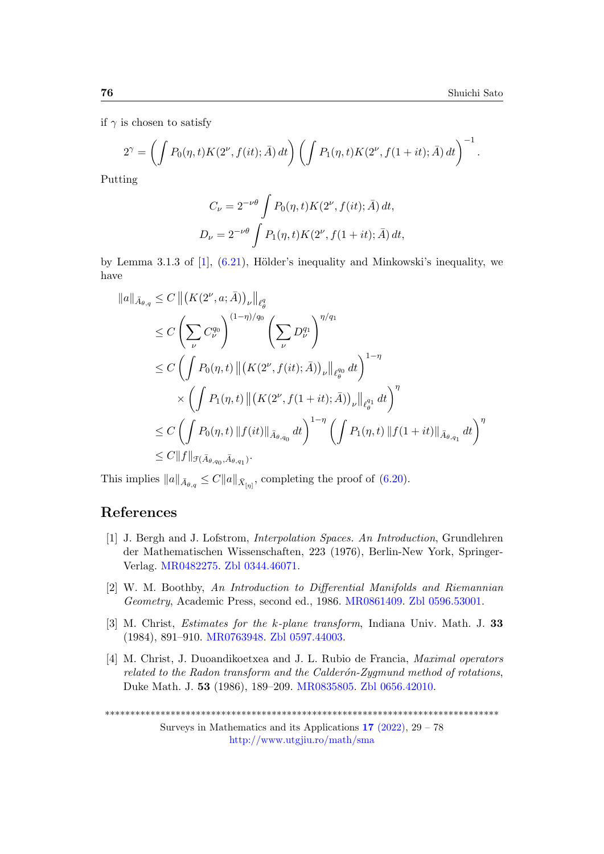if  $\gamma$  is chosen to satisfy

$$
2^{\gamma} = \left( \int P_0(\eta, t) K(2^{\nu}, f(it); \bar{A}) dt \right) \left( \int P_1(\eta, t) K(2^{\nu}, f(1+it); \bar{A}) dt \right)^{-1}.
$$

Putting

$$
C_{\nu} = 2^{-\nu\theta} \int P_0(\eta, t) K(2^{\nu}, f(it); \bar{A}) dt,
$$
  

$$
D_{\nu} = 2^{-\nu\theta} \int P_1(\eta, t) K(2^{\nu}, f(1+it); \bar{A}) dt,
$$

by Lemma 3.1.3 of  $[1]$ ,  $(6.21)$ , Hölder's inequality and Minkowski's inequality, we have

$$
\|a\|_{\bar{A}_{\theta,q}} \leq C \left\| (K(2^{\nu}, a; \bar{A}))_{\nu} \right\|_{\ell_{\theta}^{q}} \n\leq C \left( \sum_{\nu} C_{\nu}^{q_0} \right)^{(1-\eta)/q_0} \left( \sum_{\nu} D_{\nu}^{q_1} \right)^{\eta/q_1} \n\leq C \left( \int P_0(\eta, t) \left\| (K(2^{\nu}, f(it); \bar{A}))_{\nu} \right\|_{\ell_{\theta}^{q_0}} dt \right)^{1-\eta} \n\times \left( \int P_1(\eta, t) \left\| (K(2^{\nu}, f(1+it); \bar{A}))_{\nu} \right\|_{\ell_{\theta}^{q_1}} dt \right)^{\eta} \n\leq C \left( \int P_0(\eta, t) \left\| f(it) \right\|_{\bar{A}_{\theta,q_0}} dt \right)^{1-\eta} \left( \int P_1(\eta, t) \left\| f(1+it) \right\|_{\bar{A}_{\theta,q_1}} dt \right)^{\eta} \n\leq C \left\| f \right\|_{\mathcal{F}(\bar{A}_{\theta,q_0}, \bar{A}_{\theta,q_1})}. \n\tag{1.11}
$$

This implies  $||a||_{\bar{A}_{\theta,q}} \leq C||a||_{\bar{X}_{[\eta]}}$ , completing the proof of [\(6.20\)](#page-44-2).

## References

- <span id="page-47-3"></span>[1] J. Bergh and J. Lofstrom, Interpolation Spaces. An Introduction, Grundlehren der Mathematischen Wissenschaften, 223 (1976), Berlin-New York, Springer-Verlag. [MR0482275.](https://mathscinet.ams.org/mathscinet-getitem?mr=0482275) [Zbl 0344.46071.](https://zbmath.org/?q=an:0344.46071)
- <span id="page-47-2"></span>[2] W. M. Boothby, An Introduction to Differential Manifolds and Riemannian Geometry, Academic Press, second ed., 1986. [MR0861409.](https://mathscinet.ams.org/mathscinet-getitem?mr=0861409) [Zbl 0596.53001.](https://zbmath.org/?q=an:0596.53001)
- <span id="page-47-0"></span>[3] M. Christ, Estimates for the k-plane transform, Indiana Univ. Math. J. 33 (1984), 891–910. [MR0763948.](https://mathscinet.ams.org/mathscinet-getitem?mr=0763948) [Zbl 0597.44003.](https://zbmath.org/?q=an:0597.44003)
- <span id="page-47-1"></span>[4] M. Christ, J. Duoandikoetxea and J. L. Rubio de Francia, Maximal operators related to the Radon transform and the Calder $\acute{o}n-Zyqmund$  method of rotations, Duke Math. J. 53 (1986), 189–209. [MR0835805.](https://mathscinet.ams.org/mathscinet-getitem?mr=0835805) [Zbl 0656.42010.](https://zbmath.org/?q=an:0656.42010)

<sup>\*\*\*\*\*\*\*\*\*\*\*\*\*\*\*\*\*\*\*\*\*\*\*\*\*\*\*\*\*\*\*\*\*\*\*\*\*\*\*\*\*\*\*\*\*\*\*\*\*\*\*\*\*\*\*\*\*\*\*\*\*\*\*\*\*\*\*\*\*\*\*\*\*\*\*\*\*\*</sup>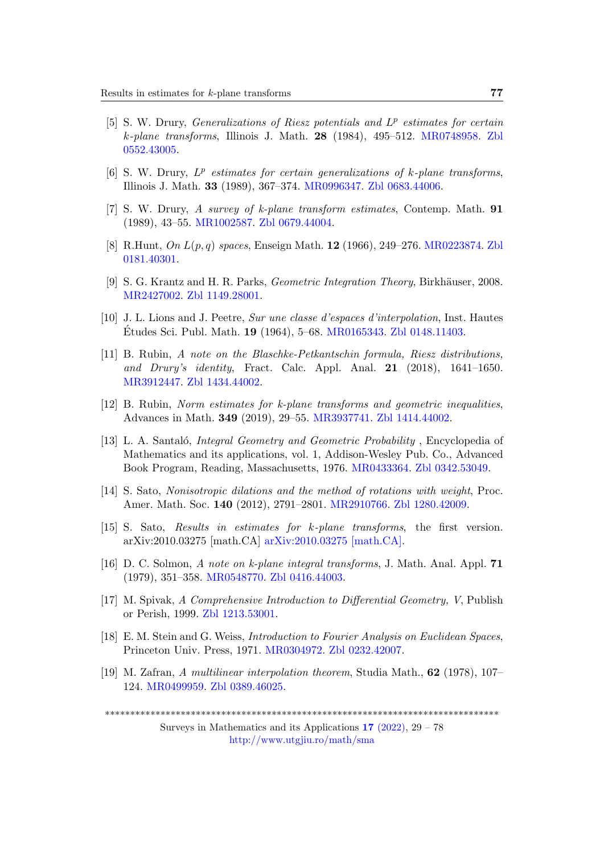- <span id="page-48-0"></span>[5] S. W. Drury, Generalizations of Riesz potentials and  $L^p$  estimates for certain k-plane transforms, Illinois J. Math. 28 (1984), 495–512. [MR0748958.](https://mathscinet.ams.org/mathscinet-getitem?mr=0748958) [Zbl](https://zbmath.org/?q=an:0552.43005) [0552.43005.](https://zbmath.org/?q=an:0552.43005)
- <span id="page-48-10"></span>[6] S. W. Drury,  $L^p$  estimates for certain generalizations of k-plane transforms, Illinois J. Math. 33 (1989), 367–374. [MR0996347.](https://mathscinet.ams.org/mathscinet-getitem?mr=0996347) [Zbl 0683.44006.](https://zbmath.org/?q=an:0683.44006)
- <span id="page-48-2"></span>[7] S. W. Drury, A survey of k-plane transform estimates, Contemp. Math. 91 (1989), 43–55. [MR1002587.](https://mathscinet.ams.org/mathscinet-getitem?mr=1002587) [Zbl 0679.44004.](https://zbmath.org/?q=an:0679.44004)
- <span id="page-48-7"></span>[8] R.Hunt, On L(p, q) spaces, Enseign Math. 12 (1966), 249–276. [MR0223874.](https://mathscinet.ams.org/mathscinet-getitem?mr=0223874) [Zbl](https://zbmath.org/?q=an:0181.40301) [0181.40301.](https://zbmath.org/?q=an:0181.40301)
- <span id="page-48-9"></span>[9] S. G. Krantz and H. R. Parks, *Geometric Integration Theory*, Birkhäuser, 2008. [MR2427002.](https://mathscinet.ams.org/mathscinet-getitem?mr=2427002) [Zbl 1149.28001.](https://zbmath.org/?q=an:1149.28001)
- <span id="page-48-13"></span>[10] J. L. Lions and J. Peetre, Sur une classe d'espaces d'interpolation, Inst. Hautes Etudes Sci. Publ. Math. **19** (1964), 5–68. [MR0165343.](https://mathscinet.ams.org/mathscinet-getitem?mr=0165343) [Zbl 0148.11403.](https://zbmath.org/?q=an:0148.11403)
- <span id="page-48-11"></span>[11] B. Rubin, A note on the Blaschke-Petkantschin formula, Riesz distributions, and Drury's identity, Fract. Calc. Appl. Anal.  $21$  (2018), 1641–1650. [MR3912447.](https://mathscinet.ams.org/mathscinet-getitem?mr=3912447) [Zbl 1434.44002.](https://zbmath.org/?q=an:1434.44002)
- <span id="page-48-3"></span>[12] B. Rubin, Norm estimates for k-plane transforms and geometric inequalities, Advances in Math. 349 (2019), 29–55. [MR3937741.](https://mathscinet.ams.org/mathscinet-getitem?mr=3937741) [Zbl 1414.44002.](https://zbmath.org/?q=an:1414.44002)
- <span id="page-48-1"></span>[13] L. A. Santaló, *Integral Geometry and Geometric Probability*, Encyclopedia of Mathematics and its applications, vol. 1, Addison-Wesley Pub. Co., Advanced Book Program, Reading, Massachusetts, 1976. [MR0433364.](https://mathscinet.ams.org/mathscinet-getitem?mr=0433364) [Zbl 0342.53049.](https://zbmath.org/?q=an:0342.53049)
- <span id="page-48-4"></span>[14] S. Sato, Nonisotropic dilations and the method of rotations with weight, Proc. Amer. Math. Soc. 140 (2012), 2791–2801. [MR2910766.](https://mathscinet.ams.org/mathscinet-getitem?mr=2910766) [Zbl 1280.42009.](https://zbmath.org/?q=an:1280.42009)
- <span id="page-48-6"></span>[15] S. Sato, Results in estimates for k-plane transforms, the first version. arXiv:2010.03275 [math.CA] [arXiv:2010.03275 \[math.CA\].](https://doi.org/10.48550/arXiv.2010.03275)
- <span id="page-48-12"></span>[16] D. C. Solmon, A note on k-plane integral transforms, J. Math. Anal. Appl. 71 (1979), 351–358. [MR0548770.](https://mathscinet.ams.org/mathscinet-getitem?mr=0548770) [Zbl 0416.44003.](https://zbmath.org/?q=an:0416.44003)
- <span id="page-48-5"></span>[17] M. Spivak, A Comprehensive Introduction to Differential Geometry, V, Publish or Perish, 1999. [Zbl 1213.53001.](https://zbmath.org/?q=an:1213.53001)
- <span id="page-48-8"></span>[18] E. M. Stein and G. Weiss, Introduction to Fourier Analysis on Euclidean Spaces, Princeton Univ. Press, 1971. [MR0304972.](https://mathscinet.ams.org/mathscinet-getitem?mr=0304972) [Zbl 0232.42007.](https://zbmath.org/?q=an:0232.42007)
- <span id="page-48-14"></span>[19] M. Zafran, A multilinear interpolation theorem, Studia Math., 62 (1978), 107– 124. [MR0499959.](https://mathscinet.ams.org/mathscinet-getitem?mr=0499959) [Zbl 0389.46025.](https://zbmath.org/?q=an:0389.46025)

\*\*\*\*\*\*\*\*\*\*\*\*\*\*\*\*\*\*\*\*\*\*\*\*\*\*\*\*\*\*\*\*\*\*\*\*\*\*\*\*\*\*\*\*\*\*\*\*\*\*\*\*\*\*\*\*\*\*\*\*\*\*\*\*\*\*\*\*\*\*\*\*\*\*\*\*\*\*